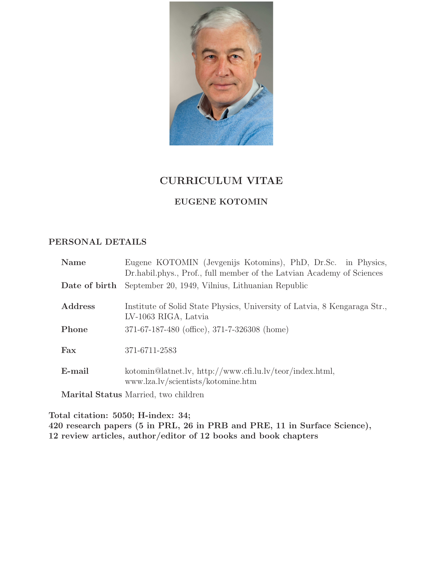

# CURRICULUM VITAE

# EUGENE KOTOMIN

# PERSONAL DETAILS

| <b>Name</b>   | Eugene KOTOMIN (Jevgenijs Kotomins), PhD, Dr.Sc. in Physics,<br>Dr. habil. phys., Prof., full member of the Latvian Academy of Sciences |
|---------------|-----------------------------------------------------------------------------------------------------------------------------------------|
| Date of birth | September 20, 1949, Vilnius, Lithuanian Republic                                                                                        |
| Address       | Institute of Solid State Physics, University of Latvia, 8 Kengaraga Str.,<br>LV-1063 RIGA, Latvia                                       |
| Phone         | 371-67-187-480 (office), 371-7-326308 (home)                                                                                            |
| Fax           | 371-6711-2583                                                                                                                           |
| E-mail        | kotomin@latnet.lv, http://www.cfi.lu.lv/teor/index.html,<br>www.lza.lv/scientists/kotomine.htm                                          |
|               | Marital Status Married, two children                                                                                                    |

Total citation: 5050; H-index: 34; 420 research papers (5 in PRL, 26 in PRB and PRE, 11 in Surface Science), 12 review articles, author/editor of 12 books and book chapters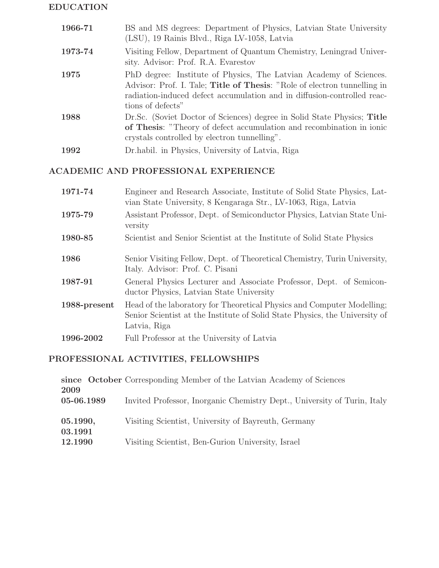# EDUCATION

| 1966-71 | BS and MS degrees: Department of Physics, Latvian State University<br>(LSU), 19 Rainis Blvd., Riga LV-1058, Latvia                                                                                                                             |
|---------|------------------------------------------------------------------------------------------------------------------------------------------------------------------------------------------------------------------------------------------------|
| 1973-74 | Visiting Fellow, Department of Quantum Chemistry, Leningrad Univer-<br>sity. Advisor: Prof. R.A. Evarestov                                                                                                                                     |
| 1975    | PhD degree: Institute of Physics, The Latvian Academy of Sciences.<br>Advisor: Prof. I. Tale; Title of Thesis: "Role of electron tunnelling in<br>radiation-induced defect accumulation and in diffusion-controlled reac-<br>tions of defects" |
| 1988    | Dr.Sc. (Soviet Doctor of Sciences) degree in Solid State Physics; Title<br>of Thesis: "Theory of defect accumulation and recombination in ionic<br>crystals controlled by electron tunnelling".                                                |
| 1992    | Dr. habil. in Physics, University of Latvia, Riga                                                                                                                                                                                              |

# ACADEMIC AND PROFESSIONAL EXPERIENCE

| 1971-74      | Engineer and Research Associate, Institute of Solid State Physics, Lat-<br>vian State University, 8 Kengaraga Str., LV-1063, Riga, Latvia                             |
|--------------|-----------------------------------------------------------------------------------------------------------------------------------------------------------------------|
| 1975-79      | Assistant Professor, Dept. of Semiconductor Physics, Latvian State Uni-<br>versity                                                                                    |
| 1980-85      | Scientist and Senior Scientist at the Institute of Solid State Physics                                                                                                |
| 1986         | Senior Visiting Fellow, Dept. of Theoretical Chemistry, Turin University,<br>Italy. Advisor: Prof. C. Pisani                                                          |
| 1987-91      | General Physics Lecturer and Associate Professor, Dept. of Semicon-<br>ductor Physics, Latvian State University                                                       |
| 1988-present | Head of the laboratory for Theoretical Physics and Computer Modelling;<br>Senior Scientist at the Institute of Solid State Physics, the University of<br>Latvia, Riga |
| 1996-2002    | Full Professor at the University of Latvia                                                                                                                            |

# PROFESSIONAL ACTIVITIES, FELLOWSHIPS

|            | since October Corresponding Member of the Latvian Academy of Sciences    |
|------------|--------------------------------------------------------------------------|
| 2009       |                                                                          |
| 05-06.1989 | Invited Professor, Inorganic Chemistry Dept., University of Turin, Italy |
|            |                                                                          |
| 05.1990,   | Visiting Scientist, University of Bayreuth, Germany                      |
| 03.1991    |                                                                          |
| 12.1990    | Visiting Scientist, Ben-Gurion University, Israel                        |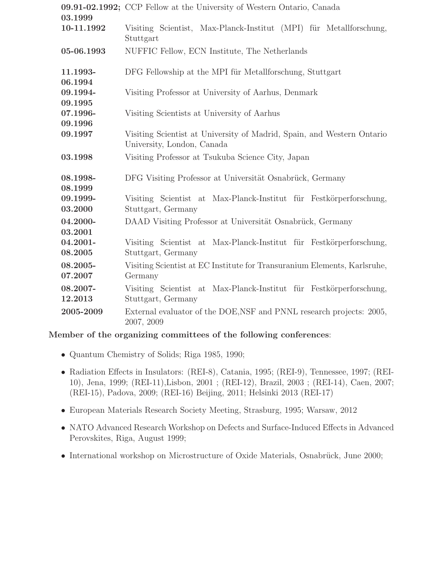| 03.1999             | 09.91-02.1992; CCP Fellow at the University of Western Ontario, Canada                               |
|---------------------|------------------------------------------------------------------------------------------------------|
| 10-11.1992          | Visiting Scientist, Max-Planck-Institut (MPI) für Metallforschung,<br>Stuttgart                      |
| 05-06.1993          | NUFFIC Fellow, ECN Institute, The Netherlands                                                        |
| 11.1993-<br>06.1994 | DFG Fellowship at the MPI für Metallforschung, Stuttgart                                             |
| 09.1994-<br>09.1995 | Visiting Professor at University of Aarhus, Denmark                                                  |
| 07.1996-<br>09.1996 | Visiting Scientists at University of Aarhus                                                          |
| 09.1997             | Visiting Scientist at University of Madrid, Spain, and Western Ontario<br>University, London, Canada |
| 03.1998             | Visiting Professor at Tsukuba Science City, Japan                                                    |
| 08.1998-<br>08.1999 | DFG Visiting Professor at Universität Osnabrück, Germany                                             |
| 09.1999-<br>03.2000 | Visiting Scientist at Max-Planck-Institut für Festkörperforschung,<br>Stuttgart, Germany             |
| 04.2000-<br>03.2001 | DAAD Visiting Professor at Universität Osnabrück, Germany                                            |
| 04.2001-<br>08.2005 | Visiting Scientist at Max-Planck-Institut für Festkörperforschung,<br>Stuttgart, Germany             |
| 08.2005-<br>07.2007 | Visiting Scientist at EC Institute for Transuranium Elements, Karlsruhe,<br>Germany                  |
| 08.2007-<br>12.2013 | Visiting Scientist at Max-Planck-Institut für Festkörperforschung,<br>Stuttgart, Germany             |
| 2005-2009           | External evaluator of the DOE, NSF and PNNL research projects: 2005,<br>2007, 2009                   |

# Member of the organizing committees of the following conferences:

- Quantum Chemistry of Solids; Riga 1985, 1990;
- Radiation Effects in Insulators: (REI-8), Catania, 1995; (REI-9), Tennessee, 1997; (REI-10), Jena, 1999; (REI-11),Lisbon, 2001 ; (REI-12), Brazil, 2003 ; (REI-14), Caen, 2007; (REI-15), Padova, 2009; (REI-16) Beijing, 2011; Helsinki 2013 (REI-17)
- European Materials Research Society Meeting, Strasburg, 1995; Warsaw, 2012
- NATO Advanced Research Workshop on Defects and Surface-Induced Effects in Advanced Perovskites, Riga, August 1999;
- International workshop on Microstructure of Oxide Materials, Osnabrück, June 2000;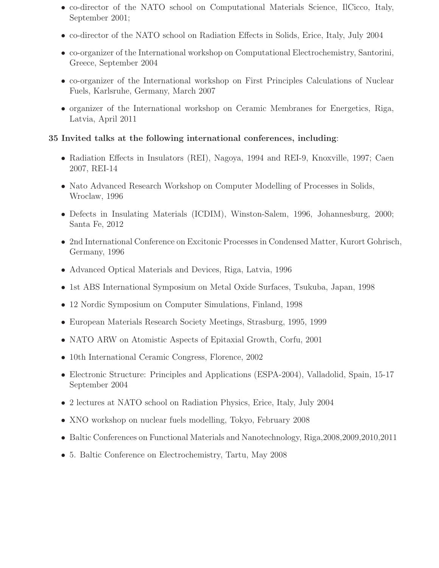- co-director of the NATO school on Computational Materials Science, IlCicco, Italy, September 2001;
- co-director of the NATO school on Radiation Effects in Solids, Erice, Italy, July 2004
- co-organizer of the International workshop on Computational Electrochemistry, Santorini, Greece, September 2004
- co-organizer of the International workshop on First Principles Calculations of Nuclear Fuels, Karlsruhe, Germany, March 2007
- organizer of the International workshop on Ceramic Membranes for Energetics, Riga, Latvia, April 2011

# 35 Invited talks at the following international conferences, including:

- Radiation Effects in Insulators (REI), Nagoya, 1994 and REI-9, Knoxville, 1997; Caen 2007, REI-14
- Nato Advanced Research Workshop on Computer Modelling of Processes in Solids, Wroclaw, 1996
- Defects in Insulating Materials (ICDIM), Winston-Salem, 1996, Johannesburg, 2000; Santa Fe, 2012
- 2nd International Conference on Excitonic Processes in Condensed Matter, Kurort Gohrisch, Germany, 1996
- Advanced Optical Materials and Devices, Riga, Latvia, 1996
- 1st ABS International Symposium on Metal Oxide Surfaces, Tsukuba, Japan, 1998
- 12 Nordic Symposium on Computer Simulations, Finland, 1998
- European Materials Research Society Meetings, Strasburg, 1995, 1999
- NATO ARW on Atomistic Aspects of Epitaxial Growth, Corfu, 2001
- 10th International Ceramic Congress, Florence, 2002
- Electronic Structure: Principles and Applications (ESPA-2004), Valladolid, Spain, 15-17 September 2004
- 2 lectures at NATO school on Radiation Physics, Erice, Italy, July 2004
- XNO workshop on nuclear fuels modelling, Tokyo, February 2008
- Baltic Conferences on Functional Materials and Nanotechnology, Riga,2008,2009,2010,2011
- 5. Baltic Conference on Electrochemistry, Tartu, May 2008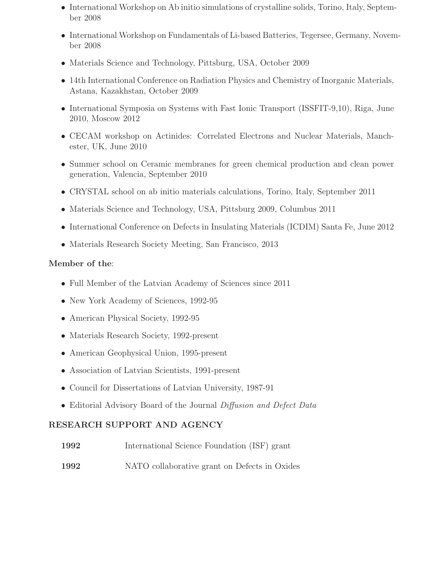- International Workshop on Ab initio simulations of crystalline solids, Torino, Italy, September 2008
- International Workshop on Fundamentals of Li-based Batteries, Tegersee, Germany, November 2008
- Materials Science and Technology, Pittsburg, USA, October 2009
- 14th International Conference on Radiation Physics and Chemistry of Inorganic Materials, Astana, Kazakhstan, October 2009
- International Symposia on Systems with Fast Ionic Transport (ISSFIT-9,10), Riga, June 2010, Moscow 2012
- CECAM workshop on Actinides: Correlated Electrons and Nuclear Materials, Manchester, UK, June 2010
- Summer school on Ceramic membranes for green chemical production and clean power generation, Valencia, September 2010
- CRYSTAL school on ab initio materials calculations, Torino, Italy, September 2011
- Materials Science and Technology, USA, Pittsburg 2009, Columbus 2011
- International Conference on Defects in Insulating Materials (ICDIM) Santa Fe, June 2012
- Materials Research Society Meeting, San Francisco, 2013

# Member of the:

- Full Member of the Latvian Academy of Sciences since 2011
- New York Academy of Sciences, 1992-95
- American Physical Society, 1992-95
- Materials Research Society, 1992-present
- American Geophysical Union, 1995-present
- Association of Latvian Scientists, 1991-present
- Council for Dissertations of Latvian University, 1987-91
- Editorial Advisory Board of the Journal Diffusion and Defect Data

# RESEARCH SUPPORT AND AGENCY

- 1992 International Science Foundation (ISF) grant
- 1992 NATO collaborative grant on Defects in Oxides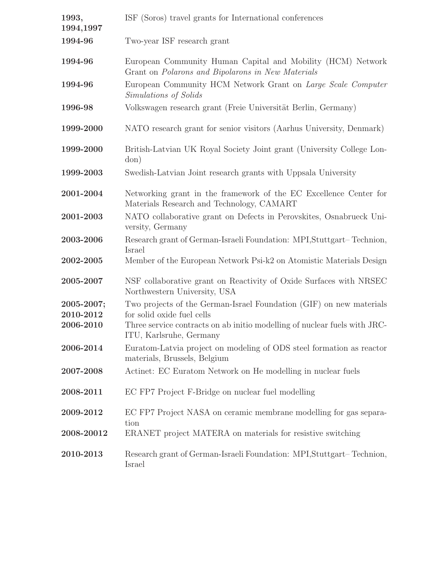| 1993,<br>1994,1997      | ISF (Soros) travel grants for International conferences                                                          |
|-------------------------|------------------------------------------------------------------------------------------------------------------|
| 1994-96                 | Two-year ISF research grant                                                                                      |
| 1994-96                 | European Community Human Capital and Mobility (HCM) Network<br>Grant on Polarons and Bipolarons in New Materials |
| 1994-96                 | European Community HCM Network Grant on Large Scale Computer<br>Simulations of Solids                            |
| 1996-98                 | Volkswagen research grant (Freie Universität Berlin, Germany)                                                    |
| 1999-2000               | NATO research grant for senior visitors (Aarhus University, Denmark)                                             |
| 1999-2000               | British-Latvian UK Royal Society Joint grant (University College Lon-<br>don)                                    |
| 1999-2003               | Swedish-Latvian Joint research grants with Uppsala University                                                    |
| 2001-2004               | Networking grant in the framework of the EC Excellence Center for<br>Materials Research and Technology, CAMART   |
| 2001-2003               | NATO collaborative grant on Defects in Perovskites, Osnabrueck Uni-<br>versity, Germany                          |
| 2003-2006               | Research grant of German-Israeli Foundation: MPI, Stuttgart-Technion,<br>Israel                                  |
| 2002-2005               | Member of the European Network Psi-k2 on Atomistic Materials Design                                              |
| 2005-2007               | NSF collaborative grant on Reactivity of Oxide Surfaces with NRSEC<br>Northwestern University, USA               |
| 2005-2007;<br>2010-2012 | Two projects of the German-Israel Foundation (GIF) on new materials<br>for solid oxide fuel cells                |
| 2006-2010               | Three service contracts on ab initio modelling of nuclear fuels with JRC-<br>ITU, Karlsruhe, Germany             |
| 2006-2014               | Euratom-Latvia project on modeling of ODS steel formation as reactor<br>materials, Brussels, Belgium             |
| 2007-2008               | Actinet: EC Euratom Network on He modelling in nuclear fuels                                                     |
| 2008-2011               | EC FP7 Project F-Bridge on nuclear fuel modelling                                                                |
| 2009-2012               | EC FP7 Project NASA on ceramic membrane modelling for gas separa-<br>tion                                        |
| 2008-20012              | ERANET project MATERA on materials for resistive switching                                                       |
| 2010-2013               | Research grant of German-Israeli Foundation: MPI, Stuttgart-Technion,<br>Israel                                  |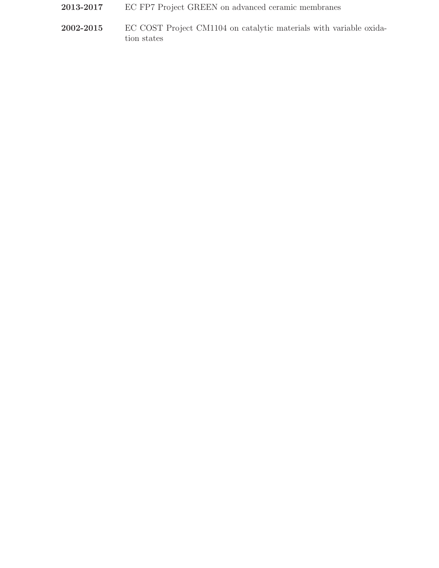- 2013-2017 EC FP7 Project GREEN on advanced ceramic membranes
- 2002-2015 EC COST Project CM1104 on catalytic materials with variable oxidation states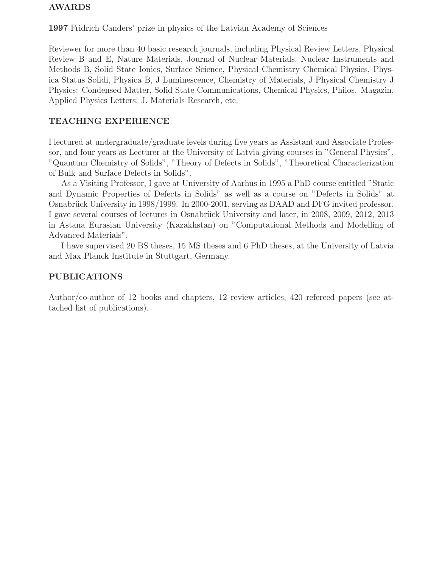# AWARDS

1997 Fridrich Canders' prize in physics of the Latvian Academy of Sciences

Reviewer for more than 40 basic research journals, including Physical Review Letters, Physical Review B and E, Nature Materials, Journal of Nuclear Materials, Nuclear Instruments and Methods B, Solid State Ionics, Surface Science, Physical Chemistry Chemical Physics, Physica Status Solidi, Physica B, J Luminescence, Chemistry of Materials, J Physical Chemistry J Physics: Condensed Matter, Solid State Communications, Chemical Physics, Philos. Magazin, Applied Physics Letters, J. Materials Research, etc.

# TEACHING EXPERIENCE

I lectured at undergraduate/graduate levels during five years as Assistant and Associate Professor, and four years as Lecturer at the University of Latvia giving courses in "General Physics", "Quantum Chemistry of Solids", "Theory of Defects in Solids", "Theoretical Characterization of Bulk and Surface Defects in Solids".

As a Visiting Professor, I gave at University of Aarhus in 1995 a PhD course entitled "Static and Dynamic Properties of Defects in Solids" as well as a course on "Defects in Solids" at Osnabrück University in 1998/1999. In 2000-2001, serving as DAAD and DFG invited professor, I gave several courses of lectures in Osnabrück University and later, in 2008, 2009, 2012, 2013 in Astana Eurasian University (Kazakhstan) on "Computational Methods and Modelling of Advanced Materials".

I have supervised 20 BS theses, 15 MS theses and 6 PhD theses, at the University of Latvia and Max Planck Institute in Stuttgart, Germany.

# PUBLICATIONS

Author/co-author of 12 books and chapters, 12 review articles, 420 refereed papers (see attached list of publications).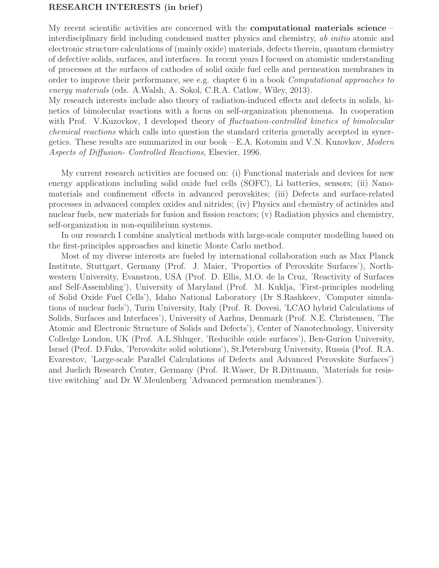# RESEARCH INTERESTS (in brief)

My recent scientific activities are concerned with the **computational materials science** – interdisciplinary field including condensed matter physics and chemistry, ab initio atomic and electronic structure calculations of (mainly oxide) materials, defects therein, quantum chemistry of defective solids, surfaces, and interfaces. In recent years I focused on atomistic understanding of processes at the surfaces of cathodes of solid oxide fuel cells and permeation membranes in order to improve their performance, see e.g. chapter 6 in a book Computational approaches to energy materials (eds. A.Walsh, A. Sokol, C.R.A. Catlow, Wiley, 2013).

My research interests include also theory of radiation-induced effects and defects in solids, kinetics of bimolecular reactions with a focus on self-organization phenomena. In cooperation with Prof. V.Kuzovkov, I developed theory of *fluctuation-controlled kinetics of bimolecular* chemical reactions which calls into question the standard criteria generally accepted in synergetics. These results are summarized in our book  $-$  E.A. Kotomin and V.N. Kuzovkov, *Modern* Aspects of Diffusion- Controlled Reactions, Elsevier, 1996.

My current research activities are focused on: (i) Functional materials and devices for new energy applications including solid oxide fuel cells (SOFC), Li batteries, sensors; (ii) Nanomaterials and confinement effects in advanced perovskites; (iii) Defects and surface-related processes in advanced complex oxides and nitrides; (iv) Physics and chemistry of actinides and nuclear fuels, new materials for fusion and fission reactors; (v) Radiation physics and chemistry, self-organization in non-equilibrium systems.

In our research I combine analytical methods with large-scale computer modelling based on the first-principles approaches and kinetic Monte Carlo method.

Most of my diverse interests are fueled by international collaboration such as Max Planck Institute, Stuttgart, Germany (Prof. J. Maier, 'Properties of Perovskite Surfaces'), Northwestern University, Evanstron, USA (Prof. D. Ellis, M.O. de la Cruz, 'Reactivity of Surfaces and Self-Assembling'), University of Maryland (Prof. M. Kuklja, 'First-principles modeling of Solid Oxide Fuel Cells'), Idaho National Laboratory (Dr S.Rashkeev, 'Computer simulations of nuclear fuels'), Turin University, Italy (Prof. R. Dovesi, 'LCAO hybrid Calculations of Solids, Surfaces and Interfaces'), University of Aarhus, Denmark (Prof. N.E. Christensen, 'The Atomic and Electronic Structure of Solids and Defects'), Center of Nanotechnology, University Colledge London, UK (Prof. A.L.Shluger, 'Reducible oxide surfaces'), Ben-Gurion University, Israel (Prof. D.Fuks, 'Perovskite solid solutions'), St.Petersburg University, Russia (Prof. R.A. Evarestov, 'Large-scale Parallel Calculations of Defects and Advanced Perovskite Surfaces') and Juelich Research Center, Germany (Prof. R.Waser, Dr R.Dittmann, 'Materials for resistive switching' and Dr W.Meulenberg 'Advanced permeation membranes').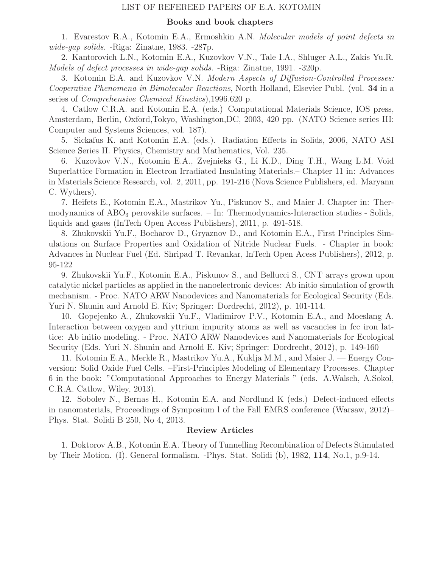# LIST OF REFEREED PAPERS OF E.A. KOTOMIN

### Books and book chapters

1. Evarestov R.A., Kotomin E.A., Ermoshkin A.N. Molecular models of point defects in wide-gap solids. -Riga: Zinatne, 1983. -287p.

2. Kantorovich L.N., Kotomin E.A., Kuzovkov V.N., Tale I.A., Shluger A.L., Zakis Yu.R. Models of defect processes in wide-gap solids. -Riga: Zinatne, 1991. -320p.

3. Kotomin E.A. and Kuzovkov V.N. Modern Aspects of Diffusion-Controlled Processes: Cooperative Phenomena in Bimolecular Reactions, North Holland, Elsevier Publ. (vol. 34 in a series of Comprehensive Chemical Kinetics),1996.620 p.

4. Catlow C.R.A. and Kotomin E.A. (eds.) Computational Materials Science, IOS press, Amsterdam, Berlin, Oxford,Tokyo, Washington,DC, 2003, 420 pp. (NATO Science series III: Computer and Systems Sciences, vol. 187).

5. Sickafus K. and Kotomin E.A. (eds.). Radiation Effects in Solids, 2006, NATO ASI Science Series II. Physics, Chemistry and Mathematics, Vol. 235.

6. Kuzovkov V.N., Kotomin E.A., Zvejnieks G., Li K.D., Ding T.H., Wang L.M. Void Superlattice Formation in Electron Irradiated Insulating Materials.– Chapter 11 in: Advances in Materials Science Research, vol. 2, 2011, pp. 191-216 (Nova Science Publishers, ed. Maryann C. Wythers).

7. Heifets E., Kotomin E.A., Mastrikov Yu., Piskunov S., and Maier J. Chapter in: Thermodynamics of  $\rm{ABO}_3$  perovskite surfaces. – In: Thermodynamics-Interaction studies - Solids, liquids and gases (InTech Open Access Publishers), 2011, p. 491-518.

8. Zhukovskii Yu.F., Bocharov D., Gryaznov D., and Kotomin E.A., First Principles Simulations on Surface Properties and Oxidation of Nitride Nuclear Fuels. - Chapter in book: Advances in Nuclear Fuel (Ed. Shripad T. Revankar, InTech Open Acess Publishers), 2012, p. 95-122

9. Zhukovskii Yu.F., Kotomin E.A., Piskunov S., and Bellucci S., CNT arrays grown upon catalytic nickel particles as applied in the nanoelectronic devices: Ab initio simulation of growth mechanism. - Proc. NATO ARW Nanodevices and Nanomaterials for Ecological Security (Eds. Yuri N. Shunin and Arnold E. Kiv; Springer: Dordrecht, 2012), p. 101-114.

10. Gopejenko A., Zhukovskii Yu.F., Vladimirov P.V., Kotomin E.A., and Moeslang A. Interaction between oxygen and yttrium impurity atoms as well as vacancies in fcc iron lattice: Ab initio modeling. - Proc. NATO ARW Nanodevices and Nanomaterials for Ecological Security (Eds. Yuri N. Shunin and Arnold E. Kiv; Springer: Dordrecht, 2012), p. 149-160

11. Kotomin E.A., Merkle R., Mastrikov Yu.A., Kuklja M.M., and Maier J. — Energy Conversion: Solid Oxide Fuel Cells. –First-Principles Modeling of Elementary Processes. Chapter 6 in the book: "Computational Approaches to Energy Materials " (eds. A.Walsch, A.Sokol, C.R.A. Catlow, Wiley, 2013).

12. Sobolev N., Bernas H., Kotomin E.A. and Nordlund K (eds.) Defect-induced effects in nanomaterials, Proceedings of Symposium l of the Fall EMRS conference (Warsaw, 2012)– Phys. Stat. Solidi B 250, No 4, 2013.

# Review Articles

1. Doktorov A.B., Kotomin E.A. Theory of Tunnelling Recombination of Defects Stimulated by Their Motion. (I). General formalism. -Phys. Stat. Solidi (b), 1982, 114, No.1, p.9-14.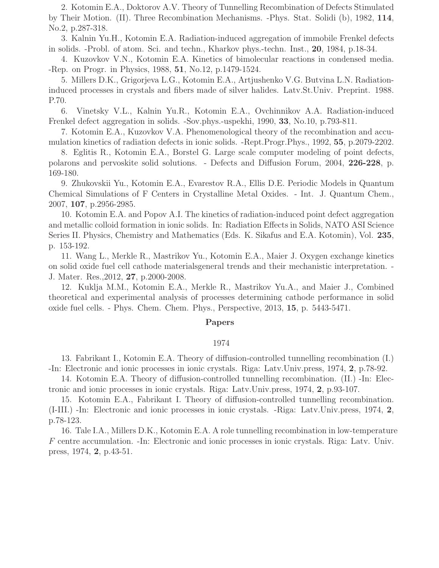2. Kotomin E.A., Doktorov A.V. Theory of Tunnelling Recombination of Defects Stimulated by Their Motion. (II). Three Recombination Mechanisms. -Phys. Stat. Solidi (b), 1982, 114, No.2, p.287-318.

3. Kalnin Yu.H., Kotomin E.A. Radiation-induced aggregation of immobile Frenkel defects in solids. -Probl. of atom. Sci. and techn., Kharkov phys.-techn. Inst., 20, 1984, p.18-34.

4. Kuzovkov V.N., Kotomin E.A. Kinetics of bimolecular reactions in condensed media. -Rep. on Progr. in Physics, 1988, 51, No.12, p.1479-1524.

5. Millers D.K., Grigorjeva L.G., Kotomin E.A., Artjushenko V.G. Butvina L.N. Radiationinduced processes in crystals and fibers made of silver halides. Latv.St.Univ. Preprint. 1988. P.70.

6. Vinetsky V.L., Kalnin Yu.R., Kotomin E.A., Ovchinnikov A.A. Radiation-induced Frenkel defect aggregation in solids. -Sov.phys.-uspekhi, 1990, 33, No.10, p.793-811.

7. Kotomin E.A., Kuzovkov V.A. Phenomenological theory of the recombination and accumulation kinetics of radiation defects in ionic solids. -Rept.Progr.Phys., 1992, 55, p.2079-2202.

8. Eglitis R., Kotomin E.A., Borstel G. Large scale computer modeling of point defects, polarons and pervoskite solid solutions. - Defects and Diffusion Forum, 2004, 226-228, p. 169-180.

9. Zhukovskii Yu., Kotomin E.A., Evarestov R.A., Ellis D.E. Periodic Models in Quantum Chemical Simulations of F Centers in Crystalline Metal Oxides. - Int. J. Quantum Chem., 2007, 107, p.2956-2985.

10. Kotomin E.A. and Popov A.I. The kinetics of radiation-induced point defect aggregation and metallic colloid formation in ionic solids. In: Radiation Effects in Solids, NATO ASI Science Series II. Physics, Chemistry and Mathematics (Eds. K. Sikafus and E.A. Kotomin), Vol. 235, p. 153-192.

11. Wang L., Merkle R., Mastrikov Yu., Kotomin E.A., Maier J. Oxygen exchange kinetics on solid oxide fuel cell cathode materialsgeneral trends and their mechanistic interpretation. - J. Mater. Res.,2012, 27, p.2000-2008.

12. Kuklja M.M., Kotomin E.A., Merkle R., Mastrikov Yu.A., and Maier J., Combined theoretical and experimental analysis of processes determining cathode performance in solid oxide fuel cells. - Phys. Chem. Chem. Phys., Perspective, 2013, 15, p. 5443-5471.

## Papers

## 1974

13. Fabrikant I., Kotomin E.A. Theory of diffusion-controlled tunnelling recombination (I.) -In: Electronic and ionic processes in ionic crystals. Riga: Latv.Univ.press, 1974, 2, p.78-92.

14. Kotomin E.A. Theory of diffusion-controlled tunnelling recombination. (II.) -In: Electronic and ionic processes in ionic crystals. Riga: Latv.Univ.press, 1974, 2, p.93-107.

15. Kotomin E.A., Fabrikant I. Theory of diffusion-controlled tunnelling recombination. (I-III.) -In: Electronic and ionic processes in ionic crystals. -Riga: Latv.Univ.press, 1974, 2, p.78-123.

16. Tale I.A., Millers D.K., Kotomin E.A. A role tunnelling recombination in low-temperature F centre accumulation. -In: Electronic and ionic processes in ionic crystals. Riga: Latv. Univ. press, 1974, 2, p.43-51.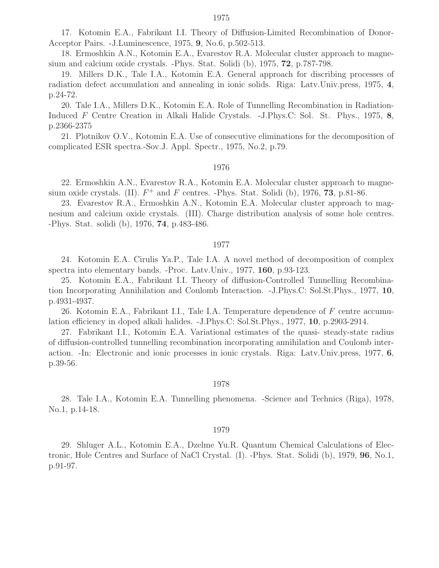17. Kotomin E.A., Fabrikant I.I. Theory of Diffusion-Limited Recombination of Donor-Acceptor Pairs. -J.Luminescence, 1975, 9, No.6, p.502-513.

18. Ermoshkin A.N., Kotomin E.A., Evarestov R.A. Molecular cluster approach to magnesium and calcium oxide crystals. -Phys. Stat. Solidi (b), 1975, 72, p.787-798.

19. Millers D.K., Tale I.A., Kotomin E.A. General approach for discribing processes of radiation defect accumulation and annealing in ionic solids. Riga: Latv.Univ.press, 1975, 4, p.24-72.

20. Tale I.A., Millers D.K., Kotomin E.A. Role of Tunnelling Recombination in Radiation-Induced F Centre Creation in Alkali Halide Crystals. -J.Phys.C: Sol. St. Phys., 1975, 8, p.2366-2375

21. Plotnikov O.V., Kotomin E.A. Use of consecutive eliminations for the decomposition of complicated ESR spectra.-Sov.J. Appl. Spectr., 1975, No.2, p.79.

#### 1976

22. Ermoshkin A.N., Evarestov R.A., Kotomin E.A. Molecular cluster approach to magnesium oxide crystals. (II).  $F^+$  and F centres. -Phys. Stat. Solidi (b), 1976, 73, p.81-86.

23. Evarestov R.A., Ermoshkin A.N., Kotomin E.A. Molecular cluster approach to magnesium and calcium oxide crystals. (III). Charge distribution analysis of some hole centres. -Phys. Stat. solidi (b), 1976, 74, p.483-486.

#### 1977

24. Kotomin E.A. Cirulis Ya.P., Tale I.A. A novel method of decomposition of complex spectra into elementary bands. -Proc. Latv.Univ., 1977, 160, p.93-123.

25. Kotomin E.A., Fabrikant I.I. Theory of diffusion-Controlled Tunnelling Recombination Incorporating Annihilation and Coulomb Interaction. -J.Phys.C: Sol.St.Phys., 1977, 10, p.4931-4937.

26. Kotomin E.A., Fabrikant I.I., Tale I.A. Temperature dependence of F centre accumulation efficiency in doped alkali halides. -J.Phys.C: Sol.St.Phys., 1977, 10, p.2903-2914.

27. Fabrikant I.I., Kotomin E.A. Variational estimates of the quasi- steady-state radius of diffusion-controlled tunnelling recombination incorporating annihilation and Coulomb interaction. -In: Electronic and ionic processes in ionic crystals. Riga: Latv.Univ.press, 1977, 6, p.39-56.

## 1978

28. Tale I.A., Kotomin E.A. Tunnelling phenomena. -Science and Technics (Riga), 1978, No.1, p.14-18.

#### 1979

29. Shluger A.L., Kotomin E.A., Dzelme Yu.R. Quantum Chemical Calculations of Electronic, Hole Centres and Surface of NaCl Crystal. (I). -Phys. Stat. Solidi (b), 1979, 96, No.1, p.91-97.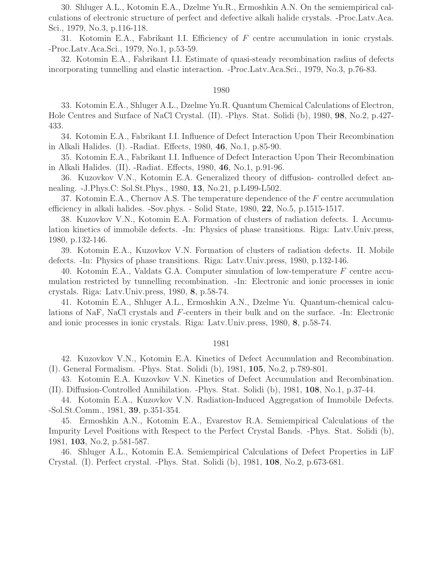30. Shluger A.L., Kotomin E.A., Dzelme Yu.R., Ermoshkin A.N. On the semiempirical calculations of electronic structure of perfect and defective alkali halide crystals. -Proc.Latv.Aca. Sci., 1979, No.3, p.116-118.

31. Kotomin E.A., Fabrikant I.I. Efficiency of F centre accumulation in ionic crystals. -Proc.Latv.Aca.Sci., 1979, No.1, p.53-59.

32. Kotomin E.A., Fabrikant I.I. Estimate of quasi-steady recombination radius of defects incorporating tunnelling and elastic interaction. -Proc.Latv.Aca.Sci., 1979, No.3, p.76-83.

#### 1980

33. Kotomin E.A., Shluger A.L., Dzelme Yu.R. Quantum Chemical Calculations of Electron, Hole Centres and Surface of NaCl Crystal. (II). -Phys. Stat. Solidi (b), 1980, 98, No.2, p.427- 433.

34. Kotomin E.A., Fabrikant I.I. Influence of Defect Interaction Upon Their Recombination in Alkali Halides. (I). -Radiat. Effects, 1980, 46, No.1, p.85-90.

35. Kotomin E.A., Fabrikant I.I. Influence of Defect Interaction Upon Their Recombination in Alkali Halides. (II). -Radiat. Effects, 1980, 46, No.1, p.91-96.

36. Kuzovkov V.N., Kotomin E.A. Generalized theory of diffusion- controlled defect annealing. -J.Phys.C: Sol.St.Phys., 1980, 13, No.21, p.L499-L502.

37. Kotomin E.A., Chernov A.S. The temperature dependence of the  $F$  centre accumulation efficiency in alkali halides. -Sov.phys. - Solid State, 1980, 22, No.5, p.1515-1517.

38. Kuzovkov V.N., Kotomin E.A. Formation of clusters of radiation defects. I. Accumulation kinetics of immobile defects. -In: Physics of phase transitions. Riga: Latv.Univ.press, 1980, p.132-146.

39. Kotomin E.A., Kuzovkov V.N. Formation of clusters of radiation defects. II. Mobile defects. -In: Physics of phase transitions. Riga: Latv.Univ.press, 1980, p.132-146.

40. Kotomin E.A., Valdats G.A. Computer simulation of low-temperature F centre accumulation restricted by tunnelling recombination. -In: Electronic and ionic processes in ionic crystals. Riga: Latv.Univ.press, 1980, 8, p.58-74.

41. Kotomin E.A., Shluger A.L., Ermoshkin A.N., Dzelme Yu. Quantum-chemical calculations of NaF, NaCl crystals and F-centers in their bulk and on the surface. -In: Electronic and ionic processes in ionic crystals. Riga: Latv.Univ.press, 1980, 8, p.58-74.

#### 1981

42. Kuzovkov V.N., Kotomin E.A. Kinetics of Defect Accumulation and Recombination. (I). General Formalism. -Phys. Stat. Solidi (b), 1981, 105, No.2, p.789-801.

43. Kotomin E.A. Kuzovkov V.N. Kinetics of Defect Accumulation and Recombination. (II). Diffusion-Controlled Annihilation. -Phys. Stat. Solidi (b), 1981, 108, No.1, p.37-44.

44. Kotomin E.A., Kuzovkov V.N. Radiation-Induced Aggregation of Immobile Defects. -Sol.St.Comm., 1981, 39, p.351-354.

45. Ermoshkin A.N., Kotomin E.A., Evarestov R.A. Semiempirical Calculations of the Impurity Level Positions with Respect to the Perfect Crystal Bands. -Phys. Stat. Solidi (b), 1981, 103, No.2, p.581-587.

46. Shluger A.L., Kotomin E.A. Semiempirical Calculations of Defect Properties in LiF Crystal. (I). Perfect crystal. -Phys. Stat. Solidi (b), 1981, 108, No.2, p.673-681.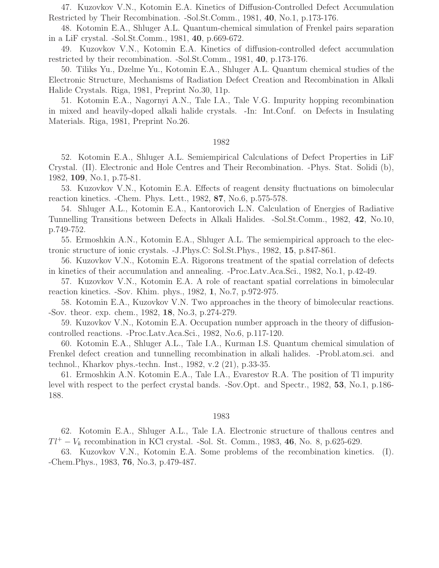47. Kuzovkov V.N., Kotomin E.A. Kinetics of Diffusion-Controlled Defect Accumulation Restricted by Their Recombination. -Sol.St.Comm., 1981, 40, No.1, p.173-176.

48. Kotomin E.A., Shluger A.L. Quantum-chemical simulation of Frenkel pairs separation in a LiF crystal. -Sol.St.Comm., 1981, 40, p.669-672.

49. Kuzovkov V.N., Kotomin E.A. Kinetics of diffusion-controlled defect accumulation restricted by their recombination. -Sol.St.Comm., 1981, 40, p.173-176.

50. Tiliks Yu., Dzelme Yu., Kotomin E.A., Shluger A.L. Quantum chemical studies of the Electronic Structure, Mechanisms of Radiation Defect Creation and Recombination in Alkali Halide Crystals. Riga, 1981, Preprint No.30, 11p.

51. Kotomin E.A., Nagornyi A.N., Tale I.A., Tale V.G. Impurity hopping recombination in mixed and heavily-doped alkali halide crystals. -In: Int.Conf. on Defects in Insulating Materials. Riga, 1981, Preprint No.26.

#### 1982

52. Kotomin E.A., Shluger A.L. Semiempirical Calculations of Defect Properties in LiF Crystal. (II). Electronic and Hole Centres and Their Recombination. -Phys. Stat. Solidi (b), 1982, 109, No.1, p.75-81.

53. Kuzovkov V.N., Kotomin E.A. Effects of reagent density fluctuations on bimolecular reaction kinetics. -Chem. Phys. Lett., 1982, 87, No.6, p.575-578.

54. Shluger A.L., Kotomin E.A., Kantorovich L.N. Calculation of Energies of Radiative Tunnelling Transitions between Defects in Alkali Halides. -Sol.St.Comm., 1982, 42, No.10, p.749-752.

55. Ermoshkin A.N., Kotomin E.A., Shluger A.L. The semiempirical approach to the electronic structure of ionic crystals. -J.Phys.C: Sol.St.Phys., 1982, 15, p.847-861.

56. Kuzovkov V.N., Kotomin E.A. Rigorons treatment of the spatial correlation of defects in kinetics of their accumulation and annealing. -Proc.Latv.Aca.Sci., 1982, No.1, p.42-49.

57. Kuzovkov V.N., Kotomin E.A. A role of reactant spatial correlations in bimolecular reaction kinetics. -Sov. Khim. phys., 1982, 1, No.7, p.972-975.

58. Kotomin E.A., Kuzovkov V.N. Two approaches in the theory of bimolecular reactions. -Sov. theor. exp. chem., 1982, 18, No.3, p.274-279.

59. Kuzovkov V.N., Kotomin E.A. Occupation number approach in the theory of diffusioncontrolled reactions. -Proc.Latv.Aca.Sci., 1982, No.6, p.117-120.

60. Kotomin E.A., Shluger A.L., Tale I.A., Kurman I.S. Quantum chemical simulation of Frenkel defect creation and tunnelling recombination in alkali halides. -Probl.atom.sci. and technol., Kharkov phys.-techn. Inst., 1982, v.2 (21), p.33-35.

61. Ermoshkin A.N. Kotomin E.A., Tale I.A., Evarestov R.A. The position of Tl impurity level with respect to the perfect crystal bands. -Sov.Opt. and Spectr., 1982, 53, No.1, p.186- 188.

#### 1983

62. Kotomin E.A., Shluger A.L., Tale I.A. Electronic structure of thallous centres and  $Tl^+ - V_k$  recombination in KCl crystal. -Sol. St. Comm., 1983, 46, No. 8, p.625-629.

63. Kuzovkov V.N., Kotomin E.A. Some problems of the recombination kinetics. (I). -Chem.Phys., 1983, 76, No.3, p.479-487.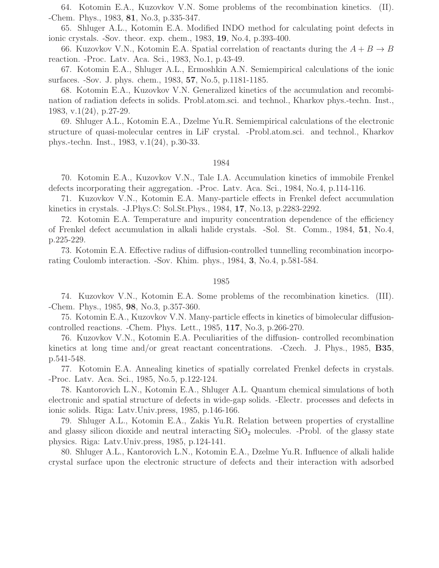64. Kotomin E.A., Kuzovkov V.N. Some problems of the recombination kinetics. (II). -Chem. Phys., 1983, 81, No.3, p.335-347.

65. Shluger A.L., Kotomin E.A. Modified INDO method for calculating point defects in ionic crystals. -Sov. theor. exp. chem., 1983, 19, No.4, p.393-400.

66. Kuzovkov V.N., Kotomin E.A. Spatial correlation of reactants during the  $A + B \rightarrow B$ reaction. -Proc. Latv. Aca. Sci., 1983, No.1, p.43-49.

67. Kotomin E.A., Shluger A.L., Ermoshkin A.N. Semiempirical calculations of the ionic surfaces. -Sov. J. phys. chem., 1983, 57, No.5, p.1181-1185.

68. Kotomin E.A., Kuzovkov V.N. Generalized kinetics of the accumulation and recombination of radiation defects in solids. Probl.atom.sci. and technol., Kharkov phys.-techn. Inst., 1983, v.1(24), p.27-29.

69. Shluger A.L., Kotomin E.A., Dzelme Yu.R. Semiempirical calculations of the electronic structure of quasi-molecular centres in LiF crystal. -Probl.atom.sci. and technol., Kharkov phys.-techn. Inst., 1983, v.1(24), p.30-33.

#### 1984

70. Kotomin E.A., Kuzovkov V.N., Tale I.A. Accumulation kinetics of immobile Frenkel defects incorporating their aggregation. -Proc. Latv. Aca. Sci., 1984, No.4, p.114-116.

71. Kuzovkov V.N., Kotomin E.A. Many-particle effects in Frenkel defect accumulation kinetics in crystals. -J.Phys.C: Sol.St.Phys., 1984, 17, No.13, p.2283-2292.

72. Kotomin E.A. Temperature and impurity concentration dependence of the efficiency of Frenkel defect accumulation in alkali halide crystals. -Sol. St. Comm., 1984, 51, No.4, p.225-229.

73. Kotomin E.A. Effective radius of diffusion-controlled tunnelling recombination incorporating Coulomb interaction. -Sov. Khim. phys., 1984, 3, No.4, p.581-584.

#### 1985

74. Kuzovkov V.N., Kotomin E.A. Some problems of the recombination kinetics. (III). -Chem. Phys., 1985, 98, No.3, p.357-360.

75. Kotomin E.A., Kuzovkov V.N. Many-particle effects in kinetics of bimolecular diffusioncontrolled reactions. -Chem. Phys. Lett., 1985, 117, No.3, p.266-270.

76. Kuzovkov V.N., Kotomin E.A. Peculiarities of the diffusion- controlled recombination kinetics at long time and/or great reactant concentrations. -Czech. J. Phys., 1985, B35, p.541-548.

77. Kotomin E.A. Annealing kinetics of spatially correlated Frenkel defects in crystals. -Proc. Latv. Aca. Sci., 1985, No.5, p.122-124.

78. Kantorovich L.N., Kotomin E.A., Shluger A.L. Quantum chemical simulations of both electronic and spatial structure of defects in wide-gap solids. -Electr. processes and defects in ionic solids. Riga: Latv.Univ.press, 1985, p.146-166.

79. Shluger A.L., Kotomin E.A., Zakis Yu.R. Relation between properties of crystalline and glassy silicon dioxide and neutral interacting  $SiO<sub>2</sub>$  molecules. -Probl. of the glassy state physics. Riga: Latv.Univ.press, 1985, p.124-141.

80. Shluger A.L., Kantorovich L.N., Kotomin E.A., Dzelme Yu.R. Influence of alkali halide crystal surface upon the electronic structure of defects and their interaction with adsorbed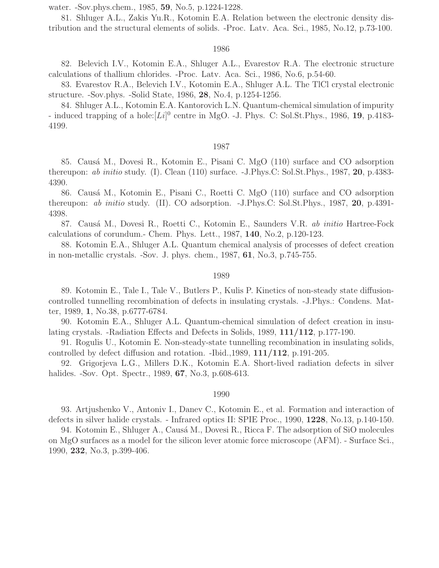water. -Sov.phys.chem., 1985, 59, No.5, p.1224-1228.

81. Shluger A.L., Zakis Yu.R., Kotomin E.A. Relation between the electronic density distribution and the structural elements of solids. -Proc. Latv. Aca. Sci., 1985, No.12, p.73-100.

### 1986

82. Belevich I.V., Kotomin E.A., Shluger A.L., Evarestov R.A. The electronic structure calculations of thallium chlorides. -Proc. Latv. Aca. Sci., 1986, No.6, p.54-60.

83. Evarestov R.A., Belevich I.V., Kotomin E.A., Shluger A.L. The TlCl crystal electronic structure. -Sov.phys. -Solid State, 1986, 28, No.4, p.1254-1256.

84. Shluger A.L., Kotomin E.A. Kantorovich L.N. Quantum-chemical simulation of impurity - induced trapping of a hole: $[Li]$ <sup>0</sup> centre in MgO. -J. Phys. C: Sol.St.Phys., 1986, 19, p.4183-4199.

## 1987

85. Caus´a M., Dovesi R., Kotomin E., Pisani C. MgO (110) surface and CO adsorption thereupon: *ab initio* study. (I). Clean  $(110)$  surface. -J.Phys.C: Sol.St.Phys., 1987, 20, p.4383-4390.

86. Causá M., Kotomin E., Pisani C., Roetti C. MgO (110) surface and CO adsorption thereupon: ab initio study. (II). CO adsorption. -J.Phys.C: Sol.St.Phys., 1987, 20, p.4391- 4398.

87. Causá M., Dovesi R., Roetti C., Kotomin E., Saunders V.R. ab initio Hartree-Fock calculations of corundum.- Chem. Phys. Lett., 1987, 140, No.2, p.120-123.

88. Kotomin E.A., Shluger A.L. Quantum chemical analysis of processes of defect creation in non-metallic crystals. -Sov. J. phys. chem., 1987, 61, No.3, p.745-755.

#### 1989

89. Kotomin E., Tale I., Tale V., Butlers P., Kulis P. Kinetics of non-steady state diffusioncontrolled tunnelling recombination of defects in insulating crystals. -J.Phys.: Condens. Matter, 1989, 1, No.38, p.6777-6784.

90. Kotomin E.A., Shluger A.L. Quantum-chemical simulation of defect creation in insulating crystals. -Radiation Effects and Defects in Solids, 1989, 111/112, p.177-190.

91. Rogulis U., Kotomin E. Non-steady-state tunnelling recombination in insulating solids, controlled by defect diffusion and rotation. -Ibid.,1989, 111/112, p.191-205.

92. Grigorjeva L.G., Millers D.K., Kotomin E.A. Short-lived radiation defects in silver halides. -Sov. Opt. Spectr., 1989, **67**, No.3, p.608-613.

#### 1990

93. Artjushenko V., Antoniv I., Danev C., Kotomin E., et al. Formation and interaction of defects in silver halide crystals. - Infrared optics II: SPIE Proc., 1990, 1228, No.13, p.140-150.

94. Kotomin E., Shluger A., Causá M., Dovesi R., Ricca F. The adsorption of SiO molecules on MgO surfaces as a model for the silicon lever atomic force microscope (AFM). - Surface Sci., 1990, 232, No.3, p.399-406.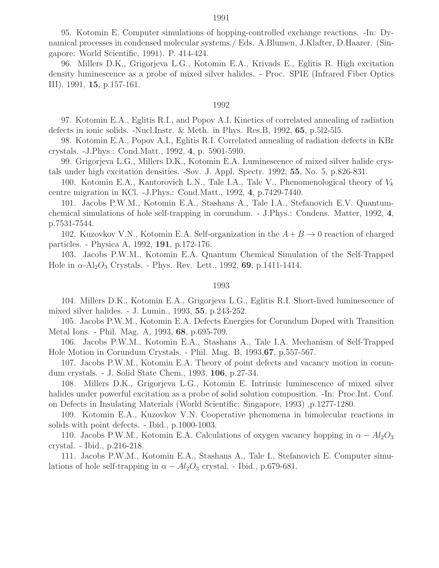95. Kotomin E. Computer simulations of hopping-controlled exchange reactions. -In: Dynamical processes in condensed molecular systems./ Eds. A.Blumen, J.Klafter, D.Haarer. (Singapore: World Scientific, 1991). P. 414-424.

96. Millers D.K., Grigorjeva L.G., Kotomin E.A., Krivads E., Eglitis R. High excitation density luminescence as a probe of mixed silver halides. - Proc. SPIE (Infrared Fiber Optics III). 1991, 15, p.157-161.

#### 1992

97. Kotomin E.A., Eglitis R.I., and Popov A.I. Kinetics of correlated annealing of radiation defects in ionic solids. -Nucl.Instr. & Meth. in Phys. Res.B, 1992, 65, p.5l2-5l5.

98. Kotomin E.A., Popov A.I., Eglitis R.I. Correlated annealing of radiation defects in KBr crystals. -J.Phys.: Cond.Matt., 1992, 4, p. 5901-59l0.

99. Grigorjeva L.G., Millers D.K., Kotomin E.A. Luminescence of mixed silver halide crystals under high excitation densities. -Sov. J. Appl. Spectr. 1992, 55, No. 5, p.826-831.

100. Kotomin E.A., Kantorovich L.N., Tale I.A., Tale V., Phenomenological theory of  $V_k$ centre migration in KCl. -J.Phys.: Cond.Matt., 1992, 4, p.7429-7440.

101. Jacobs P.W.M., Kotomin E.A., Stashans A., Tale I.A., Stefanovich E.V. Quantumchemical simulations of hole self-trapping in corundum. - J.Phys.: Condens. Matter, 1992, 4, p.7531-7544.

102. Kuzovkov V.N., Kotomin E.A. Self-organization in the  $A + B \rightarrow 0$  reaction of charged particles. - Physica A, 1992, 191, p.172-176.

103. Jacobs P.W.M., Kotomin E.A. Quantum Chemical Simulation of the Self-Trapped Hole in  $\alpha$ -Al<sub>2</sub>O<sub>3</sub> Crystals. - Phys. Rev. Lett., 1992, 69, p.1411-1414.

#### 1993

104. Millers D.K., Kotomin E.A., Grigorjeva L.G., Eglitis R.I. Short-lived luminescence of mixed silver halides. - J. Lumin., 1993, 55, p.243-252.

105. Jacobs P.W.M., Kotomin E.A. Defects Energies for Corundum Doped with Transition Metal Ions. - Phil. Mag. A, 1993, 68, p.695-709.

106. Jacobs P.W.M., Kotomin E.A., Stashans A., Tale I.A. Mechanism of Self-Trapped Hole Motion in Corundum Crystals. - Phil. Mag. B, 1993,67, p.557-567.

107. Jacobs P.W.M., Kotomin E.A. Theory of point defects and vacancy motion in corundum crystals. - J. Solid State Chem., 1993, 106, p.27-34.

108. Millers D.K., Grigorjeva L.G., Kotomin E. Intrinsic luminescence of mixed silver halides under powerful excitation as a probe of solid solution composition. -In: Proc.Int. Conf. on Defects in Insulating Materials (World Scientific: Singapore, 1993) ,p.1277-1280.

109. Kotomin E.A., Kuzovkov V.N. Cooperative phenomena in bimolecular reactions in solids with point defects. - Ibid., p.1000-1003.

110. Jacobs P.W.M., Kotomin E.A. Calculations of oxygen vacancy hopping in  $\alpha - Al_2O_3$ crystal. - Ibid., p.216-218.

111. Jacobs P.W.M., Kotomin E.A., Stashans A., Tale I., Stefanovich E. Computer simulations of hole self-trapping in  $\alpha - Al_2O_3$  crystal. - Ibid., p.679-681.

#### 1991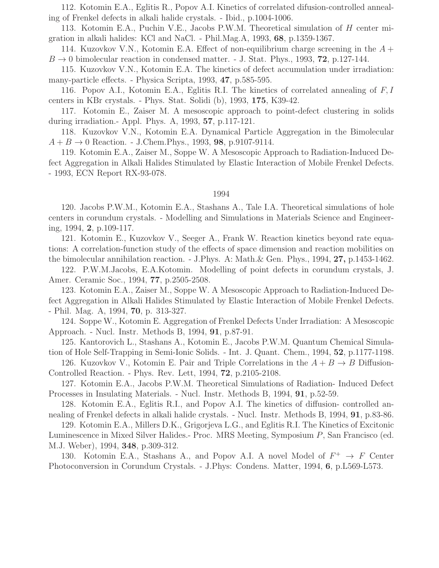112. Kotomin E.A., Eglitis R., Popov A.I. Kinetics of correlated difusion-controlled annealing of Frenkel defects in alkali halide crystals. - Ibid., p.1004-1006.

113. Kotomin E.A., Puchin V.E., Jacobs P.W.M. Theoretical simulation of H center migration in alkali halides: KCl and NaCl. - Phil.Mag.A, 1993, 68, p.1359-1367.

114. Kuzovkov V.N., Kotomin E.A. Effect of non-equilibrium charge screening in the  $A +$  $B \rightarrow 0$  bimolecular reaction in condensed matter. - J. Stat. Phys., 1993, 72, p.127-144.

115. Kuzovkov V.N., Kotomin E.A. The kinetics of defect accumulation under irradiation: many-particle effects. - Physica Scripta, 1993, 47, p.585-595.

116. Popov A.I., Kotomin E.A., Eglitis R.I. The kinetics of correlated annealing of F, I centers in KBr crystals. - Phys. Stat. Solidi (b), 1993, 175, K39-42.

117. Kotomin E., Zaiser M. A mesoscopic approach to point-defect clustering in solids during irradiation.- Appl. Phys. A, 1993, 57, p.117-121.

118. Kuzovkov V.N., Kotomin E.A. Dynamical Particle Aggregation in the Bimolecular  $A + B \to 0$  Reaction. - J.Chem.Phys., 1993, 98, p.9107-9114.

119. Kotomin E.A., Zaiser M., Soppe W. A Mesoscopic Approach to Radiation-Induced Defect Aggregation in Alkali Halides Stimulated by Elastic Interaction of Mobile Frenkel Defects. - 1993, ECN Report RX-93-078.

# 1994

120. Jacobs P.W.M., Kotomin E.A., Stashans A., Tale I.A. Theoretical simulations of hole centers in corundum crystals. - Modelling and Simulations in Materials Science and Engineering, 1994, 2, p.109-117.

121. Kotomin E., Kuzovkov V., Seeger A., Frank W. Reaction kinetics beyond rate equations: A correlation-function study of the effects of space dimension and reaction mobilities on the bimolecular annihilation reaction. - J.Phys. A: Math.& Gen. Phys., 1994, 27, p.1453-1462.

122. P.W.M.Jacobs, E.A.Kotomin. Modelling of point defects in corundum crystals, J. Amer. Ceramic Soc., 1994, 77, p.2505-2508.

123. Kotomin E.A., Zaiser M., Soppe W. A Mesoscopic Approach to Radiation-Induced Defect Aggregation in Alkali Halides Stimulated by Elastic Interaction of Mobile Frenkel Defects. - Phil. Mag. A, 1994, 70, p. 313-327.

124. Soppe W., Kotomin E. Aggregation of Frenkel Defects Under Irradiation: A Mesoscopic Approach. - Nucl. Instr. Methods B, 1994, 91, p.87-91.

125. Kantorovich L., Stashans A., Kotomin E., Jacobs P.W.M. Quantum Chemical Simulation of Hole Self-Trapping in Semi-Ionic Solids. - Int. J. Quant. Chem., 1994, 52, p.1177-1198.

126. Kuzovkov V., Kotomin E. Pair and Triple Correlations in the  $A + B \rightarrow B$  Diffusion-Controlled Reaction. - Phys. Rev. Lett, 1994, 72, p.2105-2108.

127. Kotomin E.A., Jacobs P.W.M. Theoretical Simulations of Radiation- Induced Defect Processes in Insulating Materials. - Nucl. Instr. Methods B, 1994, 91, p.52-59.

128. Kotomin E.A., Eglitis R.I., and Popov A.I. The kinetics of diffusion- controlled annealing of Frenkel defects in alkali halide crystals. - Nucl. Instr. Methods B, 1994, 91, p.83-86.

129. Kotomin E.A., Millers D.K., Grigorjeva L.G., and Eglitis R.I. The Kinetics of Excitonic Luminescence in Mixed Silver Halides.- Proc. MRS Meeting, Symposium P, San Francisco (ed. M.J. Weber), 1994, 348, p.309-312.

130. Kotomin E.A., Stashans A., and Popov A.I. A novel Model of  $F^+ \to F$  Center Photoconversion in Corundum Crystals. - J.Phys: Condens. Matter, 1994, 6, p.L569-L573.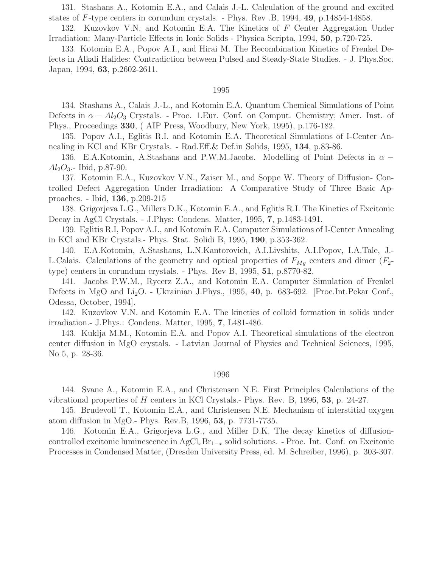131. Stashans A., Kotomin E.A., and Calais J.-L. Calculation of the ground and excited states of F-type centers in corundum crystals. - Phys. Rev .B, 1994, 49, p.14854-14858.

132. Kuzovkov V.N. and Kotomin E.A. The Kinetics of F Center Aggregation Under Irradiation: Many-Particle Effects in Ionic Solids - Physica Scripta, 1994, 50, p.720-725.

133. Kotomin E.A., Popov A.I., and Hirai M. The Recombination Kinetics of Frenkel Defects in Alkali Halides: Contradiction between Pulsed and Steady-State Studies. - J. Phys.Soc. Japan, 1994, 63, p.2602-2611.

## 1995

134. Stashans A., Calais J.-L., and Kotomin E.A. Quantum Chemical Simulations of Point Defects in  $\alpha - Al_2O_3$  Crystals. - Proc. 1.Eur. Conf. on Comput. Chemistry; Amer. Inst. of Phys., Proceedings 330, ( AIP Press, Woodbury, New York, 1995), p.176-182.

135. Popov A.I., Eglitis R.I. and Kotomin E.A. Theoretical Simulations of I-Center Annealing in KCl and KBr Crystals. - Rad.Eff.& Def.in Solids, 1995, 134, p.83-86.

136. E.A.Kotomin, A.Stashans and P.W.M.Jacobs. Modelling of Point Defects in  $\alpha$  −  $Al_2O_3$ .- Ibid, p.87-90.

137. Kotomin E.A., Kuzovkov V.N., Zaiser M., and Soppe W. Theory of Diffusion- Controlled Defect Aggregation Under Irradiation: A Comparative Study of Three Basic Approaches. - Ibid, 136, p.209-215

138. Grigorjeva L.G., Millers D.K., Kotomin E.A., and Eglitis R.I. The Kinetics of Excitonic Decay in AgCl Crystals. - J.Phys: Condens. Matter, 1995, 7, p.1483-1491.

139. Eglitis R.I, Popov A.I., and Kotomin E.A. Computer Simulations of I-Center Annealing in KCl and KBr Crystals.- Phys. Stat. Solidi B, 1995, 190, p.353-362.

140. E.A.Kotomin, A.Stashans, L.N.Kantorovich, A.I.Livshits, A.I.Popov, I.A.Tale, J.- L.Calais. Calculations of the geometry and optical properties of  $F_{Mg}$  centers and dimer  $(F_2$ type) centers in corundum crystals. - Phys. Rev B, 1995, 51, p.8770-82.

141. Jacobs P.W.M., Rycerz Z.A., and Kotomin E.A. Computer Simulation of Frenkel Defects in MgO and Li<sub>2</sub>O. - Ukrainian J.Phys., 1995, 40, p. 683-692. [Proc.Int.Pekar Conf., Odessa, October, 1994].

142. Kuzovkov V.N. and Kotomin E.A. The kinetics of colloid formation in solids under irradiation.- J.Phys.: Condens. Matter, 1995, 7, L481-486.

143. Kuklja M.M., Kotomin E.A. and Popov A.I. Theoretical simulations of the electron center diffusion in MgO crystals. - Latvian Journal of Physics and Technical Sciences, 1995, No 5, p. 28-36.

#### 1996

144. Svane A., Kotomin E.A., and Christensen N.E. First Principles Calculations of the vibrational properties of H centers in KCl Crystals.- Phys. Rev. B, 1996, 53, p. 24-27.

145. Brudevoll T., Kotomin E.A., and Christensen N.E. Mechanism of interstitial oxygen atom diffusion in MgO.- Phys. Rev.B, 1996, 53, p. 7731-7735.

146. Kotomin E.A., Grigorjeva L.G., and Miller D.K. The decay kinetics of diffusioncontrolled excitonic luminescence in  $AgCl_xBr_{1-x}$  solid solutions. - Proc. Int. Conf. on Excitonic Processes in Condensed Matter, (Dresden University Press, ed. M. Schreiber, 1996), p. 303-307.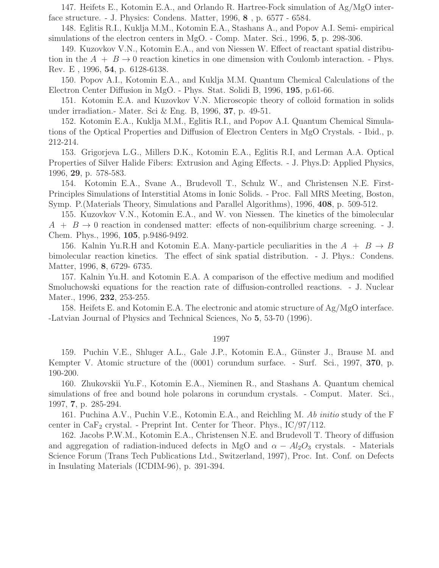147. Heifets E., Kotomin E.A., and Orlando R. Hartree-Fock simulation of Ag/MgO interface structure. - J. Physics: Condens. Matter, 1996, 8 , p. 6577 - 6584.

148. Eglitis R.I., Kuklja M.M., Kotomin E.A., Stashans A., and Popov A.I. Semi- empirical simulations of the electron centers in MgO. - Comp. Mater. Sci., 1996, 5, p. 298-306.

149. Kuzovkov V.N., Kotomin E.A., and von Niessen W. Effect of reactant spatial distribution in the  $A + B \rightarrow 0$  reaction kinetics in one dimension with Coulomb interaction. - Phys. Rev. E , 1996, 54, p. 6128-6138.

150. Popov A.I., Kotomin E.A., and Kuklja M.M. Quantum Chemical Calculations of the Electron Center Diffusion in MgO. - Phys. Stat. Solidi B, 1996, 195, p.61-66.

151. Kotomin E.A. and Kuzovkov V.N. Microscopic theory of colloid formation in solids under irradiation.- Mater. Sci & Eng. B, 1996, 37, p. 49-51.

152. Kotomin E.A., Kuklja M.M., Eglitis R.I., and Popov A.I. Quantum Chemical Simulations of the Optical Properties and Diffusion of Electron Centers in MgO Crystals. - Ibid., p. 212-214.

153. Grigorjeva L.G., Millers D.K., Kotomin E.A., Eglitis R.I, and Lerman A.A. Optical Properties of Silver Halide Fibers: Extrusion and Aging Effects. - J. Phys.D: Applied Physics, 1996, 29, p. 578-583.

154. Kotomin E.A., Svane A., Brudevoll T., Schulz W., and Christensen N.E. First-Principles Simulations of Interstitial Atoms in Ionic Solids. - Proc. Fall MRS Meeting, Boston, Symp. P.(Materials Theory, Simulations and Parallel Algorithms), 1996, 408, p. 509-512.

155. Kuzovkov V.N., Kotomin E.A., and W. von Niessen. The kinetics of the bimolecular  $A + B \rightarrow 0$  reaction in condensed matter: effects of non-equilibrium charge screening. - J. Chem. Phys., 1996, 105, p.9486-9492.

156. Kalnin Yu.R.H and Kotomin E.A. Many-particle peculiarities in the  $A + B \rightarrow B$ bimolecular reaction kinetics. The effect of sink spatial distribution. - J. Phys.: Condens. Matter, 1996, 8, 6729- 6735.

157. Kalnin Yu.H. and Kotomin E.A. A comparison of the effective medium and modified Smoluchowski equations for the reaction rate of diffusion-controlled reactions. - J. Nuclear Mater., 1996, **232**, 253-255.

158. Heifets E. and Kotomin E.A. The electronic and atomic structure of Ag/MgO interface. -Latvian Journal of Physics and Technical Sciences, No 5, 53-70 (1996).

## 1997

159. Puchin V.E., Shluger A.L., Gale J.P., Kotomin E.A., Günster J., Brause M. and Kempter V. Atomic structure of the  $(0001)$  corundum surface. - Surf. Sci., 1997, 370, p. 190-200.

160. Zhukovskii Yu.F., Kotomin E.A., Nieminen R., and Stashans A. Quantum chemical simulations of free and bound hole polarons in corundum crystals. - Comput. Mater. Sci., 1997, 7, p. 285-294.

161. Puchina A.V., Puchin V.E., Kotomin E.A., and Reichling M. Ab initio study of the F center in  $CaF<sub>2</sub>$  crystal. - Preprint Int. Center for Theor. Phys.,  $IC/97/112$ .

162. Jacobs P.W.M., Kotomin E.A., Christensen N.E. and Brudevoll T. Theory of diffusion and aggregation of radiation-induced defects in MgO and  $\alpha - Al_2O_3$  crystals. - Materials Science Forum (Trans Tech Publications Ltd., Switzerland, 1997), Proc. Int. Conf. on Defects in Insulating Materials (ICDIM-96), p. 391-394.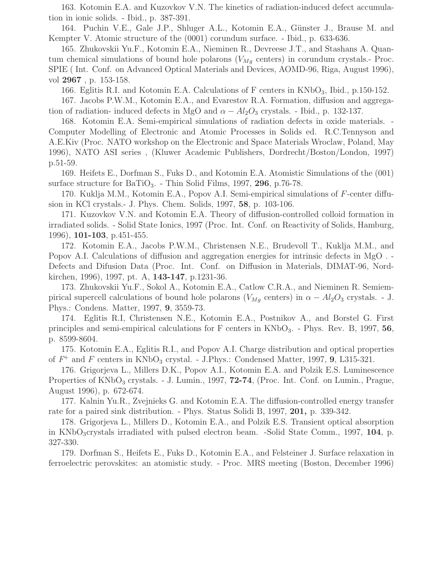163. Kotomin E.A. and Kuzovkov V.N. The kinetics of radiation-induced defect accumulation in ionic solids. - Ibid., p. 387-391.

164. Puchin V.E., Gale J.P., Shluger A.L., Kotomin E.A., Günster J., Brause M. and Kempter V. Atomic structure of the (0001) corundum surface. - Ibid., p. 633-636.

165. Zhukovskii Yu.F., Kotomin E.A., Nieminen R., Devreese J.T., and Stashans A. Quantum chemical simulations of bound hole polarons  $(V_{Mg}$  centers) in corundum crystals.- Proc. SPIE ( Int. Conf. on Advanced Optical Materials and Devices, AOMD-96, Riga, August 1996), vol 2967 , p. 153-158.

166. Eglitis R.I. and Kotomin E.A. Calculations of F centers in KNbO<sub>3</sub>, Ibid., p.150-152.

167. Jacobs P.W.M., Kotomin E.A., and Evarestov R.A. Formation, diffusion and aggregation of radiation- induced defects in MgO and  $\alpha - Al_2O_3$  crystals. - Ibid., p. 132-137.

168. Kotomin E.A. Semi-empirical simulations of radiation defects in oxide materials. - Computer Modelling of Electronic and Atomic Processes in Solids ed. R.C.Tennyson and A.E.Kiv (Proc. NATO workshop on the Electronic and Space Materials Wroclaw, Poland, May 1996), NATO ASI series , (Kluwer Academic Publishers, Dordrecht/Boston/London, 1997) p.51-59.

169. Heifets E., Dorfman S., Fuks D., and Kotomin E.A. Atomistic Simulations of the (001) surface structure for  $BaTiO<sub>3</sub>$ . Thin Solid Films, 1997, 296, p.76-78.

170. Kuklja M.M., Kotomin E.A., Popov A.I. Semi-empirical simulations of F-center diffusion in KCl crystals.- J. Phys. Chem. Solids, 1997, 58, p. 103-106.

171. Kuzovkov V.N. and Kotomin E.A. Theory of diffusion-controlled colloid formation in irradiated solids. - Solid State Ionics, 1997 (Proc. Int. Conf. on Reactivity of Solids, Hamburg, 1996), 101-103, p.451-455.

172. Kotomin E.A., Jacobs P.W.M., Christensen N.E., Brudevoll T., Kuklja M.M., and Popov A.I. Calculations of diffusion and aggregation energies for intrinsic defects in MgO . - Defects and Difusion Data (Proc. Int. Conf. on Diffusion in Materials, DIMAT-96, Nordkirchen, 1996), 1997, pt. A, 143-147, p.1231-36.

173. Zhukovskii Yu.F., Sokol A., Kotomin E.A., Catlow C.R.A., and Nieminen R. Semiempirical supercell calculations of bound hole polarons ( $V_{Mg}$  centers) in  $\alpha - Al_2O_3$  crystals. - J. Phys.: Condens. Matter, 1997, 9, 3559-73.

174. Eglitis R.I, Christensen N.E., Kotomin E.A., Postnikov A., and Borstel G. First principles and semi-empirical calculations for F centers in  $KNbO_3$ . - Phys. Rev. B, 1997, 56, p. 8599-8604.

175. Kotomin E.A., Eglitis R.I., and Popov A.I. Charge distribution and optical properties of  $F^+$  and F centers in KNbO<sub>3</sub> crystal. - J.Phys.: Condensed Matter, 1997, 9, L315-321.

176. Grigorjeva L., Millers D.K., Popov A.I., Kotomin E.A. and Polzik E.S. Luminescence Properties of  $KNbO_3$  crystals. - J. Lumin., 1997, **72-74**, (Proc. Int. Conf. on Lumin., Prague, August 1996), p. 672-674.

177. Kalnin Yu.R., Zvejnieks G. and Kotomin E.A. The diffusion-controlled energy transfer rate for a paired sink distribution. - Phys. Status Solidi B, 1997, 201, p. 339-342.

178. Grigorjeva L., Millers D., Kotomin E.A., and Polzik E.S. Transient optical absorption in KNbO<sub>3</sub>crystals irradiated with pulsed electron beam. -Solid State Comm., 1997, 104, p. 327-330.

179. Dorfman S., Heifets E., Fuks D., Kotomin E.A., and Felsteiner J. Surface relaxation in ferroelectric perovskites: an atomistic study. - Proc. MRS meeting (Boston, December 1996)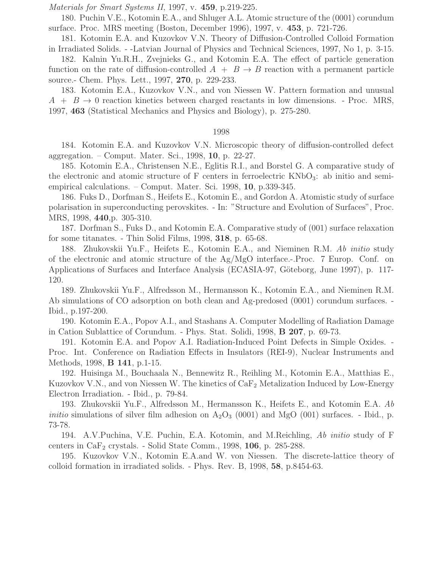Materials for Smart Systems II, 1997, v. 459, p.219-225.

180. Puchin V.E., Kotomin E.A., and Shluger A.L. Atomic structure of the (0001) corundum surface. Proc. MRS meeting (Boston, December 1996), 1997, v. 453, p. 721-726.

181. Kotomin E.A. and Kuzovkov V.N. Theory of Diffusion-Controlled Colloid Formation in Irradiated Solids. - -Latvian Journal of Physics and Technical Sciences, 1997, No 1, p. 3-15.

182. Kalnin Yu.R.H., Zvejnieks G., and Kotomin E.A. The effect of particle generation function on the rate of diffusion-controlled  $A + B \rightarrow B$  reaction with a permanent particle source.- Chem. Phys. Lett., 1997, 270, p. 229-233.

183. Kotomin E.A., Kuzovkov V.N., and von Niessen W. Pattern formation and unusual  $A + B \rightarrow 0$  reaction kinetics between charged reactants in low dimensions. - Proc. MRS, 1997, 463 (Statistical Mechanics and Physics and Biology), p. 275-280.

### 1998

184. Kotomin E.A. and Kuzovkov V.N. Microscopic theory of diffusion-controlled defect aggregation. – Comput. Mater. Sci., 1998, 10, p. 22-27.

185. Kotomin E.A., Christensen N.E., Eglitis R.I., and Borstel G. A comparative study of the electronic and atomic structure of F centers in ferroelectric  $KNbO<sub>3</sub>$ : ab initio and semiempirical calculations. – Comput. Mater. Sci. 1998, 10, p.339-345.

186. Fuks D., Dorfman S., Heifets E., Kotomin E., and Gordon A. Atomistic study of surface polarisation in superconducting perovskites. - In: "Structure and Evolution of Surfaces", Proc. MRS, 1998, 440,p. 305-310.

187. Dorfman S., Fuks D., and Kotomin E.A. Comparative study of (001) surface relaxation for some titanates. - Thin Solid Films, 1998, 318, p. 65-68.

188. Zhukovskii Yu.F., Heifets E., Kotomin E.A., and Nieminen R.M. Ab initio study of the electronic and atomic structure of the  $Ag/MgO$  interface.-.Proc. 7 Europ. Conf. on Applications of Surfaces and Interface Analysis (ECASIA-97, Göteborg, June 1997), p. 117-120.

189. Zhukovskii Yu.F., Alfredsson M., Hermansson K., Kotomin E.A., and Nieminen R.M. Ab simulations of CO adsorption on both clean and Ag-predosed (0001) corundum surfaces. - Ibid., p.197-200.

190. Kotomin E.A., Popov A.I., and Stashans A. Computer Modelling of Radiation Damage in Cation Sublattice of Corundum. - Phys. Stat. Solidi, 1998, B 207, p. 69-73.

191. Kotomin E.A. and Popov A.I. Radiation-Induced Point Defects in Simple Oxides. - Proc. Int. Conference on Radiation Effects in Insulators (REI-9), Nuclear Instruments and Methods, 1998, B 141, p.1-15.

192. Huisinga M., Bouchaala N., Bennewitz R., Reihling M., Kotomin E.A., Matthias E., Kuzovkov V.N., and von Niessen W. The kinetics of  $\text{CaF}_2$  Metalization Induced by Low-Energy Electron Irradiation. - Ibid., p. 79-84.

193. Zhukovskii Yu.F., Alfredsson M., Hermansson K., Heifets E., and Kotomin E.A. Ab *initio* simulations of silver film adhesion on  $A_2O_3$  (0001) and MgO (001) surfaces. - Ibid., p. 73-78.

194. A.V.Puchina, V.E. Puchin, E.A. Kotomin, and M.Reichling, Ab initio study of F centers in  $CaF<sub>2</sub>$  crystals. - Solid State Comm., 1998, 106, p. 285-288.

195. Kuzovkov V.N., Kotomin E.A.and W. von Niessen. The discrete-lattice theory of colloid formation in irradiated solids. - Phys. Rev. B, 1998, 58, p.8454-63.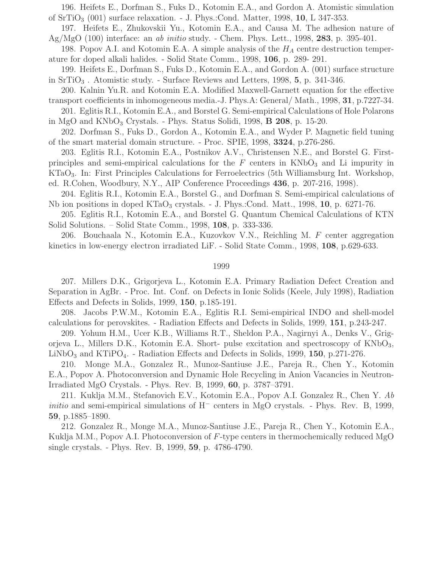196. Heifets E., Dorfman S., Fuks D., Kotomin E.A., and Gordon A. Atomistic simulation of  $SrTiO<sub>3</sub>$  (001) surface relaxation. - J. Phys.:Cond. Matter, 1998, 10, L 347-353.

197. Heifets E., Zhukovskii Yu., Kotomin E.A., and Causa M. The adhesion nature of Ag/MgO  $(100)$  interface: an ab initio study. - Chem. Phys. Lett., 1998, 283, p. 395-401.

198. Popov A.I. and Kotomin E.A. A simple analysis of the  $H_A$  centre destruction temperature for doped alkali halides. - Solid State Comm., 1998, 106, p. 289- 291.

199. Heifets E., Dorfman S., Fuks D., Kotomin E.A., and Gordon A. (001) surface structure in  $SrTiO<sub>3</sub>$ . Atomistic study. - Surface Reviews and Letters, 1998, 5, p. 341-346.

200. Kalnin Yu.R. and Kotomin E.A. Modified Maxwell-Garnett equation for the effective transport coefficients in inhomogeneous media.-J. Phys.A: General/ Math., 1998, 31, p.7227-34.

201. Eglitis R.I., Kotomin E.A., and Borstel G. Semi-empirical Calculations of Hole Polarons in MgO and  $\rm{KNbO}_3$  Crystals. - Phys. Status Solidi, 1998, **B** 208, p. 15-20.

202. Dorfman S., Fuks D., Gordon A., Kotomin E.A., and Wyder P. Magnetic field tuning of the smart material domain structure. - Proc. SPIE, 1998, 3324, p.276-286.

203. Eglitis R.I., Kotomin E.A., Postnikov A.V., Christensen N.E., and Borstel G. Firstprinciples and semi-empirical calculations for the  $F$  centers in  $KNbO<sub>3</sub>$  and Li impurity in KTaO3. In: First Principles Calculations for Ferroelectrics (5th Williamsburg Int. Workshop, ed. R.Cohen, Woodbury, N.Y., AIP Conference Proceedings 436, p. 207-216, 1998).

204. Eglitis R.I., Kotomin E.A., Borstel G., and Dorfman S. Semi-empirical calculations of Nb ion positions in doped KTaO<sub>3</sub> crystals. - J. Phys.:Cond. Matt., 1998, 10, p. 6271-76.

205. Eglitis R.I., Kotomin E.A., and Borstel G. Quantum Chemical Calculations of KTN Solid Solutions. – Solid State Comm., 1998, 108, p. 333-336.

206. Bouchaala N., Kotomin E.A., Kuzovkov V.N., Reichling M. F center aggregation kinetics in low-energy electron irradiated LiF. - Solid State Comm., 1998, 108, p.629-633.

### 1999

207. Millers D.K., Grigorjeva L., Kotomin E.A. Primary Radiation Defect Creation and Separation in AgBr. - Proc. Int. Conf. on Defects in Ionic Solids (Keele, July 1998), Radiation Effects and Defects in Solids, 1999, 150, p.185-191.

208. Jacobs P.W.M., Kotomin E.A., Eglitis R.I. Semi-empirical INDO and shell-model calculations for perovskites. - Radiation Effects and Defects in Solids, 1999, 151, p.243-247.

209. Yohum H.M., Ucer K.B., Williams R.T., Sheldon P.A., Nagirnyi A., Denks V., Grigorjeva L., Millers D.K., Kotomin E.A. Short- pulse excitation and spectroscopy of  $KNbO_3$ ,  $LiNbO<sub>3</sub>$  and KTiPO<sub>4</sub>. - Radiation Effects and Defects in Solids, 1999, 150, p.271-276.

210. Monge M.A., Gonzalez R., Munoz-Santiuse J.E., Pareja R., Chen Y., Kotomin E.A., Popov A. Photoconversion and Dynamic Hole Recycling in Anion Vacancies in Neutron-Irradiated MgO Crystals. - Phys. Rev. B, 1999, 60, p. 3787–3791.

211. Kuklja M.M., Stefanovich E.V., Kotomin E.A., Popov A.I. Gonzalez R., Chen Y. Ab initio and semi-empirical simulations of H<sup>−</sup> centers in MgO crystals. - Phys. Rev. B, 1999, 59, p.1885–1890.

212. Gonzalez R., Monge M.A., Munoz-Santiuse J.E., Pareja R., Chen Y., Kotomin E.A., Kuklja M.M., Popov A.I. Photoconversion of  $F$ -type centers in thermochemically reduced MgO single crystals. - Phys. Rev. B, 1999, 59, p. 4786-4790.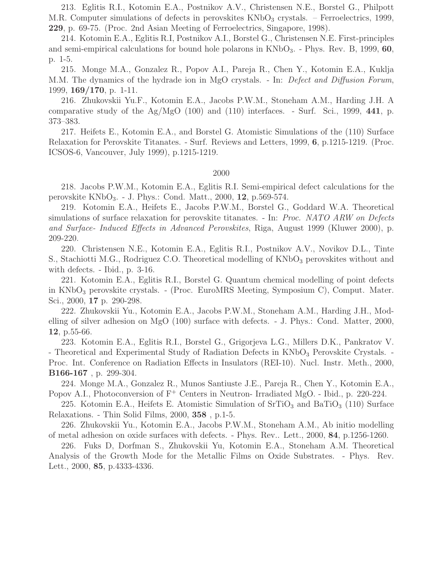213. Eglitis R.I., Kotomin E.A., Postnikov A.V., Christensen N.E., Borstel G., Philpott M.R. Computer simulations of defects in perovskites  $\rm{KNbO}_3$  crystals. – Ferroelectrics, 1999, 229, p. 69-75. (Proc. 2nd Asian Meeting of Ferroelectrics, Singapore, 1998).

214. Kotomin E.A., Eglitis R.I, Postnikov A.I., Borstel G., Christensen N.E. First-principles and semi-empirical calculations for bound hole polarons in  $KNbO_3$ . - Phys. Rev. B, 1999, 60, p. 1-5.

215. Monge M.A., Gonzalez R., Popov A.I., Pareja R., Chen Y., Kotomin E.A., Kuklja M.M. The dynamics of the hydrade ion in MgO crystals. - In: *Defect and Diffusion Forum*, 1999, 169/170, p. 1-11.

216. Zhukovskii Yu.F., Kotomin E.A., Jacobs P.W.M., Stoneham A.M., Harding J.H. A comparative study of the  $Ag/MgO (100)$  and  $(110)$  interfaces. - Surf. Sci., 1999, 441, p. 373–383.

217. Heifets E., Kotomin E.A., and Borstel G. Atomistic Simulations of the (110) Surface Relaxation for Perovskite Titanates. - Surf. Reviews and Letters, 1999, 6, p.1215-1219. (Proc. ICSOS-6, Vancouver, July 1999), p.1215-1219.

# 2000

218. Jacobs P.W.M., Kotomin E.A., Eglitis R.I. Semi-empirical defect calculations for the perovskite  $KNbO_3. - J. Phys.: Cond. Matt., 2000, 12, p.569-574.$ 

219. Kotomin E.A., Heifets E., Jacobs P.W.M., Borstel G., Goddard W.A. Theoretical simulations of surface relaxation for perovskite titanates. - In: *Proc. NATO ARW on Defects* and Surface- Induced Effects in Advanced Perovskites, Riga, August 1999 (Kluwer 2000), p. 209-220.

220. Christensen N.E., Kotomin E.A., Eglitis R.I., Postnikov A.V., Novikov D.L., Tinte S., Stachiotti M.G., Rodriguez C.O. Theoretical modelling of  $KNbO<sub>3</sub>$  perovskites without and with defects. - Ibid., p. 3-16.

221. Kotomin E.A., Eglitis R.I., Borstel G. Quantum chemical modelling of point defects in  $KNbO<sub>3</sub>$  perovskite crystals. - (Proc. EuroMRS Meeting, Symposium C), Comput. Mater. Sci., 2000, 17 p. 290-298.

222. Zhukovskii Yu., Kotomin E.A., Jacobs P.W.M., Stoneham A.M., Harding J.H., Modelling of silver adhesion on MgO (100) surface with defects. - J. Phys.: Cond. Matter, 2000, 12, p.55-66.

223. Kotomin E.A., Eglitis R.I., Borstel G., Grigorjeva L.G., Millers D.K., Pankratov V. - Theoretical and Experimental Study of Radiation Defects in KNbO<sub>3</sub> Perovskite Crystals. -Proc. Int. Conference on Radiation Effects in Insulators (REI-10). Nucl. Instr. Meth., 2000, B166-167 , p. 299-304.

224. Monge M.A., Gonzalez R., Munos Santiuste J.E., Pareja R., Chen Y., Kotomin E.A., Popov A.I., Photoconversion of F<sup>+</sup> Centers in Neutron- Irradiated MgO. - Ibid., p. 220-224.

225. Kotomin E.A., Heifets E. Atomistic Simulation of  $\rm SrTiO_3$  and  $\rm BaTiO_3$  (110) Surface Relaxations. - Thin Solid Films, 2000, 358 , p.1-5.

226. Zhukovskii Yu., Kotomin E.A., Jacobs P.W.M., Stoneham A.M., Ab initio modelling of metal adhesion on oxide surfaces with defects. - Phys. Rev.. Lett., 2000, 84, p.1256-1260.

226. Fuks D, Dorfman S., Zhukovskii Yu, Kotomin E.A., Stoneham A.M. Theoretical Analysis of the Growth Mode for the Metallic Films on Oxide Substrates. - Phys. Rev. Lett., 2000, 85, p.4333-4336.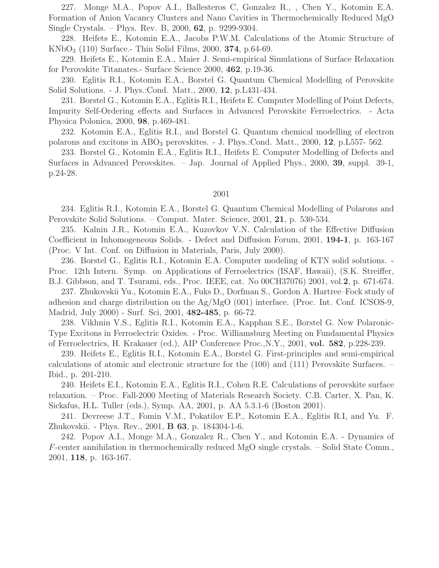227. Monge M.A., Popov A.I., Ballesteros C, Gonzalez R., , Chen Y., Kotomin E.A. Formation of Anion Vacancy Clusters and Nano Cavities in Thermochemically Reduced MgO Single Crystals. – Phys. Rev. B, 2000, 62, p. 9299-9304.

228. Heifets E., Kotomin E.A., Jacobs P.W.M. Calculations of the Atomic Structure of  $KNbO<sub>3</sub>$  (110) Surface.- Thin Solid Films, 2000, **374**, p.64-69.

229. Heifets E., Kotomin E.A., Maier J. Semi-empirical Simulations of Surface Relaxation for Perovskite Titanates.- Surface Science 2000, 462, p.19-36.

230. Eglitis R.I., Kotomin E.A., Borstel G. Quantum Chemical Modelling of Perovskite Solid Solutions. - J. Phys.:Cond. Matt., 2000, 12, p.L431-434.

231. Borstel G., Kotomin E.A., Eglitis R.I., Heifets E. Computer Modelling of Point Defects, Impurity Self-Ordering effects and Surfaces in Advanced Perovskite Ferroelectrics. - Acta Physica Polonica, 2000, 98, p.469-481.

232. Kotomin E.A., Eglitis R.I., and Borstel G. Quantum chemical modelling of electron polarons and excitons in ABO<sup>3</sup> perovskites. - J. Phys.:Cond. Matt., 2000, 12, p.L557- 562.

233. Borstel G., Kotomin E.A., Eglitis R.I., Heifets E. Computer Modelling of Defects and Surfaces in Advanced Perovskites. – Jap. Journal of Applied Phys., 2000, 39, suppl. 39-1, p.24-28.

## 2001

234. Eglitis R.I., Kotomin E.A., Borstel G. Quantum Chemical Modelling of Polarons and Perovskite Solid Solutions. – Comput. Mater. Science, 2001, 21, p. 530-534.

235. Kalnin J.R., Kotomin E.A., Kuzovkov V.N. Calculation of the Effective Diffusion Coefficient in Inhomogeneous Solids. - Defect and Diffusion Forum, 2001, 194-1, p. 163-167 (Proc. V Int. Conf. on Diffusion in Materials, Paris, July 2000).

236. Borstel G., Eglitis R.I., Kotomin E.A. Computer modeling of KTN solid solutions. - Proc. 12th Intern. Symp. on Applications of Ferroelectrics (ISAF, Hawaii), (S.K. Streiffer, B.J. Gibbson, and T. Tsurami, eds., Proc. IEEE, cat. No 00CH37076) 2001, vol.2, p. 671-674.

237. Zhukovskii Yu., Kotomin E.A., Fuks D., Dorfman S., Gordon A. Hartree–Fock study of adhesion and charge distribution on the Ag/MgO (001) interface. (Proc. Int. Conf. ICSOS-9, Madrid, July 2000) - Surf. Sci, 2001, 482-485, p. 66-72.

238. Vikhnin V.S., Eglitis R.I., Kotomin E.A., Kapphan S.E., Borstel G. New Polaronic-Type Excitons in Ferroelectric Oxides. - Proc. Williamsburg Meeting on Fundamental Physics of Ferroelectrics, H. Krakauer (ed.), AIP Conference Proc.,N.Y., 2001, vol. 582, p.228-239.

239. Heifets E., Eglitis R.I., Kotomin E.A., Borstel G. First-principles and semi-empirical calculations of atomic and electronic structure for the (100) and (111) Perovskite Surfaces. – Ibid., p. 201-210.

240. Heifets E.I., Kotomin E.A., Eglitis R.I., Cohen R.E. Calculations of perovskite surface relaxation. – Proc. Fall-2000 Meeting of Materials Research Society. C.B. Carter, X. Pan, K. Sickafus, H.L. Tuller (eds.), Symp. AA, 2001, p. AA 5.3.1-6 (Boston 2001).

241. Devreese J.T., Fomin V.M., Pokatilov E.P., Kotomin E.A., Eglitis R.I, and Yu. F. Zhukovskii. - Phys. Rev., 2001, B 63, p. 184304-1-6.

242. Popov A.I., Monge M.A., Gonzalez R., Chen Y., and Kotomin E.A. - Dynamics of F-center annihilation in thermochemically reduced MgO single crystals. – Solid State Comm., 2001, 118, p. 163-167.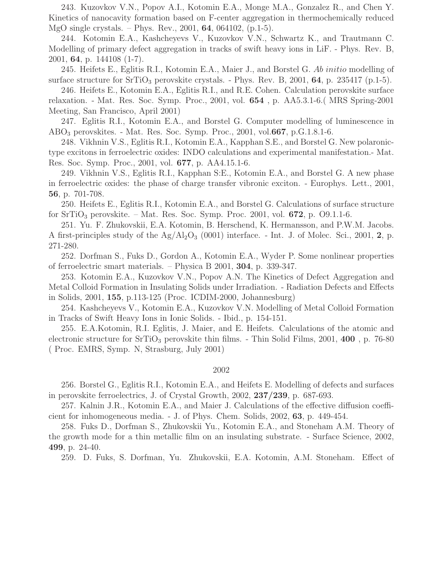243. Kuzovkov V.N., Popov A.I., Kotomin E.A., Monge M.A., Gonzalez R., and Chen Y. Kinetics of nanocavity formation based on F-center aggregation in thermochemically reduced MgO single crystals. – Phys. Rev., 2001, 64, 064102, (p.1-5).

244. Kotomin E.A., Kashcheyevs V., Kuzovkov V.N., Schwartz K., and Trautmann C. Modelling of primary defect aggregation in tracks of swift heavy ions in LiF. - Phys. Rev. B, 2001, 64, p. 144108 (1-7).

245. Heifets E., Eglitis R.I., Kotomin E.A., Maier J., and Borstel G. Ab initio modelling of surface structure for  $SrTiO<sub>3</sub>$  perovskite crystals. - Phys. Rev. B, 2001, 64, p. 235417 (p.1-5).

246. Heifets E., Kotomin E.A., Eglitis R.I., and R.E. Cohen. Calculation perovskite surface relaxation. - Mat. Res. Soc. Symp. Proc., 2001, vol. 654 , p. AA5.3.1-6.( MRS Spring-2001 Meeting, San Francisco, April 2001)

247. Eglitis R.I., Kotomin E.A., and Borstel G. Computer modelling of luminescence in  $ABO<sub>3</sub>$  perovskites. - Mat. Res. Soc. Symp. Proc., 2001, vol.667, p.G.1.8.1-6.

248. Vikhnin V.S., Eglitis R.I., Kotomin E.A., Kapphan S.E., and Borstel G. New polaronictype excitons in ferroelectric oxides: INDO calculations and experimental manifestation.- Mat. Res. Soc. Symp. Proc., 2001, vol. 677, p. AA4.15.1-6.

249. Vikhnin V.S., Eglitis R.I., Kapphan S:E., Kotomin E.A., and Borstel G. A new phase in ferroelectric oxides: the phase of charge transfer vibronic exciton. - Europhys. Lett., 2001, 56, p. 701-708.

250. Heifets E., Eglitis R.I., Kotomin E.A., and Borstel G. Calculations of surface structure for  $SrTiO<sub>3</sub>$  perovskite. – Mat. Res. Soc. Symp. Proc. 2001, vol.  $672$ , p.  $O9.1.1-6$ .

251. Yu. F. Zhukovskii, E.A. Kotomin, B. Herschend, K. Hermansson, and P.W.M. Jacobs. A first-principles study of the  $Ag/Al_2O_3$  (0001) interface. - Int. J. of Molec. Sci., 2001, 2, p. 271-280.

252. Dorfman S., Fuks D., Gordon A., Kotomin E.A., Wyder P. Some nonlinear properties of ferroelectric smart materials. – Physica B 2001, 304, p. 339-347.

253. Kotomin E.A., Kuzovkov V.N., Popov A.N. The Kinetics of Defect Aggregation and Metal Colloid Formation in Insulating Solids under Irradiation. - Radiation Defects and Effects in Solids, 2001, 155, p.113-125 (Proc. ICDIM-2000, Johannesburg)

254. Kashcheyevs V., Kotomin E.A., Kuzovkov V.N. Modelling of Metal Colloid Formation in Tracks of Swift Heavy Ions in Ionic Solids. - Ibid., p. 154-151.

255. E.A.Kotomin, R.I. Eglitis, J. Maier, and E. Heifets. Calculations of the atomic and electronic structure for  $SrTiO<sub>3</sub>$  perovskite thin films. - Thin Solid Films, 2001, 400, p. 76-80 ( Proc. EMRS, Symp. N, Strasburg, July 2001)

## 2002

256. Borstel G., Eglitis R.I., Kotomin E.A., and Heifets E. Modelling of defects and surfaces in perovskite ferroelectrics, J. of Crystal Growth, 2002, 237/239, p. 687-693.

257. Kalnin J.R., Kotomin E.A., and Maier J. Calculations of the effective diffusion coefficient for inhomogeneous media. - J. of Phys. Chem. Solids, 2002, 63, p. 449-454.

258. Fuks D., Dorfman S., Zhukovskii Yu., Kotomin E.A., and Stoneham A.M. Theory of the growth mode for a thin metallic film on an insulating substrate. - Surface Science, 2002, 499, p. 24-40.

259. D. Fuks, S. Dorfman, Yu. Zhukovskii, E.A. Kotomin, A.M. Stoneham. Effect of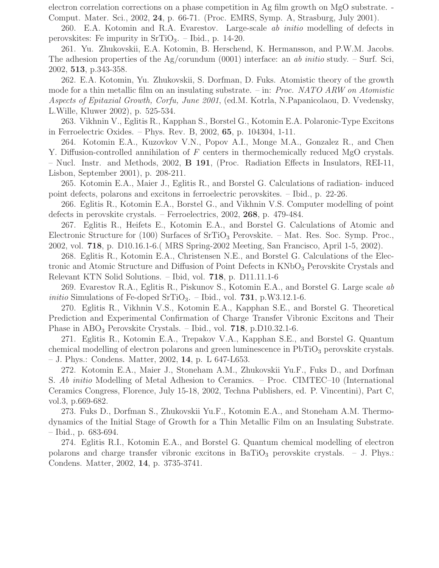electron correlation corrections on a phase competition in Ag film growth on MgO substrate. - Comput. Mater. Sci., 2002, 24, p. 66-71. (Proc. EMRS, Symp. A, Strasburg, July 2001).

260. E.A. Kotomin and R.A. Evarestov. Large-scale ab initio modelling of defects in perovskites: Fe impurity in  $SrTiO<sub>3</sub>$ . – Ibid., p. 14-20.

261. Yu. Zhukovskii, E.A. Kotomin, B. Herschend, K. Hermansson, and P.W.M. Jacobs. The adhesion properties of the Ag/corundum (0001) interface: an ab initio study. – Surf. Sci, 2002, 513, p.343-358.

262. E.A. Kotomin, Yu. Zhukovskii, S. Dorfman, D. Fuks. Atomistic theory of the growth mode for a thin metallic film on an insulating substrate. – in: *Proc. NATO ARW on Atomistic* Aspects of Epitaxial Growth, Corfu, June 2001, (ed.M. Kotrla, N.Papanicolaou, D. Vvedensky, L.Wille, Kluwer 2002), p. 525-534.

263. Vikhnin V., Eglitis R., Kapphan S., Borstel G., Kotomin E.A. Polaronic-Type Excitons in Ferroelectric Oxides. – Phys. Rev. B, 2002, 65, p. 104304, 1-11.

264. Kotomin E.A., Kuzovkov V.N., Popov A.I., Monge M.A., Gonzalez R., and Chen Y. Diffusion-controlled annihilation of F centers in thermochemically reduced MgO crystals. – Nucl. Instr. and Methods, 2002, B 191, (Proc. Radiation Effects in Insulators, REI-11, Lisbon, September 2001), p. 208-211.

265. Kotomin E.A., Maier J., Eglitis R., and Borstel G. Calculations of radiation- induced point defects, polarons and excitons in ferroelectric perovskites. – Ibid., p. 22-26.

266. Eglitis R., Kotomin E.A., Borstel G., and Vikhnin V.S. Computer modelling of point defects in perovskite crystals. – Ferroelectrics, 2002, 268, p. 479-484.

267. Eglitis R., Heifets E., Kotomin E.A., and Borstel G. Calculations of Atomic and Electronic Structure for (100) Surfaces of  $SrTiO<sub>3</sub>$  Perovskite. – Mat. Res. Soc. Symp. Proc., 2002, vol. 718, p. D10.16.1-6.( MRS Spring-2002 Meeting, San Francisco, April 1-5, 2002).

268. Eglitis R., Kotomin E.A., Christensen N.E., and Borstel G. Calculations of the Electronic and Atomic Structure and Diffusion of Point Defects in KNbO<sub>3</sub> Perovskite Crystals and Relevant KTN Solid Solutions. – Ibid, vol. 718, p. D11.11.1-6

269. Evarestov R.A., Eglitis R., Piskunov S., Kotomin E.A., and Borstel G. Large scale ab *initio* Simulations of Fe-doped SrTiO<sub>3</sub>. – Ibid., vol. **731**, p.W3.12.1-6.

270. Eglitis R., Vikhnin V.S., Kotomin E.A., Kapphan S.E., and Borstel G. Theoretical Prediction and Experimental Confirmation of Charge Transfer Vibronic Excitons and Their Phase in  $ABO<sub>3</sub>$  Perovskite Crystals. – Ibid., vol. **718**, p.D10.32.1-6.

271. Eglitis R., Kotomin E.A., Trepakov V.A., Kapphan S.E., and Borstel G. Quantum chemical modelling of electron polarons and green luminescence in PbTiO<sub>3</sub> perovskite crystals. – J. Phys.: Condens. Matter, 2002, 14, p. L 647-L653.

272. Kotomin E.A., Maier J., Stoneham A.M., Zhukovskii Yu.F., Fuks D., and Dorfman S. Ab initio Modelling of Metal Adhesion to Ceramics. – Proc. CIMTEC–10 (International Ceramics Congress, Florence, July 15-18, 2002, Techna Publishers, ed. P. Vincentini), Part C, vol.3, p.669-682.

273. Fuks D., Dorfman S., Zhukovskii Yu.F., Kotomin E.A., and Stoneham A.M. Thermodynamics of the Initial Stage of Growth for a Thin Metallic Film on an Insulating Substrate. – Ibid., p. 683-694.

274. Eglitis R.I., Kotomin E.A., and Borstel G. Quantum chemical modelling of electron polarons and charge transfer vibronic excitons in  $BaTiO<sub>3</sub>$  perovskite crystals.  $-$  J. Phys.: Condens. Matter, 2002, 14, p. 3735-3741.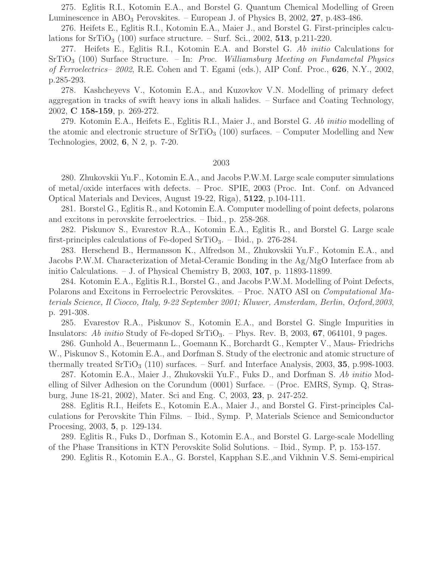275. Eglitis R.I., Kotomin E.A., and Borstel G. Quantum Chemical Modelling of Green Luminescence in ABO<sub>3</sub> Perovskites. – European J. of Physics B, 2002, 27, p.483-486.

276. Heifets E., Eglitis R.I., Kotomin E.A., Maier J., and Borstel G. First-principles calculations for  $SrTiO<sub>3</sub>$  (100) surface structure. – Surf. Sci., 2002, 513, p.211-220.

277. Heifets E., Eglitis R.I., Kotomin E.A. and Borstel G. Ab initio Calculations for  $SrTiO<sub>3</sub>$  (100) Surface Structure. – In: Proc. Williamsburg Meeting on Fundametal Physics of Ferroelectrics– 2002, R.E. Cohen and T. Egami (eds.), AIP Conf. Proc., 626, N.Y., 2002, p.285-293.

278. Kashcheyevs V., Kotomin E.A., and Kuzovkov V.N. Modelling of primary defect aggregation in tracks of swift heavy ions in alkali halides. – Surface and Coating Technology, 2002, C 158-159, p. 269-272.

279. Kotomin E.A., Heifets E., Eglitis R.I., Maier J., and Borstel G. Ab initio modelling of the atomic and electronic structure of  $\rm SrTiO_3$  (100) surfaces. – Computer Modelling and New Technologies, 2002, 6, N 2, p. 7-20.

## 2003

280. Zhukovskii Yu.F., Kotomin E.A., and Jacobs P.W.M. Large scale computer simulations of metal/oxide interfaces with defects. – Proc. SPIE, 2003 (Proc. Int. Conf. on Advanced Optical Materials and Devices, August 19-22, Riga), 5122, p.104-111.

281. Borstel G., Eglitis R., and Kotomin E.A. Computer modelling of point defects, polarons and excitons in perovskite ferroelectrics. – Ibid., p. 258-268.

282. Piskunov S., Evarestov R.A., Kotomin E.A., Eglitis R., and Borstel G. Large scale first-principles calculations of Fe-doped SrTiO<sub>3</sub>. – Ibid., p. 276-284.

283. Herschend B., Hermansson K., Alfredson M., Zhukovskii Yu.F., Kotomin E.A., and Jacobs P.W.M. Characterization of Metal-Ceramic Bonding in the Ag/MgO Interface from ab initio Calculations.  $-$  J. of Physical Chemistry B, 2003, 107, p. 11893-11899.

284. Kotomin E.A., Eglitis R.I., Borstel G., and Jacobs P.W.M. Modelling of Point Defects, Polarons and Excitons in Ferroelectric Perovskites. – Proc. NATO ASI on Computational Materials Science, Il Ciocco, Italy, 9-22 September 2001; Kluwer, Amsterdam, Berlin, Oxford,2003, p. 291-308.

285. Evarestov R.A., Piskunov S., Kotomin E.A., and Borstel G. Single Impurities in Insulators: Ab initio Study of Fe-doped SrTiO<sub>3</sub>. – Phys. Rev. B, 2003, 67, 064101, 9 pages.

286. Gunhold A., Beuermann L., Goemann K., Borchardt G., Kempter V., Maus- Friedrichs W., Piskunov S., Kotomin E.A., and Dorfman S. Study of the electronic and atomic structure of thermally treated  $SriO<sub>3</sub> (110)$  surfaces. – Surf. and Interface Analysis, 2003, 35, p.998-1003.

287. Kotomin E.A., Maier J., Zhukovskii Yu.F., Fuks D., and Dorfman S. Ab initio Modelling of Silver Adhesion on the Corundum (0001) Surface. – (Proc. EMRS, Symp. Q, Strasburg, June 18-21, 2002), Mater. Sci and Eng. C, 2003, 23, p. 247-252.

288. Eglitis R.I., Heifets E., Kotomin E.A., Maier J., and Borstel G. First-principles Calculations for Perovskite Thin Films. – Ibid., Symp. P, Materials Science and Semiconductor Procesing, 2003, 5, p. 129-134.

289. Eglitis R., Fuks D., Dorfman S., Kotomin E.A., and Borstel G. Large-scale Modelling of the Phase Transitions in KTN Perovskite Solid Solutions. – Ibid., Symp. P, p. 153-157.

290. Eglitis R., Kotomin E.A., G. Borstel, Kapphan S.E.,and Vikhnin V.S. Semi-empirical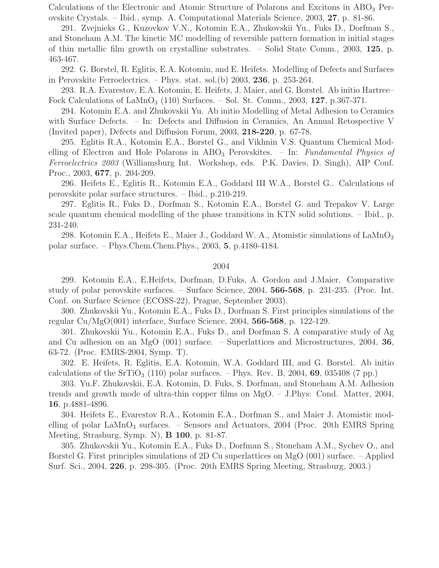Calculations of the Electronic and Atomic Structure of Polarons and Excitons in ABO<sub>3</sub> Perovskite Crystals. – Ibid., symp. A. Computational Materials Science, 2003, 27, p. 81-86.

291. Zvejnieks G., Kuzovkov V.N., Kotomin E.A., Zhukovskii Yu., Fuks D., Dorfman S., and Stoneham A.M. The kinetic MC modelling of reversible pattern formation in initial stages of thin metallic film growth on crystalline substrates. – Solid State Comm., 2003, 125, p. 463-467.

292. G. Borstel, R. Eglitis, E.A. Kotomin, and E. Heifets. Modelling of Defects and Surfaces in Perovskite Ferroelectrics. – Phys. stat. sol.(b)  $2003$ ,  $236$ , p.  $253-264$ .

293. R.A. Evarestov, E.A. Kotomin, E. Heifets, J. Maier, and G. Borstel. Ab initio Hartree– Fock Calculations of  $\text{LaMnO}_3$  (110) Surfaces. – Sol. St. Comm., 2003, 127, p.367-371.

294. Kotomin E.A. and Zhukovskii Yu. Ab initio Modelling of Metal Adhesion to Ceramics with Surface Defects. – In: Defects and Diffusion in Ceramics, An Annual Retospective V (Invited paper), Defects and Diffusion Forum, 2003, 218-220, p. 67-78.

295. Eglitis R.A., Kotomin E.A., Borstel G., and Vikhnin V.S. Quantum Chemical Modelling of Electron and Hole Polarons in  $ABO<sub>3</sub>$  Perovskites. – In: Fundamental Physics of Ferroelectrics 2003 (Williamsburg Int. Workshop, eds. P.K. Davies, D. Singh), AIP Conf. Proc., 2003, 677, p. 204-209.

296. Heifets E., Eglitis R., Kotomin E.A., Goddard III W.A., Borstel G.. Calculations of perovskite polar surface structures. – Ibid., p.210-219.

297. Eglitis R., Fuks D., Dorfman S., Kotomin E.A., Borstel G. and Trepakov V. Large scale quantum chemical modelling of the phase transitions in KTN solid solutions. – Ibid., p. 231-240.

298. Kotomin E.A., Heifets E., Maier J., Goddard W. A., Atomistic simulations of  $\text{LaMnO}_3$ polar surface. – Phys.Chem.Chem.Phys., 2003, 5, p.4180-4184.

## 2004

299. Kotomin E.A., E.Heifets, Dorfman, D.Fuks, A. Gordon and J.Maier. Comparative study of polar perovskite surfaces. – Surface Science, 2004, 566-568, p. 231-235. (Proc. Int. Conf. on Surface Science (ECOSS-22), Prague, September 2003).

300. Zhukovskii Yu., Kotomin E.A., Fuks D., Dorfman S. First principles simulations of the regular Cu/MgO(001) interface, Surface Science, 2004, 566-568, p. 122-129.

301. Zhukovskii Yu., Kotomin E.A., Fuks D., and Dorfman S. A comparative study of Ag and Cu adhesion on an MgO  $(001)$  surface. – Superlattices and Microstructures, 2004, 36, 63-72. (Proc. EMRS-2004, Symp. T).

302. E. Heifets, R. Eglitis, E.A. Kotomin, W.A. Goddard III, and G. Borstel. Ab initio calculations of the  $SrTiO<sub>3</sub>$  (110) polar surfaces. – Phys. Rev. B, 2004, 69, 035408 (7 pp.)

303. Yu.F. Zhukovskii, E.A. Kotomin, D. Fuks, S. Dorfman, and Stoneham A.M. Adhesion trends and growth mode of ultra-thin copper films on MgO. – J.Phys: Cond. Matter, 2004, 16, p.4881-4896.

304. Heifets E., Evarestov R.A., Kotomin E.A., Dorfman S., and Maier J. Atomistic modelling of polar  $\text{LaMnO}_3$  surfaces. – Sensors and Actuators, 2004 (Proc. 20th EMRS Spring Meeting, Strasburg, Symp. N), B 100, p. 81-87.

305. Zhukovskii Yu., Kotomin E.A., Fuks D., Dorfman S., Stoneham A.M., Sychev O., and Borstel G. First principles simulations of 2D Cu superlattices on MgO (001) surface. – Applied Surf. Sci., 2004, 226, p. 298-305. (Proc. 20th EMRS Spring Meeting, Strasburg, 2003.)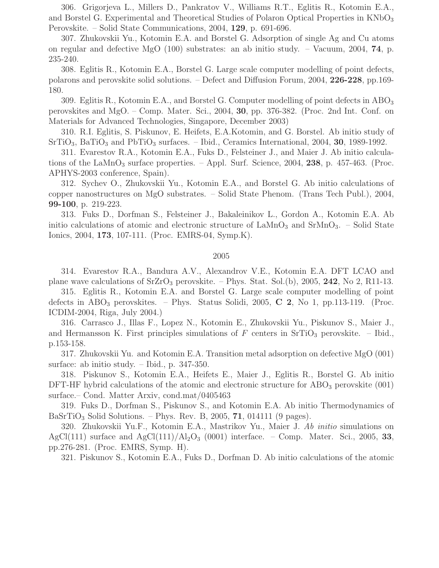306. Grigorjeva L., Millers D., Pankratov V., Williams R.T., Eglitis R., Kotomin E.A., and Borstel G. Experimental and Theoretical Studies of Polaron Optical Properties in KNbO<sub>3</sub> Perovskite. – Solid State Communications, 2004, 129, p. 691-696.

307. Zhukovskii Yu., Kotomin E.A. and Borstel G. Adsorption of single Ag and Cu atoms on regular and defective MgO (100) substrates: an ab initio study. – Vacuum, 2004, 74, p. 235-240.

308. Eglitis R., Kotomin E.A., Borstel G. Large scale computer modelling of point defects, polarons and perovskite solid solutions. – Defect and Diffusion Forum, 2004, 226-228, pp.169- 180.

309. Eglitis R., Kotomin E.A., and Borstel G. Computer modelling of point defects in  $\text{ABO}_3$ perovskites and MgO. – Comp. Mater. Sci., 2004, 30, pp. 376-382. (Proc. 2nd Int. Conf. on Materials for Advanced Technologies, Singapore, December 2003)

310. R.I. Eglitis, S. Piskunov, E. Heifets, E.A.Kotomin, and G. Borstel. Ab initio study of  $SrTiO<sub>3</sub>, BaTiO<sub>3</sub>$  and  $PbTiO<sub>3</sub>$  surfaces. – Ibid., Ceramics International, 2004, 30, 1989-1992.

311. Evarestov R.A., Kotomin E.A., Fuks D., Felsteiner J., and Maier J. Ab initio calculations of the LaMnO<sub>3</sub> surface properties. – Appl. Surf. Science, 2004, 238, p. 457-463. (Proc. APHYS-2003 conference, Spain).

312. Sychev O., Zhukovskii Yu., Kotomin E.A., and Borstel G. Ab initio calculations of copper nanostructures on MgO substrates. – Solid State Phenom. (Trans Tech Publ.), 2004, 99-100, p. 219-223.

313. Fuks D., Dorfman S., Felsteiner J., Bakaleinikov L., Gordon A., Kotomin E.A. Ab initio calculations of atomic and electronic structure of  $\text{LaMnO}_3$  and  $\text{SrMnO}_3$ . – Solid State Ionics, 2004, 173, 107-111. (Proc. EMRS-04, Symp.K).

## 2005

314. Evarestov R.A., Bandura A.V., Alexandrov V.E., Kotomin E.A. DFT LCAO and plane wave calculations of  $SrZrO<sub>3</sub>$  perovskite. – Phys. Stat. Sol.(b), 2005, 242, No 2, R11-13.

315. Eglitis R., Kotomin E.A. and Borstel G. Large scale computer modelling of point defects in  $ABO_3$  perovskites. – Phys. Status Solidi, 2005, C 2, No 1, pp.113-119. (Proc. ICDIM-2004, Riga, July 2004.)

316. Carrasco J., Illas F., Lopez N., Kotomin E., Zhukovskii Yu., Piskunov S., Maier J., and Hermansson K. First principles simulations of F centers in  $SrTiO<sub>3</sub>$  perovskite. – Ibid., p.153-158.

317. Zhukovskii Yu. and Kotomin E.A. Transition metal adsorption on defective MgO (001) surface: ab initio study. – Ibid., p. 347-350.

318. Piskunov S., Kotomin E.A., Heifets E., Maier J., Eglitis R., Borstel G. Ab initio DFT-HF hybrid calculations of the atomic and electronic structure for  $\text{ABO}_3$  perovskite (001) surface.– Cond. Matter Arxiv, cond.mat/0405463

319. Fuks D., Dorfman S., Piskunov S., and Kotomin E.A. Ab initio Thermodynamics of BaSrTiO<sub>3</sub> Solid Solutions. – Phys. Rev. B, 2005, 71, 014111 (9 pages).

320. Zhukovskii Yu.F., Kotomin E.A., Mastrikov Yu., Maier J. Ab initio simulations on AgCl(111) surface and AgCl(111)/Al<sub>2</sub>O<sub>3</sub> (0001) interface. – Comp. Mater. Sci., 2005, 33, pp.276-281. (Proc. EMRS, Symp. H).

321. Piskunov S., Kotomin E.A., Fuks D., Dorfman D. Ab initio calculations of the atomic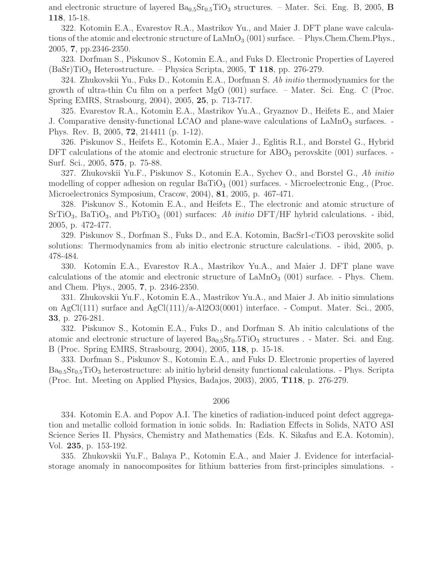and electronic structure of layered  $Ba_{0.5}Sr_{0.5}TiO_3$  structures. – Mater. Sci. Eng. B, 2005, B 118, 15-18.

322. Kotomin E.A., Evarestov R.A., Mastrikov Yu., and Maier J. DFT plane wave calculations of the atomic and electronic structure of  $\text{LaMnO}_3$  (001) surface. – Phys. Chem. Chem. Phys., 2005, 7, pp.2346-2350.

323. Dorfman S., Piskunov S., Kotomin E.A., and Fuks D. Electronic Properties of Layered  $(BaSr)TiO<sub>3</sub> Heterostructure. - Physica Scripta, 2005, T 118, pp. 276-279.$ 

324. Zhukovskii Yu., Fuks D., Kotomin E.A., Dorfman S. Ab initio thermodynamics for the growth of ultra-thin Cu film on a perfect MgO (001) surface. – Mater. Sci. Eng. C (Proc. Spring EMRS, Strasbourg, 2004), 2005, 25, p. 713-717.

325. Evarestov R.A., Kotomin E.A., Mastrikov Yu.A., Gryaznov D., Heifets E., and Maier J. Comparative density-functional LCAO and plane-wave calculations of  $\text{LaMnO}_3$  surfaces. Phys. Rev. B, 2005, 72, 214411 (p. 1-12).

326. Piskunov S., Heifets E., Kotomin E.A., Maier J., Eglitis R.I., and Borstel G., Hybrid DFT calculations of the atomic and electronic structure for  $\text{ABO}_3$  perovskite (001) surfaces. Surf. Sci., 2005, 575, p. 75-88.

327. Zhukovskii Yu.F., Piskunov S., Kotomin E.A., Sychev O., and Borstel G., Ab initio modelling of copper adhesion on regular  $BaTiO<sub>3</sub>$  (001) surfaces. - Microelectronic Eng., (Proc. Microelectronics Symposium, Cracow, 2004), 81, 2005, p. 467-471.

328. Piskunov S., Kotomin E.A., and Heifets E., The electronic and atomic structure of  $\text{SrTiO}_3$ , BaTiO<sub>3</sub>, and PbTiO<sub>3</sub> (001) surfaces: Ab initio DFT/HF hybrid calculations. - ibid, 2005, p. 472-477.

329. Piskunov S., Dorfman S., Fuks D., and E.A. Kotomin, BacSr1-cTiO3 perovskite solid solutions: Thermodynamics from ab initio electronic structure calculations. - ibid, 2005, p. 478-484.

330. Kotomin E.A., Evarestov R.A., Mastrikov Yu.A., and Maier J. DFT plane wave calculations of the atomic and electronic structure of  $\text{LAMnO}_3$  (001) surface. - Phys. Chem. and Chem. Phys., 2005, 7, p. 2346-2350.

331. Zhukovskii Yu.F., Kotomin E.A., Mastrikov Yu.A., and Maier J. Ab initio simulations on  $AgCl(111)$  surface and  $AgCl(111)/a-Al2O3(0001)$  interface. - Comput. Mater. Sci., 2005, 33, p. 276-281.

332. Piskunov S., Kotomin E.A., Fuks D., and Dorfman S. Ab initio calculations of the atomic and electronic structure of layered  $Ba_{0.5}Sr_0.5TiO_3$  structures . - Mater. Sci. and Eng. B (Proc. Spring EMRS, Strasbourg, 2004), 2005, 118, p. 15-18.

333. Dorfman S., Piskunov S., Kotomin E.A., and Fuks D. Electronic properties of layered  $Ba<sub>0.5</sub>Sr<sub>0.5</sub>TiO<sub>3</sub>$  heterostructure: ab initio hybrid density functional calculations. - Phys. Scripta (Proc. Int. Meeting on Applied Physics, Badajos, 2003), 2005, T118, p. 276-279.

## 2006

334. Kotomin E.A. and Popov A.I. The kinetics of radiation-induced point defect aggregation and metallic colloid formation in ionic solids. In: Radiation Effects in Solids, NATO ASI Science Series II. Physics, Chemistry and Mathematics (Eds. K. Sikafus and E.A. Kotomin), Vol. 235, p. 153-192.

335. Zhukovskii Yu.F., Balaya P., Kotomin E.A., and Maier J. Evidence for interfacialstorage anomaly in nanocomposites for lithium batteries from first-principles simulations. -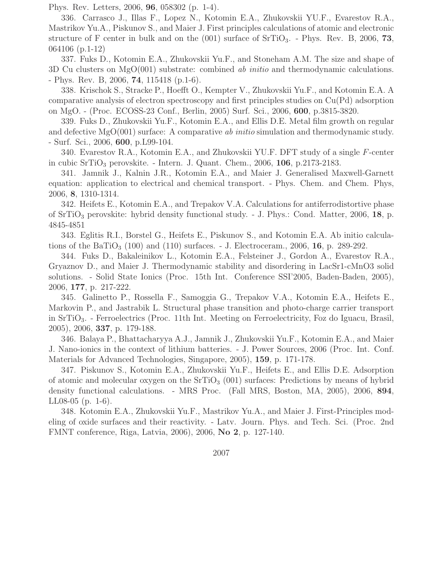Phys. Rev. Letters, 2006, 96, 058302 (p. 1-4).

336. Carrasco J., Illas F., Lopez N., Kotomin E.A., Zhukovskii YU.F., Evarestov R.A., Mastrikov Yu.A., Piskunov S., and Maier J. First principles calculations of atomic and electronic structure of F center in bulk and on the  $(001)$  surface of  $SrTiO<sub>3</sub>$ . - Phys. Rev. B, 2006, 73, 064106 (p.1-12)

337. Fuks D., Kotomin E.A., Zhukovskii Yu.F., and Stoneham A.M. The size and shape of 3D Cu clusters on MgO(001) substrate: combined *ab initio* and thermodynamic calculations. - Phys. Rev. B, 2006, 74, 115418 (p.1-6).

338. Krischok S., Stracke P., Hoefft O., Kempter V., Zhukovskii Yu.F., and Kotomin E.A. A comparative analysis of electron spectroscopy and first principles studies on Cu(Pd) adsorption on MgO. - (Proc. ECOSS-23 Conf., Berlin, 2005) Surf. Sci., 2006, 600, p.3815-3820.

339. Fuks D., Zhukovskii Yu.F., Kotomin E.A., and Ellis D.E. Metal film growth on regular and defective  $MgO(001)$  surface: A comparative ab initio simulation and thermodynamic study. - Surf. Sci., 2006, 600, p.L99-104.

340. Evarestov R.A., Kotomin E.A., and Zhukovskii YU.F. DFT study of a single F-center in cubic  $SrTiO<sub>3</sub>$  perovskite. - Intern. J. Quant. Chem., 2006, 106, p.2173-2183.

341. Jamnik J., Kalnin J.R., Kotomin E.A., and Maier J. Generalised Maxwell-Garnett equation: application to electrical and chemical transport. - Phys. Chem. and Chem. Phys, 2006, 8, 1310-1314.

342. Heifets E., Kotomin E.A., and Trepakov V.A. Calculations for antiferrodistortive phase of  $SrTiO<sub>3</sub>$  perovskite: hybrid density functional study. - J. Phys.: Cond. Matter, 2006, 18, p. 4845-4851

343. Eglitis R.I., Borstel G., Heifets E., Piskunov S., and Kotomin E.A. Ab initio calculations of the BaTiO<sub>3</sub> (100) and (110) surfaces.  $-$  J. Electroceram., 2006, 16, p. 289-292.

344. Fuks D., Bakaleinikov L., Kotomin E.A., Felsteiner J., Gordon A., Evarestov R.A., Gryaznov D., and Maier J. Thermodynamic stability and disordering in LacSr1-cMnO3 solid solutions. - Solid State Ionics (Proc. 15th Int. Conference SSI'2005, Baden-Baden, 2005), 2006, 177, p. 217-222.

345. Galinetto P., Rossella F., Samoggia G., Trepakov V.A., Kotomin E.A., Heifets E., Markovin P., and Jastrabik L. Structural phase transition and photo-charge carrier transport in SrTiO3. - Ferroelectrics (Proc. 11th Int. Meeting on Ferroelectricity, Foz do Iguacu, Brasil, 2005), 2006, 337, p. 179-188.

346. Balaya P., Bhattacharyya A.J., Jamnik J., Zhukovskii Yu.F., Kotomin E.A., and Maier J. Nano-ionics in the context of lithium batteries. - J. Power Sources, 2006 (Proc. Int. Conf. Materials for Advanced Technologies, Singapore, 2005), 159, p. 171-178.

347. Piskunov S., Kotomin E.A., Zhukovskii Yu.F., Heifets E., and Ellis D.E. Adsorption of atomic and molecular oxygen on the  $SrTiO<sub>3</sub>$  (001) surfaces: Predictions by means of hybrid density functional calculations. - MRS Proc. (Fall MRS, Boston, MA, 2005), 2006, 894, LL08-05 (p. 1-6).

348. Kotomin E.A., Zhukovskii Yu.F., Mastrikov Yu.A., and Maier J. First-Principles modeling of oxide surfaces and their reactivity. - Latv. Journ. Phys. and Tech. Sci. (Proc. 2nd FMNT conference, Riga, Latvia, 2006), 2006, No 2, p. 127-140.

2007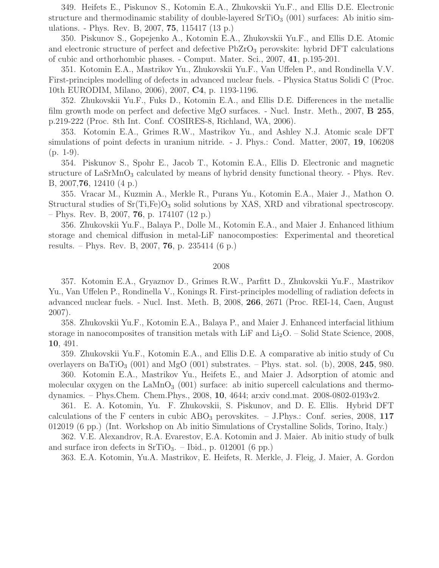349. Heifets E., Piskunov S., Kotomin E.A., Zhukovskii Yu.F., and Ellis D.E. Electronic structure and thermodinamic stability of double-layered  $SrTiO<sub>3</sub>$  (001) surfaces: Ab initio simulations. - Phys. Rev. B, 2007, 75, 115417 (13 p.)

350. Piskunov S., Gopejenko A., Kotomin E.A., Zhukovskii Yu.F., and Ellis D.E. Atomic and electronic structure of perfect and defective  $PbZrO<sub>3</sub>$  perovskite: hybrid DFT calculations of cubic and orthorhombic phases. - Comput. Mater. Sci., 2007, 41, p.195-201.

351. Kotomin E.A., Mastrikov Yu., Zhukovskii Yu.F., Van Uffelen P., and Rondinella V.V. First-principles modelling of defects in advanced nuclear fuels. - Physica Status Solidi C (Proc. 10th EURODIM, Milano, 2006), 2007, C4, p. 1193-1196.

352. Zhukovskii Yu.F., Fuks D., Kotomin E.A., and Ellis D.E. Differences in the metallic film growth mode on perfect and defective MgO surfaces. - Nucl. Instr. Meth., 2007, B 255, p.219-222 (Proc. 8th Int. Conf. COSIRES-8, Richland, WA, 2006).

353. Kotomin E.A., Grimes R.W., Mastrikov Yu., and Ashley N.J. Atomic scale DFT simulations of point defects in uranium nitride. - J. Phys.: Cond. Matter, 2007, 19, 106208 (p. 1-9).

354. Piskunov S., Spohr E., Jacob T., Kotomin E.A., Ellis D. Electronic and magnetic structure of  $\text{LaSrMnO}_3$  calculated by means of hybrid density functional theory. - Phys. Rev. B, 2007,76, 12410 (4 p.)

355. Vracar M., Kuzmin A., Merkle R., Purans Yu., Kotomin E.A., Maier J., Mathon O. Structural studies of  $Sr(Ti,Fe)O<sub>3</sub>$  solid solutions by XAS, XRD and vibrational spectroscopy.  $-$  Phys. Rev. B, 2007, 76, p. 174107 (12 p.)

356. Zhukovskii Yu.F., Balaya P., Dolle M., Kotomin E.A., and Maier J. Enhanced lithium storage and chemical diffusion in metal-LiF nanocomposties: Experimental and theoretical results. – Phys. Rev. B, 2007, 76, p. 235414 (6 p.)

## 2008

357. Kotomin E.A., Gryaznov D., Grimes R.W., Parfitt D., Zhukovskii Yu.F., Mastrikov Yu., Van Uffelen P., Rondinella V., Konings R. First-principles modelling of radiation defects in advanced nuclear fuels. - Nucl. Inst. Meth. B, 2008, 266, 2671 (Proc. REI-14, Caen, August 2007).

358. Zhukovskii Yu.F., Kotomin E.A., Balaya P., and Maier J. Enhanced interfacial lithium storage in nanocomposites of transition metals with LiF and  $Li<sub>2</sub>O$ . – Solid State Science, 2008, 10, 491.

359. Zhukovskii Yu.F., Kotomin E.A., and Ellis D.E. A comparative ab initio study of Cu overlayers on BaTiO<sub>3</sub> (001) and MgO (001) substrates. – Phys. stat. sol. (b), 2008, 245, 980.

360. Kotomin E.A., Mastrikov Yu., Heifets E., and Maier J. Adsorption of atomic and molecular oxygen on the  $\text{LaMnO}_3$  (001) surface: ab initio supercell calculations and thermodynamics. – Phys.Chem. Chem.Phys., 2008, 10, 4644; arxiv cond.mat. 2008-0802-0193v2.

361. E. A. Kotomin, Yu. F. Zhukovskii, S. Piskunov, and D. E. Ellis. Hybrid DFT calculations of the F centers in cubic  $\rm{ABO}_3$  perovskites. – J.Phys.: Conf. series, 2008, 117 012019 (6 pp.) (Int. Workshop on Ab initio Simulations of Crystalline Solids, Torino, Italy.)

362. V.E. Alexandrov, R.A. Evarestov, E.A. Kotomin and J. Maier. Ab initio study of bulk and surface iron defects in  $SrTiO<sub>3</sub>$ . – Ibid., p. 012001 (6 pp.)

363. E.A. Kotomin, Yu.A. Mastrikov, E. Heifets, R. Merkle, J. Fleig, J. Maier, A. Gordon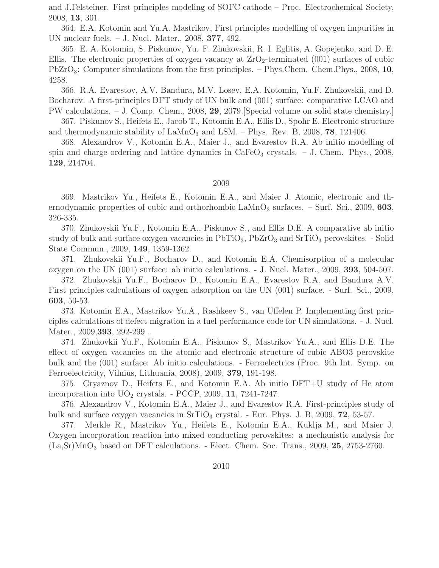and J.Felsteiner. First principles modeling of SOFC cathode – Proc. Electrochemical Society, 2008, 13, 301.

364. E.A. Kotomin and Yu.A. Mastrikov, First principles modelling of oxygen impurities in UN nuclear fuels. – J. Nucl. Mater., 2008, 377, 492.

365. E. A. Kotomin, S. Piskunov, Yu. F. Zhukovskii, R. I. Eglitis, A. Gopejenko, and D. E. Ellis. The electronic properties of oxygen vacancy at  $ZrO<sub>2</sub>$ -terminated (001) surfaces of cubic Pb $ZrO_3$ : Computer simulations from the first principles. – Phys.Chem. Chem.Phys., 2008, 10, 4258.

366. R.A. Evarestov, A.V. Bandura, M.V. Losev, E.A. Kotomin, Yu.F. Zhukovskii, and D. Bocharov. A first-principles DFT study of UN bulk and (001) surface: comparative LCAO and PW calculations. – J. Comp. Chem., 2008, 29, 2079.[Special volume on solid state chemistry.]

367. Piskunov S., Heifets E., Jacob T., Kotomin E.A., Ellis D., Spohr E. Electronic structure and thermodynamic stability of  $\text{LaMnO}_3$  and  $\text{LSM.}$  – Phys. Rev. B, 2008, 78, 121406.

368. Alexandrov V., Kotomin E.A., Maier J., and Evarestov R.A. Ab initio modelling of spin and charge ordering and lattice dynamics in  $CaFeO<sub>3</sub>$  crystals.  $-$  J. Chem. Phys., 2008, 129, 214704.

#### 2009

369. Mastrikov Yu., Heifets E., Kotomin E.A., and Maier J. Atomic, electronic and thernodynamic properties of cubic and orthorhombic  $\text{LaMnO}_3$  surfaces. – Surf. Sci., 2009, 603, 326-335.

370. Zhukovskii Yu.F., Kotomin E.A., Piskunov S., and Ellis D.E. A comparative ab initio study of bulk and surface oxygen vacancies in  $PbTiO<sub>3</sub>$ ,  $PbZrO<sub>3</sub>$  and  $SrTiO<sub>3</sub>$  perovskites. - Solid State Commun., 2009, 149, 1359-1362.

371. Zhukovskii Yu.F., Bocharov D., and Kotomin E.A. Chemisorption of a molecular oxygen on the UN (001) surface: ab initio calculations. - J. Nucl. Mater., 2009, 393, 504-507.

372. Zhukovskii Yu.F., Bocharov D., Kotomin E.A., Evarestov R.A. and Bandura A.V. First principles calculations of oxygen adsorption on the UN (001) surface. - Surf. Sci., 2009, 603, 50-53.

373. Kotomin E.A., Mastrikov Yu.A., Rashkeev S., van Uffelen P. Implementing first principles calculations of defect migration in a fuel performance code for UN simulations. - J. Nucl. Mater., 2009, **393**, 292-299.

374. Zhukovkii Yu.F., Kotomin E.A., Piskunov S., Mastrikov Yu.A., and Ellis D.E. The effect of oxygen vacancies on the atomic and electronic structure of cubic ABO3 perovskite bulk and the (001) surface: Ab initio calculations. - Ferroelectrics (Proc. 9th Int. Symp. on Ferroelectricity, Vilnius, Lithuania, 2008), 2009, 379, 191-198.

375. Gryaznov D., Heifets E., and Kotomin E.A. Ab initio DFT+U study of He atom incorporation into  $UO<sub>2</sub>$  crystals. - PCCP, 2009, 11, 7241-7247.

376. Alexandrov V., Kotomin E.A., Maier J., and Evarestov R.A. First-principles study of bulk and surface oxygen vacancies in  $SrTiO<sub>3</sub>$  crystal. - Eur. Phys. J. B, 2009, 72, 53-57.

377. Merkle R., Mastrikov Yu., Heifets E., Kotomin E.A., Kuklja M., and Maier J. Oxygen incorporation reaction into mixed conducting perovskites: a mechanistic analysis for  $(La, Sr)MnO<sub>3</sub>$  based on DFT calculations. - Elect. Chem. Soc. Trans., 2009, 25, 2753-2760.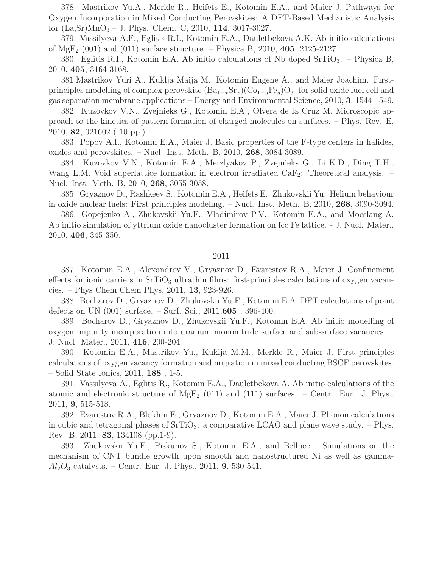378. Mastrikov Yu.A., Merkle R., Heifets E., Kotomin E.A., and Maier J. Pathways for Oxygen Incorporation in Mixed Conducting Perovskites: A DFT-Based Mechanistic Analysis for (La,Sr)MnO3.– J. Phys. Chem. C, 2010, 114, 3017-3027.

379. Vassilyeva A.F., Eglitis R.I., Kotomin E.A., Dauletbekova A.K. Ab initio calculations of  $MgF_2$  (001) and (011) surface structure. – Physica B, 2010, 405, 2125-2127.

380. Eglitis R.I., Kotomin E.A. Ab initio calculations of Nb doped  $SrTiO<sub>3</sub>$ . – Physica B, 2010, 405, 3164-3168.

381.Mastrikov Yuri A., Kuklja Maija M., Kotomin Eugene A., and Maier Joachim. Firstprinciples modelling of complex perovskite  $(Ba_{1-x}Sr_x)(Co_{1-y}Fe_y)O_3$ - for solid oxide fuel cell and gas separation membrane applications.– Energy and Environmental Science, 2010, 3, 1544-1549.

382. Kuzovkov V.N., Zvejnieks G., Kotomin E.A., Olvera de la Cruz M. Microscopic approach to the kinetics of pattern formation of charged molecules on surfaces. – Phys. Rev. E, 2010, 82, 021602 ( 10 pp.)

383. Popov A.I., Kotomin E.A., Maier J. Basic properties of the F-type centers in halides, oxides and perovskites. – Nucl. Inst. Meth. B, 2010, 268, 3084-3089.

384. Kuzovkov V.N., Kotomin E.A., Merzlyakov P., Zvejnieks G., Li K.D., Ding T.H., Wang L.M. Void superlattice formation in electron irradiated  $CaF_2$ : Theoretical analysis. – Nucl. Inst. Meth. B, 2010, 268, 3055-3058.

385. Gryaznov D., Rashkeev S., Kotomin E.A., Heifets E., Zhukovskii Yu. Helium behaviour in oxide nuclear fuels: First principles modeling. – Nucl. Inst. Meth. B, 2010, 268, 3090-3094.

386. Gopejenko A., Zhukovskii Yu.F., Vladimirov P.V., Kotomin E.A., and Moeslang A. Ab initio simulation of yttrium oxide nanocluster formation on fcc Fe lattice. - J. Nucl. Mater., 2010, 406, 345-350.

# 2011

387. Kotomin E.A., Alexandrov V., Gryaznov D., Evarestov R.A., Maier J. Confinement effects for ionic carriers in  $SrTiO<sub>3</sub>$  ultrathin films: first-principles calculations of oxygen vacancies. – Phys Chem Chem Phys, 2011, 13, 923-926.

388. Bocharov D., Gryaznov D., Zhukovskii Yu.F., Kotomin E.A. DFT calculations of point defects on UN (001) surface. – Surf. Sci., 2011,605 , 396-400.

389. Bocharov D., Gryaznov D., Zhukovskii Yu.F., Kotomin E.A. Ab initio modelling of oxygen impurity incorporation into uranium mononitride surface and sub-surface vacancies. – J. Nucl. Mater., 2011, 416, 200-204

390. Kotomin E.A., Mastrikov Yu., Kuklja M.M., Merkle R., Maier J. First principles calculations of oxygen vacancy formation and migration in mixed conducting BSCF perovskites. – Solid State Ionics, 2011, 188 , 1-5.

391. Vassilyeva A., Eglitis R., Kotomin E.A., Dauletbekova A. Ab initio calculations of the atomic and electronic structure of  $MgF_2$  (011) and (111) surfaces. – Centr. Eur. J. Phys., 2011, 9, 515-518.

392. Evarestov R.A., Blokhin E., Gryaznov D., Kotomin E.A., Maier J. Phonon calculations in cubic and tetragonal phases of  $SrTiO<sub>3</sub>$ : a comparative LCAO and plane wave study. – Phys. Rev. B, 2011, 83, 134108 (pp.1-9).

393. Zhukovskii Yu.F., Piskunov S., Kotomin E.A., and Bellucci. Simulations on the mechanism of CNT bundle growth upon smooth and nanostructured Ni as well as gamma- $Al_2O_3$  catalysts. – Centr. Eur. J. Phys., 2011, 9, 530-541.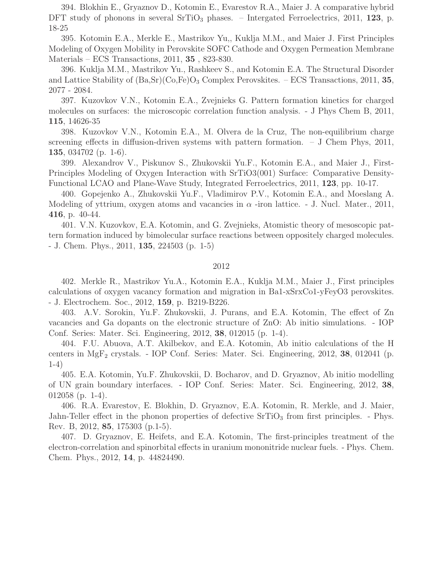394. Blokhin E., Gryaznov D., Kotomin E., Evarestov R.A., Maier J. A comparative hybrid DFT study of phonons in several  $SriO<sub>3</sub>$  phases. – Intergated Ferroelectrics, 2011, 123, p. 18-25

395. Kotomin E.A., Merkle E., Mastrikov Yu,, Kuklja M.M., and Maier J. First Principles Modeling of Oxygen Mobility in Perovskite SOFC Cathode and Oxygen Permeation Membrane Materials – ECS Transactions, 2011, 35 , 823-830.

396. Kuklja M.M., Mastrikov Yu., Rashkeev S., and Kotomin E.A. The Structural Disorder and Lattice Stability of  $(Ba, Sr)(Co, Fe)O<sub>3</sub>$  Complex Perovskites. – ECS Transactions, 2011, 35, 2077 - 2084.

397. Kuzovkov V.N., Kotomin E.A., Zvejnieks G. Pattern formation kinetics for charged molecules on surfaces: the microscopic correlation function analysis. - J Phys Chem B, 2011, 115, 14626-35

398. Kuzovkov V.N., Kotomin E.A., M. Olvera de la Cruz, The non-equilibrium charge screening effects in diffusion-driven systems with pattern formation.  $-$  J Chem Phys, 2011, 135, 034702 (p. 1-6).

399. Alexandrov V., Piskunov S., Zhukovskii Yu.F., Kotomin E.A., and Maier J., First-Principles Modeling of Oxygen Interaction with SrTiO3(001) Surface: Comparative Density-Functional LCAO and Plane-Wave Study, Integrated Ferroelectrics, 2011, 123, pp. 10-17.

400. Gopejenko A., Zhukovskii Yu.F., Vladimirov P.V., Kotomin E.A., and Moeslang A. Modeling of yttrium, oxygen atoms and vacancies in  $\alpha$  -iron lattice. - J. Nucl. Mater., 2011, 416, p. 40-44.

401. V.N. Kuzovkov, E.A. Kotomin, and G. Zvejnieks, Atomistic theory of mesoscopic pattern formation induced by bimolecular surface reactions between oppositely charged molecules. - J. Chem. Phys., 2011, 135, 224503 (p. 1-5)

## 2012

402. Merkle R., Mastrikov Yu.A., Kotomin E.A., Kuklja M.M., Maier J., First principles calculations of oxygen vacancy formation and migration in Ba1-xSrxCo1-yFeyO3 perovskites. - J. Electrochem. Soc., 2012, 159, p. B219-B226.

403. A.V. Sorokin, Yu.F. Zhukovskii, J. Purans, and E.A. Kotomin, The effect of Zn vacancies and Ga dopants on the electronic structure of ZnO: Ab initio simulations. - IOP Conf. Series: Mater. Sci. Engineering, 2012, 38, 012015 (p. 1-4).

404. F.U. Abuova, A.T. Akilbekov, and E.A. Kotomin, Ab initio calculations of the H centers in  $MgF_2$  crystals. - IOP Conf. Series: Mater. Sci. Engineering, 2012, 38, 012041 (p. 1-4)

405. E.A. Kotomin, Yu.F. Zhukovskii, D. Bocharov, and D. Gryaznov, Ab initio modelling of UN grain boundary interfaces. - IOP Conf. Series: Mater. Sci. Engineering, 2012, 38, 012058 (p. 1-4).

406. R.A. Evarestov, E. Blokhin, D. Gryaznov, E.A. Kotomin, R. Merkle, and J. Maier, Jahn-Teller effect in the phonon properties of defective  $SrTiO<sub>3</sub>$  from first principles. - Phys. Rev. B, 2012, 85, 175303 (p.1-5).

407. D. Gryaznov, E. Heifets, and E.A. Kotomin, The first-principles treatment of the electron-correlation and spinorbital effects in uranium mononitride nuclear fuels. - Phys. Chem. Chem. Phys., 2012, 14, p. 44824490.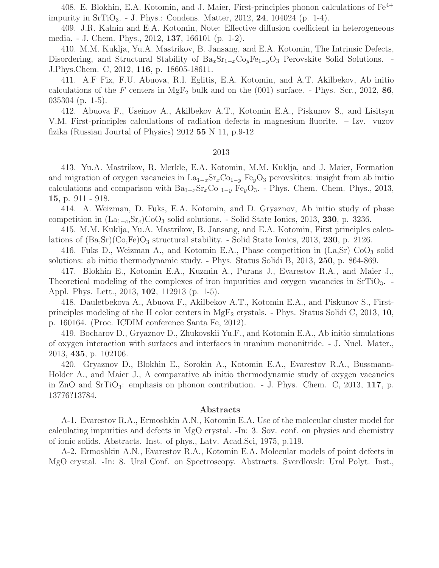408. E. Blokhin, E.A. Kotomin, and J. Maier, First-principles phonon calculations of  $Fe^{4+}$ impurity in  $\text{STIO}_3$ . - J. Phys.: Condens. Matter, 2012, 24, 104024 (p. 1-4).

409. J.R. Kalnin and E.A. Kotomin, Note: Effective diffusion coefficient in heterogeneous media. - J. Chem. Phys., 2012, 137, 166101 (p. 1-2).

410. M.M. Kuklja, Yu.A. Mastrikov, B. Jansang, and E.A. Kotomin, The Intrinsic Defects, Disordering, and Structural Stability of  $Ba_xSr_{1-x}Co_yFe_{1-y}O_3$  Perovskite Solid Solutions. -J.Phys.Chem. C, 2012, 116, p. 18605-18611.

411. A.F Fix, F.U. Abuova, R.I. Eglitis, E.A. Kotomin, and A.T. Akilbekov, Ab initio calculations of the F centers in  $MgF_2$  bulk and on the (001) surface. - Phys. Scr., 2012, 86, 035304 (p. 1-5).

412. Abuova F., Useinov A., Akilbekov A.T., Kotomin E.A., Piskunov S., and Lisitsyn V.M. First-principles calculations of radiation defects in magnesium fluorite. – Izv. vuzov fizika (Russian Jourtal of Physics)  $2012$  55 N 11, p.9-12

#### 2013

413. Yu.A. Mastrikov, R. Merkle, E.A. Kotomin, M.M. Kuklja, and J. Maier, Formation and migration of oxygen vacancies in  $La_{1-x}Sr_xCo_{1-y}Fe_yO_3$  perovskites: insight from ab initio calculations and comparison with  $Ba_{1-x}Sr_xCo_{1-y}Fe_{y}O_3$ . - Phys. Chem. Chem. Phys., 2013, 15, p. 911 - 918.

414. A. Weizman, D. Fuks, E.A. Kotomin, and D. Gryaznov, Ab initio study of phase competition in  $(La_{1-c},Sr_c)CoO_3$  solid solutions. - Solid State Ionics, 2013, 230, p. 3236.

415. M.M. Kuklja, Yu.A. Mastrikov, B. Jansang, and E.A. Kotomin, First principles calculations of  $(Ba, Sr)(Co, Fe)O<sub>3</sub>$  structural stability. - Solid State Ionics, 2013, 230, p. 2126.

416. Fuks D., Weizman A., and Kotomin E.A., Phase competition in  $(La, Sr) CoO<sub>3</sub>$  solid solutions: ab initio thermodynamic study. - Phys. Status Solidi B, 2013, 250, p. 864-869.

417. Blokhin E., Kotomin E.A., Kuzmin A., Purans J., Evarestov R.A., and Maier J., Theoretical modeling of the complexes of iron impurities and oxygen vacancies in SrTiO<sub>3</sub>. Appl. Phys. Lett., 2013, 102, 112913 (p. 1-5).

418. Dauletbekova A., Abuova F., Akilbekov A.T., Kotomin E.A., and Piskunov S., Firstprinciples modeling of the H color centers in  $MgF_2$  crystals. - Phys. Status Solidi C, 2013, 10, p. 160164. (Proc. ICDIM conference Santa Fe, 2012).

419. Bocharov D., Gryaznov D., Zhukovskii Yu.F., and Kotomin E.A., Ab initio simulations of oxygen interaction with surfaces and interfaces in uranium mononitride. - J. Nucl. Mater., 2013, 435, p. 102106.

420. Gryaznov D., Blokhin E., Sorokin A., Kotomin E.A., Evarestov R.A., Bussmann-Holder A., and Maier J., A comparative ab initio thermodynamic study of oxygen vacancies in ZnO and  $SrTiO<sub>3</sub>$ : emphasis on phonon contribution. - J. Phys. Chem. C, 2013, 117, p. 13776?13784.

#### Abstracts

A-1. Evarestov R.A., Ermoshkin A.N., Kotomin E.A. Use of the molecular cluster model for calculating impurities and defects in MgO crystal. -In: 3. Sov. conf. on physics and chemistry of ionic solids. Abstracts. Inst. of phys., Latv. Acad.Sci, 1975, p.119.

A-2. Ermoshkin A.N., Evarestov R.A., Kotomin E.A. Molecular models of point defects in MgO crystal. -In: 8. Ural Conf. on Spectroscopy. Abstracts. Sverdlovsk: Ural Polyt. Inst.,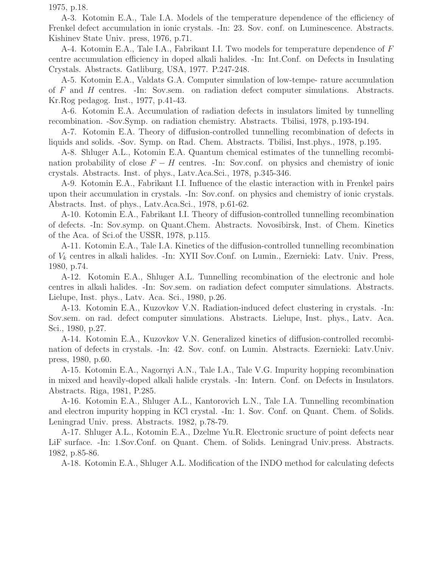1975, p.18.

A-3. Kotomin E.A., Tale I.A. Models of the temperature dependence of the efficiency of Frenkel defect accumulation in ionic crystals. -In: 23. Sov. conf. on Luminescence. Abstracts. Kishinev State Univ. press, 1976, p.71.

A-4. Kotomin E.A., Tale I.A., Fabrikant I.I. Two models for temperature dependence of F centre accumulation efficiency in doped alkali halides. -In: Int.Conf. on Defects in Insulating Crystals. Abstracts. Gatliburg, USA, 1977. P.247-248.

A-5. Kotomin E.A., Valdats G.A. Computer simulation of low-tempe- rature accumulation of F and H centres. -In: Sov.sem. on radiation defect computer simulations. Abstracts. Kr.Rog pedagog. Inst., 1977, p.41-43.

A-6. Kotomin E.A. Accumulation of radiation defects in insulators limited by tunnelling recombination. -Sov.Symp. on radiation chemistry. Abstracts. Tbilisi, 1978, p.193-194.

A-7. Kotomin E.A. Theory of diffusion-controlled tunnelling recombination of defects in liquids and solids. -Sov. Symp. on Rad. Chem. Abstracts. Tbilisi, Inst.phys., 1978, p.195.

A-8. Shluger A.L., Kotomin E.A. Quantum chemical estimates of the tunnelling recombination probability of close  $F - H$  centres. -In: Sov.conf. on physics and chemistry of ionic crystals. Abstracts. Inst. of phys., Latv.Aca.Sci., 1978, p.345-346.

A-9. Kotomin E.A., Fabrikant I.I. Influence of the elastic interaction with in Frenkel pairs upon their accumulation in crystals. -In: Sov.conf. on physics and chemistry of ionic crystals. Abstracts. Inst. of phys., Latv.Aca.Sci., 1978, p.61-62.

A-10. Kotomin E.A., Fabrikant I.I. Theory of diffusion-controlled tunnelling recombination of defects. -In: Sov.symp. on Quant.Chem. Abstracts. Novosibirsk, Inst. of Chem. Kinetics of the Aca. of Sci.of the USSR, 1978, p.115.

A-11. Kotomin E.A., Tale I.A. Kinetics of the diffusion-controlled tunnelling recombination of  $V_k$  centres in alkali halides. -In: XYII Sov.Conf. on Lumin., Ezernieki: Latv. Univ. Press, 1980, p.74.

A-12. Kotomin E.A., Shluger A.L. Tunnelling recombination of the electronic and hole centres in alkali halides. -In: Sov.sem. on radiation defect computer simulations. Abstracts. Lielupe, Inst. phys., Latv. Aca. Sci., 1980, p.26.

A-13. Kotomin E.A., Kuzovkov V.N. Radiation-induced defect clustering in crystals. -In: Sov.sem. on rad. defect computer simulations. Abstracts. Lielupe, Inst. phys., Latv. Aca. Sci., 1980, p.27.

A-14. Kotomin E.A., Kuzovkov V.N. Generalized kinetics of diffusion-controlled recombination of defects in crystals. -In: 42. Sov. conf. on Lumin. Abstracts. Ezernieki: Latv.Univ. press, 1980, p.60.

A-15. Kotomin E.A., Nagornyi A.N., Tale I.A., Tale V.G. Impurity hopping recombination in mixed and heavily-doped alkali halide crystals. -In: Intern. Conf. on Defects in Insulators. Abstracts. Riga, 1981, P.285.

A-16. Kotomin E.A., Shluger A.L., Kantorovich L.N., Tale I.A. Tunnelling recombination and electron impurity hopping in KCl crystal. -In: 1. Sov. Conf. on Quant. Chem. of Solids. Leningrad Univ. press. Abstracts. 1982, p.78-79.

A-17. Shluger A.L., Kotomin E.A., Dzelme Yu.R. Electronic sructure of point defects near LiF surface. -In: 1.Sov.Conf. on Quant. Chem. of Solids. Leningrad Univ.press. Abstracts. 1982, p.85-86.

A-18. Kotomin E.A., Shluger A.L. Modification of the INDO method for calculating defects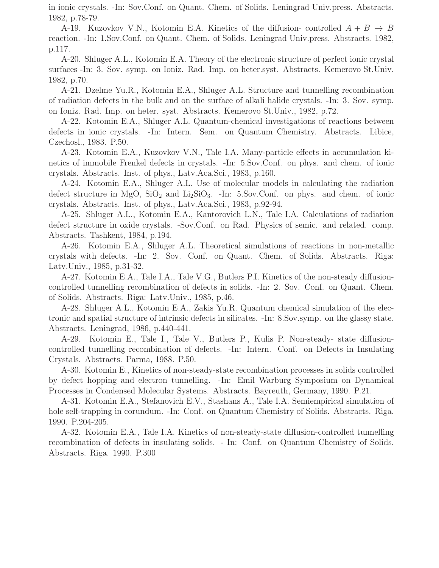in ionic crystals. -In: Sov.Conf. on Quant. Chem. of Solids. Leningrad Univ.press. Abstracts. 1982, p.78-79.

A-19. Kuzovkov V.N., Kotomin E.A. Kinetics of the diffusion- controlled  $A + B \rightarrow B$ reaction. -In: 1.Sov.Conf. on Quant. Chem. of Solids. Leningrad Univ.press. Abstracts. 1982, p.117.

A-20. Shluger A.L., Kotomin E.A. Theory of the electronic structure of perfect ionic crystal surfaces -In: 3. Sov. symp. on Ioniz. Rad. Imp. on heter.syst. Abstracts. Kemerovo St.Univ. 1982, p.70.

A-21. Dzelme Yu.R., Kotomin E.A., Shluger A.L. Structure and tunnelling recombination of radiation defects in the bulk and on the surface of alkali halide crystals. -In: 3. Sov. symp. on Ioniz. Rad. Imp. on heter. syst. Abstracts. Kemerovo St.Univ., 1982, p.72.

A-22. Kotomin E.A., Shluger A.L. Quantum-chemical investigations of reactions between defects in ionic crystals. -In: Intern. Sem. on Quantum Chemistry. Abstracts. Libice, Czechosl., 1983. P.50.

A-23. Kotomin E.A., Kuzovkov V.N., Tale I.A. Many-particle effects in accumulation kinetics of immobile Frenkel defects in crystals. -In: 5.Sov.Conf. on phys. and chem. of ionic crystals. Abstracts. Inst. of phys., Latv.Aca.Sci., 1983, p.160.

A-24. Kotomin E.A., Shluger A.L. Use of molecular models in calculating the radiation defect structure in MgO,  $SiO<sub>2</sub>$  and  $Li<sub>2</sub>SiO<sub>3</sub>$ . -In: 5.Sov.Conf. on phys. and chem. of ionic crystals. Abstracts. Inst. of phys., Latv.Aca.Sci., 1983, p.92-94.

A-25. Shluger A.L., Kotomin E.A., Kantorovich L.N., Tale I.A. Calculations of radiation defect structure in oxide crystals. -Sov.Conf. on Rad. Physics of semic. and related. comp. Abstracts. Tashkent, 1984, p.194.

A-26. Kotomin E.A., Shluger A.L. Theoretical simulations of reactions in non-metallic crystals with defects. -In: 2. Sov. Conf. on Quant. Chem. of Solids. Abstracts. Riga: Latv.Univ., 1985, p.31-32.

A-27. Kotomin E.A., Tale I.A., Tale V.G., Butlers P.I. Kinetics of the non-steady diffusioncontrolled tunnelling recombination of defects in solids. -In: 2. Sov. Conf. on Quant. Chem. of Solids. Abstracts. Riga: Latv.Univ., 1985, p.46.

A-28. Shluger A.L., Kotomin E.A., Zakis Yu.R. Quantum chemical simulation of the electronic and spatial structure of intrinsic defects in silicates. -In: 8.Sov.symp. on the glassy state. Abstracts. Leningrad, 1986, p.440-441.

A-29. Kotomin E., Tale I., Tale V., Butlers P., Kulis P. Non-steady- state diffusioncontrolled tunnelling recombination of defects. -In: Intern. Conf. on Defects in Insulating Crystals. Abstracts. Parma, 1988. P.50.

A-30. Kotomin E., Kinetics of non-steady-state recombination processes in solids controlled by defect hopping and electron tunnelling. -In: Emil Warburg Symposium on Dynamical Processes in Condensed Molecular Systems. Abstracts. Bayreuth, Germany, 1990. P.21.

A-31. Kotomin E.A., Stefanovich E.V., Stashans A., Tale I.A. Semiempirical simulation of hole self-trapping in corundum. -In: Conf. on Quantum Chemistry of Solids. Abstracts. Riga. 1990. P.204-205.

A-32. Kotomin E.A., Tale I.A. Kinetics of non-steady-state diffusion-controlled tunnelling recombination of defects in insulating solids. - In: Conf. on Quantum Chemistry of Solids. Abstracts. Riga. 1990. P.300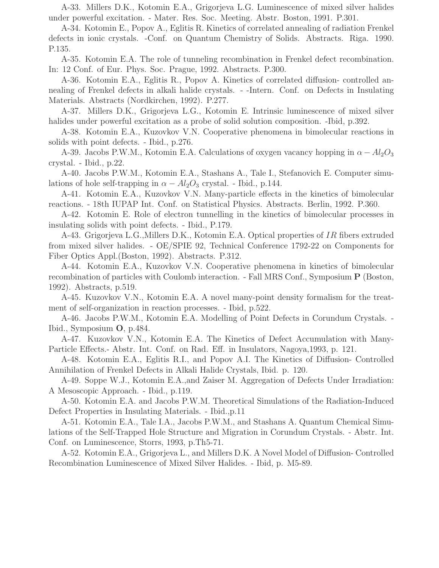A-33. Millers D.K., Kotomin E.A., Grigorjeva L.G. Luminescence of mixed silver halides under powerful excitation. - Mater. Res. Soc. Meeting. Abstr. Boston, 1991. P.301.

A-34. Kotomin E., Popov A., Eglitis R. Kinetics of correlated annealing of radiation Frenkel defects in ionic crystals. -Conf. on Quantum Chemistry of Solids. Abstracts. Riga. 1990. P.135.

A-35. Kotomin E.A. The role of tunneling recombination in Frenkel defect recombination. In: 12 Conf. of Eur. Phys. Soc. Prague, 1992. Abstracts. P.300.

A-36. Kotomin E.A., Eglitis R., Popov A. Kinetics of correlated diffusion- controlled annealing of Frenkel defects in alkali halide crystals. - -Intern. Conf. on Defects in Insulating Materials. Abstracts (Nordkirchen, 1992). P.277.

A-37. Millers D.K., Grigorjeva L.G., Kotomin E. Intrinsic luminescence of mixed silver halides under powerful excitation as a probe of solid solution composition. -Ibid, p.392.

A-38. Kotomin E.A., Kuzovkov V.N. Cooperative phenomena in bimolecular reactions in solids with point defects. - Ibid., p.276.

A-39. Jacobs P.W.M., Kotomin E.A. Calculations of oxygen vacancy hopping in  $\alpha - Al_2O_3$ crystal. - Ibid., p.22.

A-40. Jacobs P.W.M., Kotomin E.A., Stashans A., Tale I., Stefanovich E. Computer simulations of hole self-trapping in  $\alpha - Al_2O_3$  crystal. - Ibid., p.144.

A-41. Kotomin E.A., Kuzovkov V.N. Many-particle effects in the kinetics of bimolecular reactions. - 18th IUPAP Int. Conf. on Statistical Physics. Abstracts. Berlin, 1992. P.360.

A-42. Kotomin E. Role of electron tunnelling in the kinetics of bimolecular processes in insulating solids with point defects. - Ibid., P.179.

A-43. Grigorjeva L.G.,Millers D.K., Kotomin E.A. Optical properties of IR fibers extruded from mixed silver halides. - OE/SPIE 92, Technical Conference 1792-22 on Components for Fiber Optics Appl.(Boston, 1992). Abstracts. P.312.

A-44. Kotomin E.A., Kuzovkov V.N. Cooperative phenomena in kinetics of bimolecular recombination of particles with Coulomb interaction. - Fall MRS Conf., Symposium P (Boston, 1992). Abstracts, p.519.

A-45. Kuzovkov V.N., Kotomin E.A. A novel many-point density formalism for the treatment of self-organization in reaction processes. - Ibid, p.522.

A-46. Jacobs P.W.M., Kotomin E.A. Modelling of Point Defects in Corundum Crystals. - Ibid., Symposium O, p.484.

A-47. Kuzovkov V.N., Kotomin E.A. The Kinetics of Defect Accumulation with Many-Particle Effects.- Abstr. Int. Conf. on Rad. Eff. in Insulators, Nagoya,1993, p. 121.

A-48. Kotomin E.A., Eglitis R.I., and Popov A.I. The Kinetics of Diffusion- Controlled Annihilation of Frenkel Defects in Alkali Halide Crystals, Ibid. p. 120.

A-49. Soppe W.J., Kotomin E.A.,and Zaiser M. Aggregation of Defects Under Irradiation: A Mesoscopic Approach. - Ibid., p.119.

A-50. Kotomin E.A. and Jacobs P.W.M. Theoretical Simulations of the Radiation-Induced Defect Properties in Insulating Materials. - Ibid.,p.11

A-51. Kotomin E.A., Tale I.A., Jacobs P.W.M., and Stashans A. Quantum Chemical Simulations of the Self-Trapped Hole Structure and Migration in Corundum Crystals. - Abstr. Int. Conf. on Luminescence, Storrs, 1993, p.Th5-71.

A-52. Kotomin E.A., Grigorjeva L., and Millers D.K. A Novel Model of Diffusion- Controlled Recombination Luminescence of Mixed Silver Halides. - Ibid, p. M5-89.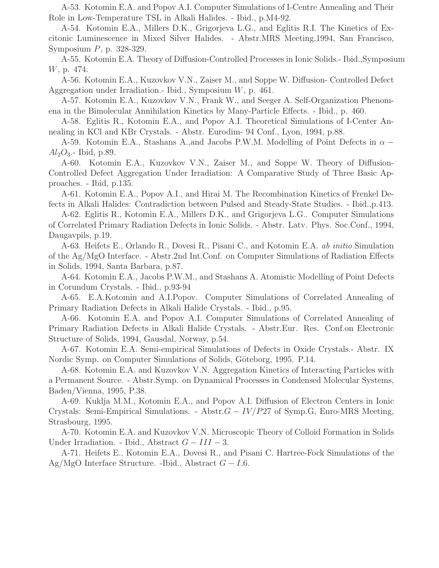A-53. Kotomin E.A. and Popov A.I. Computer Simulations of I-Centre Annealing and Their Role in Low-Temperature TSL in Alkali Halides. - Ibid., p.M4-92.

A-54. Kotomin E.A., Millers D.K., Grigorjeva L.G., and Eglitis R.I. The Kinetics of Excitonic Luminescence in Mixed Silver Halides. - Abstr.MRS Meeting,1994, San Francisco, Symposium P, p. 328-329.

A-55. Kotomin E.A. Theory of Diffusion-Controlled Processes in Ionic Solids.- Ibid.,Symposium W, p. 474.

A-56. Kotomin E.A., Kuzovkov V.N., Zaiser M., and Soppe W. Diffusion- Controlled Defect Aggregation under Irradiation.- Ibid., Symposium W, p. 461.

A-57. Kotomin E.A., Kuzovkov V.N., Frank W., and Seeger A. Self-Organization Phenomena in the Bimolecular Annihilation Kinetics by Many-Particle Effects. - Ibid., p. 460.

A-58. Eglitis R., Kotomin E.A., and Popov A.I. Theoretical Simulations of I-Center Annealing in KCl and KBr Crystals. - Abstr. Eurodim- 94 Conf., Lyon, 1994, p.88.

A-59. Kotomin E.A., Stashans A., and Jacobs P.W.M. Modelling of Point Defects in  $\alpha$  –  $Al_2O_3$ . Ibid, p.89.

A-60. Kotomin E.A., Kuzovkov V.N., Zaiser M., and Soppe W. Theory of Diffusion-Controlled Defect Aggregation Under Irradiation: A Comparative Study of Three Basic Approaches. - Ibid, p.135.

A-61. Kotomin E.A., Popov A.I., and Hirai M. The Recombination Kinetics of Frenkel Defects in Alkali Halides: Contradiction between Pulsed and Steady-State Studies. - Ibid.,p.413.

A-62. Eglitis R., Kotomin E.A., Millers D.K., and Grigorjeva L.G.. Computer Simulations of Correlated Primary Radiation Defects in Ionic Solids. - Abstr. Latv. Phys. Soc.Conf., 1994, Daugavpils, p.19.

A-63. Heifets E., Orlando R., Dovesi R., Pisani C., and Kotomin E.A. ab initio Simulation of the Ag/MgO Interface. - Abstr.2nd Int.Conf. on Computer Simulations of Radiation Effects in Solids, 1994, Santa Barbara, p.87.

A-64. Kotomin E.A., Jacobs P.W.M., and Stashans A. Atomistic Modelling of Point Defects in Corundum Crystals. - Ibid., p.93-94

A-65. E.A.Kotomin and A.I.Popov. Computer Simulations of Correlated Annealing of Primary Radiation Defects in Alkali Halide Crystals. - Ibid., p.95.

A-66. Kotomin E.A. and Popov A.I. Computer Simulations of Correlated Annealing of Primary Radiation Defects in Alkali Halide Crystals. - Abstr.Eur. Res. Conf.on Electronic Structure of Solids, 1994, Gausdal, Norway, p.54.

A-67. Kotomin E.A. Semi-empirical Simulations of Defects in Oxide Crystals.- Abstr. IX Nordic Symp. on Computer Simulations of Solids, Göteborg, 1995. P.14.

A-68. Kotomin E.A. and Kuzovkov V.N. Aggregation Kinetics of Interacting Particles with a Permanent Source. - Abstr.Symp. on Dynamical Processes in Condensed Molecular Systems, Baden/Vienna, 1995, P.38.

A-69. Kuklja M.M., Kotomin E.A., and Popov A.I. Diffusion of Electron Centers in Ionic Crystals: Semi-Empirical Simulations. - Abstr. $G - IV/P27$  of Symp.G, Euro-MRS Meeting, Strasbourg, 1995.

A-70. Kotomin E.A. and Kuzovkov V.N. Microscopic Theory of Colloid Formation in Solids Under Irradiation. - Ibid., Abstract  $G - III - 3$ .

A-71. Heifets E., Kotomin E.A., Dovesi R., and Pisani C. Hartree-Fock Simulations of the Ag/MgO Interface Structure. -Ibid., Abstract  $G - I.6$ .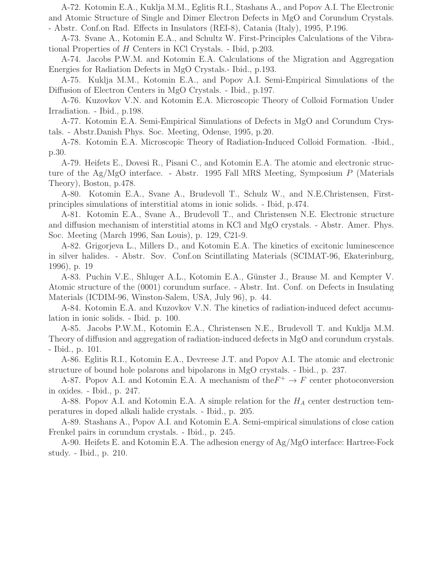A-72. Kotomin E.A., Kuklja M.M., Eglitis R.I., Stashans A., and Popov A.I. The Electronic and Atomic Structure of Single and Dimer Electron Defects in MgO and Corundum Crystals. - Abstr. Conf.on Rad. Effects in Insulators (REI-8), Catania (Italy), 1995, P.196.

A-73. Svane A., Kotomin E.A., and Schultz W. First-Principles Calculations of the Vibrational Properties of H Centers in KCl Crystals. - Ibid, p.203.

A-74. Jacobs P.W.M. and Kotomin E.A. Calculations of the Migration and Aggregation Energies for Radiation Defects in MgO Crystals.- Ibid., p.193.

A-75. Kuklja M.M., Kotomin E.A., and Popov A.I. Semi-Empirical Simulations of the Diffusion of Electron Centers in MgO Crystals. - Ibid., p.197.

A-76. Kuzovkov V.N. and Kotomin E.A. Microscopic Theory of Colloid Formation Under Irradiation. - Ibid., p.198.

A-77. Kotomin E.A. Semi-Empirical Simulations of Defects in MgO and Corundum Crystals. - Abstr.Danish Phys. Soc. Meeting, Odense, 1995, p.20.

A-78. Kotomin E.A. Microscopic Theory of Radiation-Induced Colloid Formation. -Ibid., p.30.

A-79. Heifets E., Dovesi R., Pisani C., and Kotomin E.A. The atomic and electronic structure of the Ag/MgO interface. - Abstr. 1995 Fall MRS Meeting, Symposium P (Materials Theory), Boston, p.478.

A-80. Kotomin E.A., Svane A., Brudevoll T., Schulz W., and N.E.Christensen, Firstprinciples simulations of interstitial atoms in ionic solids. - Ibid, p.474.

A-81. Kotomin E.A., Svane A., Brudevoll T., and Christensen N.E. Electronic structure and diffusion mechanism of interstitial atoms in KCl and MgO crystals. - Abstr. Amer. Phys. Soc. Meeting (March 1996, San Louis), p. 129, C21-9.

A-82. Grigorjeva L., Millers D., and Kotomin E.A. The kinetics of excitonic luminescence in silver halides. - Abstr. Sov. Conf.on Scintillating Materials (SCIMAT-96, Ekaterinburg, 1996), p. 19

A-83. Puchin V.E., Shluger A.L., Kotomin E.A., Günster J., Brause M. and Kempter V. Atomic structure of the (0001) corundum surface. - Abstr. Int. Conf. on Defects in Insulating Materials (ICDIM-96, Winston-Salem, USA, July 96), p. 44.

A-84. Kotomin E.A. and Kuzovkov V.N. The kinetics of radiation-induced defect accumulation in ionic solids. - Ibid. p. 100.

A-85. Jacobs P.W.M., Kotomin E.A., Christensen N.E., Brudevoll T. and Kuklja M.M. Theory of diffusion and aggregation of radiation-induced defects in MgO and corundum crystals. - Ibid., p. 101.

A-86. Eglitis R.I., Kotomin E.A., Devreese J.T. and Popov A.I. The atomic and electronic structure of bound hole polarons and bipolarons in MgO crystals. - Ibid., p. 237.

A-87. Popov A.I. and Kotomin E.A. A mechanism of the  $F^+ \to F$  center photoconversion in oxides. - Ibid., p. 247.

A-88. Popov A.I. and Kotomin E.A. A simple relation for the  $H_A$  center destruction temperatures in doped alkali halide crystals. - Ibid., p. 205.

A-89. Stashans A., Popov A.I. and Kotomin E.A. Semi-empirical simulations of close cation Frenkel pairs in corundum crystals. - Ibid., p. 245.

A-90. Heifets E. and Kotomin E.A. The adhesion energy of Ag/MgO interface: Hartree-Fock study. - Ibid., p. 210.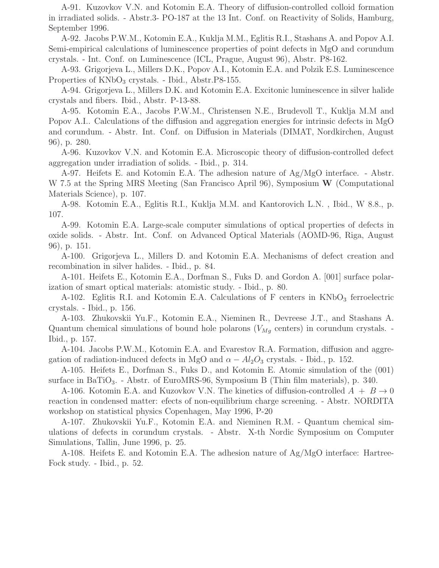A-91. Kuzovkov V.N. and Kotomin E.A. Theory of diffusion-controlled colloid formation in irradiated solids. - Abstr.3- PO-187 at the 13 Int. Conf. on Reactivity of Solids, Hamburg, September 1996.

A-92. Jacobs P.W.M., Kotomin E.A., Kuklja M.M., Eglitis R.I., Stashans A. and Popov A.I. Semi-empirical calculations of luminescence properties of point defects in MgO and corundum crystals. - Int. Conf. on Luminescence (ICL, Prague, August 96), Abstr. P8-162.

A-93. Grigorjeva L., Millers D.K., Popov A.I., Kotomin E.A. and Polzik E.S. Luminescence Properties of  $KNbO<sub>3</sub>$  crystals. - Ibid., Abstr.P8-155.

A-94. Grigorjeva L., Millers D.K. and Kotomin E.A. Excitonic luminescence in silver halide crystals and fibers. Ibid., Abstr. P-13-88.

A-95. Kotomin E.A., Jacobs P.W.M., Christensen N.E., Brudevoll T., Kuklja M.M and Popov A.I.. Calculations of the diffusion and aggregation energies for intrinsic defects in MgO and corundum. - Abstr. Int. Conf. on Diffusion in Materials (DIMAT, Nordkirchen, August 96), p. 280.

A-96. Kuzovkov V.N. and Kotomin E.A. Microscopic theory of diffusion-controlled defect aggregation under irradiation of solids. - Ibid., p. 314.

A-97. Heifets E. and Kotomin E.A. The adhesion nature of Ag/MgO interface. - Abstr. W 7.5 at the Spring MRS Meeting (San Francisco April 96), Symposium W (Computational Materials Science), p. 107.

A-98. Kotomin E.A., Eglitis R.I., Kuklja M.M. and Kantorovich L.N. , Ibid., W 8.8., p. 107.

A-99. Kotomin E.A. Large-scale computer simulations of optical properties of defects in oxide solids. - Abstr. Int. Conf. on Advanced Optical Materials (AOMD-96, Riga, August 96), p. 151.

A-100. Grigorjeva L., Millers D. and Kotomin E.A. Mechanisms of defect creation and recombination in silver halides. - Ibid., p. 84.

A-101. Heifets E., Kotomin E.A., Dorfman S., Fuks D. and Gordon A. [001] surface polarization of smart optical materials: atomistic study. - Ibid., p. 80.

A-102. Eglitis R.I. and Kotomin E.A. Calculations of  $F$  centers in  $KNbO<sub>3</sub>$  ferroelectric crystals. - Ibid., p. 156.

A-103. Zhukovskii Yu.F., Kotomin E.A., Nieminen R., Devreese J.T., and Stashans A. Quantum chemical simulations of bound hole polarons ( $V_{Mg}$  centers) in corundum crystals. -Ibid., p. 157.

A-104. Jacobs P.W.M., Kotomin E.A. and Evarestov R.A. Formation, diffusion and aggregation of radiation-induced defects in MgO and  $\alpha - Al_2O_3$  crystals. - Ibid., p. 152.

A-105. Heifets E., Dorfman S., Fuks D., and Kotomin E. Atomic simulation of the (001) surface in BaTiO<sub>3</sub>. - Abstr. of EuroMRS-96, Symposium B (Thin film materials), p. 340.

A-106. Kotomin E.A. and Kuzovkov V.N. The kinetics of diffusion-controlled  $A + B \rightarrow 0$ reaction in condensed matter: efects of non-equilibrium charge screening. - Abstr. NORDITA workshop on statistical physics Copenhagen, May 1996, P-20

A-107. Zhukovskii Yu.F., Kotomin E.A. and Nieminen R.M. - Quantum chemical simulations of defects in corundum crystals. - Abstr. X-th Nordic Symposium on Computer Simulations, Tallin, June 1996, p. 25.

A-108. Heifets E. and Kotomin E.A. The adhesion nature of Ag/MgO interface: Hartree-Fock study. - Ibid., p. 52.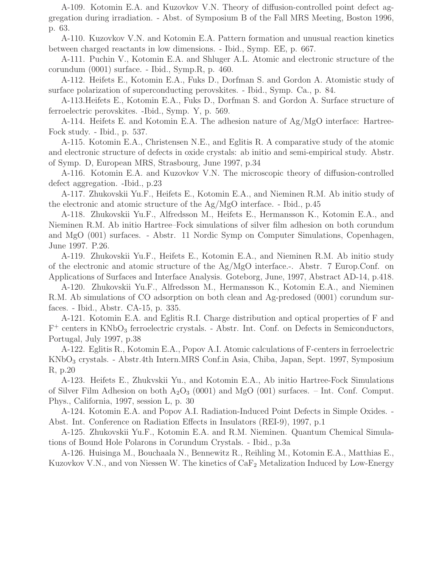A-109. Kotomin E.A. and Kuzovkov V.N. Theory of diffusion-controlled point defect aggregation during irradiation. - Abst. of Symposium B of the Fall MRS Meeting, Boston 1996, p. 63.

A-110. Kuzovkov V.N. and Kotomin E.A. Pattern formation and unusual reaction kinetics between charged reactants in low dimensions. - Ibid., Symp. EE, p. 667.

A-111. Puchin V., Kotomin E.A. and Shluger A.L. Atomic and electronic structure of the corundum (0001) surface. - Ibid., Symp.R, p. 460.

A-112. Heifets E., Kotomin E.A., Fuks D., Dorfman S. and Gordon A. Atomistic study of surface polarization of superconducting perovskites. - Ibid., Symp. Ca., p. 84.

A-113.Heifets E., Kotomin E.A., Fuks D., Dorfman S. and Gordon A. Surface structure of ferroelectric perovskites. -Ibid., Symp. Y, p. 569.

A-114. Heifets E. and Kotomin E.A. The adhesion nature of Ag/MgO interface: Hartree-Fock study. - Ibid., p. 537.

A-115. Kotomin E.A., Christensen N.E., and Eglitis R. A comparative study of the atomic and electronic structure of defects in oxide crystals: ab initio and semi-empirical study. Abstr. of Symp. D, European MRS, Strasbourg, June 1997, p.34

A-116. Kotomin E.A. and Kuzovkov V.N. The microscopic theory of diffusion-controlled defect aggregation. -Ibid., p.23

A-117. Zhukovskii Yu.F., Heifets E., Kotomin E.A., and Nieminen R.M. Ab initio study of the electronic and atomic structure of the Ag/MgO interface. - Ibid., p.45

A-118. Zhukovskii Yu.F., Alfredsson M., Heifets E., Hermansson K., Kotomin E.A., and Nieminen R.M. Ab initio Hartree–Fock simulations of silver film adhesion on both corundum and MgO (001) surfaces. - Abstr. 11 Nordic Symp on Computer Simulations, Copenhagen, June 1997. P.26.

A-119. Zhukovskii Yu.F., Heifets E., Kotomin E.A., and Nieminen R.M. Ab initio study of the electronic and atomic structure of the Ag/MgO interface.-. Abstr. 7 Europ.Conf. on Applications of Surfaces and Interface Analysis. Goteborg, June, 1997, Abstract AD-14, p.418.

A-120. Zhukovskii Yu.F., Alfredsson M., Hermansson K., Kotomin E.A., and Nieminen R.M. Ab simulations of CO adsorption on both clean and Ag-predosed (0001) corundum surfaces. - Ibid., Abstr. CA-15, p. 335.

A-121. Kotomin E.A. and Eglitis R.I. Charge distribution and optical properties of F and  $F^+$  centers in KNbO<sub>3</sub> ferroelectric crystals. - Abstr. Int. Conf. on Defects in Semiconductors, Portugal, July 1997, p.38

A-122. Eglitis R., Kotomin E.A., Popov A.I. Atomic calculations of F-centers in ferroelectric KNbO<sup>3</sup> crystals. - Abstr.4th Intern.MRS Conf.in Asia, Chiba, Japan, Sept. 1997, Symposium R, p.20

A-123. Heifets E., Zhukvskii Yu., and Kotomin E.A., Ab initio Hartree-Fock Simulations of Silver Film Adhesion on both  $A_2O_3$  (0001) and MgO (001) surfaces. – Int. Conf. Comput. Phys., California, 1997, session L, p. 30

A-124. Kotomin E.A. and Popov A.I. Radiation-Induced Point Defects in Simple Oxides. - Abst. Int. Conference on Radiation Effects in Insulators (REI-9), 1997, p.1

A-125. Zhukovskii Yu.F., Kotomin E.A. and R.M. Nieminen. Quantum Chemical Simulations of Bound Hole Polarons in Corundum Crystals. - Ibid., p.3a

A-126. Huisinga M., Bouchaala N., Bennewitz R., Reihling M., Kotomin E.A., Matthias E., Kuzovkov V.N., and von Niessen W. The kinetics of  $CaF<sub>2</sub>$  Metalization Induced by Low-Energy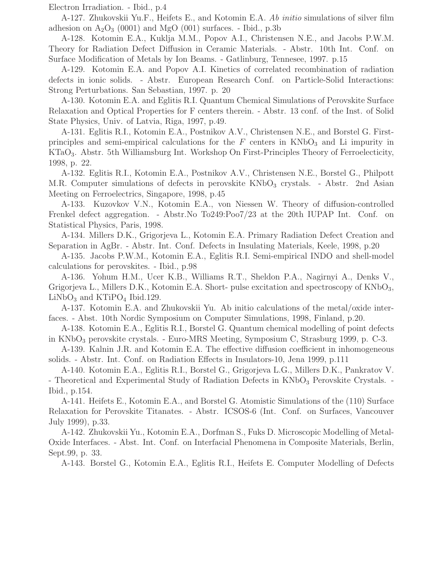Electron Irradiation. - Ibid., p.4

A-127. Zhukovskii Yu.F., Heifets E., and Kotomin E.A. Ab initio simulations of silver film adhesion on  $A_2O_3$  (0001) and MgO (001) surfaces. - Ibid., p.3b

A-128. Kotomin E.A., Kuklja M.M., Popov A.I., Christensen N.E., and Jacobs P.W.M. Theory for Radiation Defect Diffusion in Ceramic Materials. - Abstr. 10th Int. Conf. on Surface Modification of Metals by Ion Beams. - Gatlinburg, Tennesee, 1997. p.15

A-129. Kotomin E.A. and Popov A.I. Kinetics of correlated recombination of radiation defects in ionic solids. - Abstr. European Research Conf. on Particle-Solid Interactions: Strong Perturbations. San Sebastian, 1997. p. 20

A-130. Kotomin E.A. and Eglitis R.I. Quantum Chemical Simulations of Perovskite Surface Relaxation and Optical Properties for F centers therein. - Abstr. 13 conf. of the Inst. of Solid State Physics, Univ. of Latvia, Riga, 1997, p.49.

A-131. Eglitis R.I., Kotomin E.A., Postnikov A.V., Christensen N.E., and Borstel G. Firstprinciples and semi-empirical calculations for the  $F$  centers in  $KNbO<sub>3</sub>$  and Li impurity in KTaO3. Abstr. 5th Williamsburg Int. Workshop On First-Principles Theory of Ferroelecticity, 1998, p. 22.

A-132. Eglitis R.I., Kotomin E.A., Postnikov A.V., Christensen N.E., Borstel G., Philpott M.R. Computer simulations of defects in perovskite KNbO<sub>3</sub> crystals. - Abstr. 2nd Asian Meeting on Ferroelectrics, Singapore, 1998, p.45

A-133. Kuzovkov V.N., Kotomin E.A., von Niessen W. Theory of diffusion-controlled Frenkel defect aggregation. - Abstr.No To249:Poo7/23 at the 20th IUPAP Int. Conf. on Statistical Physics, Paris, 1998.

A-134. Millers D.K., Grigorjeva L., Kotomin E.A. Primary Radiation Defect Creation and Separation in AgBr. - Abstr. Int. Conf. Defects in Insulating Materials, Keele, 1998, p.20

A-135. Jacobs P.W.M., Kotomin E.A., Eglitis R.I. Semi-empirical INDO and shell-model calculations for perovskites. - Ibid., p.98

A-136. Yohum H.M., Ucer K.B., Williams R.T., Sheldon P.A., Nagirnyi A., Denks V., Grigorjeva L., Millers D.K., Kotomin E.A. Short- pulse excitation and spectroscopy of KNbO<sub>3</sub>,  $LiNbO<sub>3</sub>$  and  $KTiPO<sub>4</sub>$  Ibid.129.

A-137. Kotomin E.A. and Zhukovskii Yu. Ab initio calculations of the metal/oxide interfaces. - Abst. 10th Nordic Symposium on Computer Simulations, 1998, Finland, p.20.

A-138. Kotomin E.A., Eglitis R.I., Borstel G. Quantum chemical modelling of point defects in KNbO<sub>3</sub> perovskite crystals. - Euro-MRS Meeting, Symposium C, Strasburg 1999, p. C-3.

A-139. Kalnin J.R. and Kotomin E.A. The effective diffusion coefficient in inhomogeneous solids. - Abstr. Int. Conf. on Radiation Effects in Insulators-10, Jena 1999, p.111

A-140. Kotomin E.A., Eglitis R.I., Borstel G., Grigorjeva L.G., Millers D.K., Pankratov V. - Theoretical and Experimental Study of Radiation Defects in KNbO<sub>3</sub> Perovskite Crystals. -Ibid., p.154.

A-141. Heifets E., Kotomin E.A., and Borstel G. Atomistic Simulations of the (110) Surface Relaxation for Perovskite Titanates. - Abstr. ICSOS-6 (Int. Conf. on Surfaces, Vancouver July 1999), p.33.

A-142. Zhukovskii Yu., Kotomin E.A., Dorfman S., Fuks D. Microscopic Modelling of Metal-Oxide Interfaces. - Abst. Int. Conf. on Interfacial Phenomena in Composite Materials, Berlin, Sept.99, p. 33.

A-143. Borstel G., Kotomin E.A., Eglitis R.I., Heifets E. Computer Modelling of Defects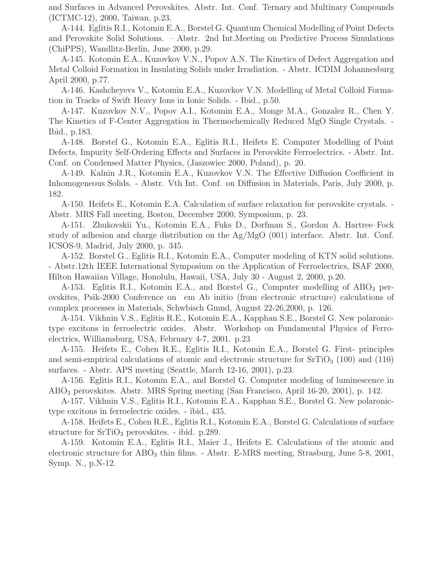and Surfaces in Advanced Perovskites. Abstr. Int. Conf. Ternary and Multinary Compounds (ICTMC-12), 2000, Taiwan, p.23.

A-144. Eglitis R.I., Kotomin E.A., Borstel G. Quantum Chemical Modelling of Point Defects and Perovskite Solid Solutions. – Abstr. 2nd Int.Meeting on Predictive Process Simulations (ChiPPS), Wandlitz-Berlin, June 2000, p.29.

A-145. Kotomin E.A., Kuzovkov V.N., Popov A.N. The Kinetics of Defect Aggregation and Metal Colloid Formation in Insulating Solids under Irradiation. - Abstr. ICDIM Johannesburg April 2000, p.77.

A-146. Kashcheyevs V., Kotomin E.A., Kuzovkov V.N. Modelling of Metal Colloid Formation in Tracks of Swift Heavy Ions in Ionic Solids. - Ibid., p.50.

A-147. Kuzovkov N.V., Popov A.I., Kotomin E.A., Monge M.A., Gonzalez R., Chen Y. The Kinetics of F-Center Aggregation in Thermochemically Reduced MgO Single Crystals. - Ibid., p.183.

A-148. Borstel G., Kotomin E.A., Eglitis R.I., Heifets E. Computer Modelling of Point Defects, Impurity Self-Ordering Effects and Surfaces in Perovskite Ferroelectrics. - Abstr. Int. Conf. on Condensed Matter Physics, (Jaszowiec 2000, Poland), p. 20.

A-149. Kalnin J.R., Kotomin E.A., Kuzovkov V.N. The Effective Diffusion Coefficient in Inhomogeneous Solids. - Abstr. Vth Int. Conf. on Diffusion in Materials, Paris, July 2000, p. 182.

A-150. Heifets E., Kotomin E.A. Calculation of surface relaxation for perovskite crystals. - Abstr. MRS Fall meeting, Boston, December 2000, Symposium, p. 23.

A-151. Zhukovskii Yu., Kotomin E.A., Fuks D., Dorfman S., Gordon A. Hartree–Fock study of adhesion and charge distribution on the Ag/MgO (001) interface. Abstr. Int. Conf. ICSOS-9, Madrid, July 2000, p. 345.

A-152. Borstel G., Eglitis R.I., Kotomin E.A., Computer modeling of KTN solid solutions. - Abstr.12th IEEE International Symposium on the Application of Ferroelectrics, ISAF 2000, Hilton Hawaiian Village, Honolulu, Hawaii, USA, July 30 - August 2, 2000, p.20.

A-153. Eglitis R.I., Kotomin E.A., and Borstel G., Computer modelling of ABO<sub>3</sub> perovskites, Psik-2000 Conference on em Ab initio (from electronic structure) calculations of complex processes in Materials, Schwbisch Gmnd, August 22-26,2000, p. 126.

A-154. Vikhnin V.S., Eglitis R.E., Kotomin E.A., Kapphan S.E., Borstel G. New polaronictype excitons in ferroelectric oxides. Abstr. Workshop on Fundamental Physics of Ferroelectrics, Williamsburg, USA, February 4-7, 2001. p.23

A-155. Heifets E., Cohen R.E., Eglitis R.I., Kotomin E.A., Borstel G. First- principles and semi-empirical calculations of atomic and electronic structure for  $SrTiO<sub>3</sub>$  (100) and (110) surfaces. - Abstr. APS meeting (Seattle, March 12-16, 2001), p.23.

A-156. Eglitis R.I., Kotomin E.A., and Borstel G. Computer modeling of luminescence in ABO<sup>3</sup> perovskites. Abstr. MRS Spring meeting (San Francisco, April 16-20, 2001), p. 142.

A-157. Vikhnin V.S., Eglitis R.I., Kotomin E.A., Kapphan S.E., Borstel G. New polaronictype excitons in ferroelectric oxides. - ibid., 435.

A-158. Heifets E., Cohen R.E., Eglitis R.I., Kotomin E.A., Borstel G. Calculations of surface structure for  $SrTiO<sub>3</sub>$  perovskites. - ibid. p.289.

A-159. Kotomin E.A., Eglitis R.I., Maier J., Heifets E. Calculations of the atomic and electronic structure for  $\text{ABO}_3$  thin films. - Abstr. E-MRS meeting, Strasburg, June 5-8, 2001, Symp. N., p.N-12.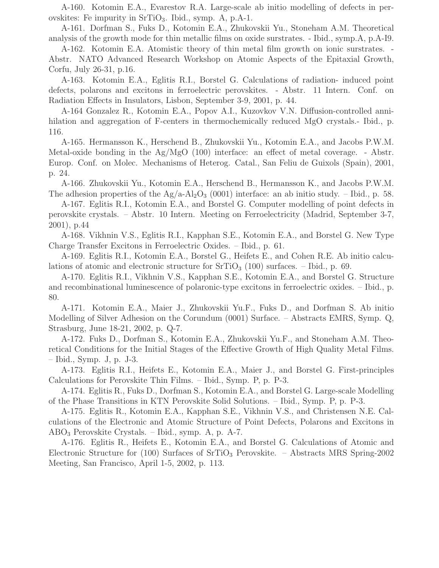A-160. Kotomin E.A., Evarestov R.A. Large-scale ab initio modelling of defects in perovskites: Fe impurity in  $\rm SrTiO_3$ . Ibid., symp. A, p.A-1.

A-161. Dorfman S., Fuks D., Kotomin E.A., Zhukovskii Yu., Stoneham A.M. Theoretical analysis of the growth mode for thin metallic films on oxide surstrates. - Ibid., symp.A, p.A-I9.

A-162. Kotomin E.A. Atomistic theory of thin metal film growth on ionic surstrates. - Abstr. NATO Advanced Research Workshop on Atomic Aspects of the Epitaxial Growth, Corfu, July 26-31, p.16.

A-163. Kotomin E.A., Eglitis R.I., Borstel G. Calculations of radiation- induced point defects, polarons and excitons in ferroelectric perovskites. - Abstr. 11 Intern. Conf. on Radiation Effects in Insulators, Lisbon, September 3-9, 2001, p. 44.

A-164 Gonzalez R., Kotomin E.A., Popov A.I., Kuzovkov V.N. Diffusion-controlled annihilation and aggregation of F-centers in thermochemically reduced MgO crystals.- Ibid., p. 116.

A-165. Hermansson K., Herschend B., Zhukovskii Yu., Kotomin E.A., and Jacobs P.W.M. Metal-oxide bonding in the  $Ag/MgO(100)$  interface: an effect of metal coverage. - Abstr. Europ. Conf. on Molec. Mechanisms of Heterog. Catal., San Feliu de Guixols (Spain), 2001, p. 24.

A-166. Zhukovskii Yu., Kotomin E.A., Herschend B., Hermansson K., and Jacobs P.W.M. The adhesion properties of the  $Ag/a-Al<sub>2</sub>O<sub>3</sub>$  (0001) interface: an ab initio study. – Ibid., p. 58.

A-167. Eglitis R.I., Kotomin E.A., and Borstel G. Computer modelling of point defects in perovskite crystals. – Abstr. 10 Intern. Meeting on Ferroelectricity (Madrid, September 3-7, 2001), p.44

A-168. Vikhnin V.S., Eglitis R.I., Kapphan S.E., Kotomin E.A., and Borstel G. New Type Charge Transfer Excitons in Ferroelectric Oxides. – Ibid., p. 61.

A-169. Eglitis R.I., Kotomin E.A., Borstel G., Heifets E., and Cohen R.E. Ab initio calculations of atomic and electronic structure for  $\text{SrTiO}_3$  (100) surfaces.  $-$  Ibid., p. 69.

A-170. Eglitis R.I., Vikhnin V.S., Kapphan S.E., Kotomin E.A., and Borstel G. Structure and recombinational luminescence of polaronic-type excitons in ferroelectric oxides. – Ibid., p. 80.

A-171. Kotomin E.A., Maier J., Zhukovskii Yu.F., Fuks D., and Dorfman S. Ab initio Modelling of Silver Adhesion on the Corundum (0001) Surface. – Abstracts EMRS, Symp. Q, Strasburg, June 18-21, 2002, p. Q-7.

A-172. Fuks D., Dorfman S., Kotomin E.A., Zhukovskii Yu.F., and Stoneham A.M. Theoretical Conditions for the Initial Stages of the Effective Growth of High Quality Metal Films. – Ibid., Symp. J, p. J-3.

A-173. Eglitis R.I., Heifets E., Kotomin E.A., Maier J., and Borstel G. First-principles Calculations for Perovskite Thin Films. – Ibid., Symp. P, p. P-3.

A-174. Eglitis R., Fuks D., Dorfman S., Kotomin E.A., and Borstel G. Large-scale Modelling of the Phase Transitions in KTN Perovskite Solid Solutions. – Ibid., Symp. P, p. P-3.

A-175. Eglitis R., Kotomin E.A., Kapphan S.E., Vikhnin V.S., and Christensen N.E. Calculations of the Electronic and Atomic Structure of Point Defects, Polarons and Excitons in  $ABO<sub>3</sub>$  Perovskite Crystals. – Ibid., symp. A, p. A-7.

A-176. Eglitis R., Heifets E., Kotomin E.A., and Borstel G. Calculations of Atomic and Electronic Structure for (100) Surfaces of  $SrTiO<sub>3</sub>$  Perovskite. – Abstracts MRS Spring-2002 Meeting, San Francisco, April 1-5, 2002, p. 113.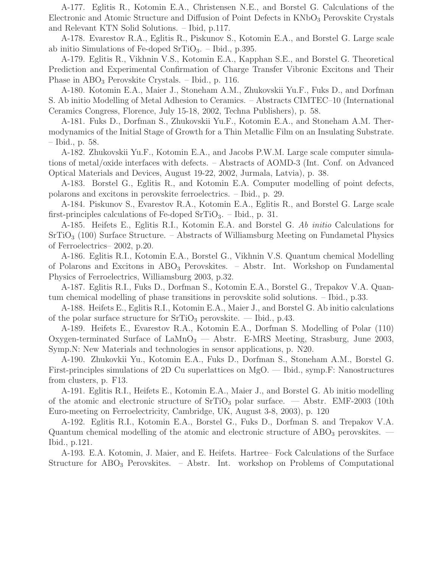A-177. Eglitis R., Kotomin E.A., Christensen N.E., and Borstel G. Calculations of the Electronic and Atomic Structure and Diffusion of Point Defects in  $KNbO<sub>3</sub>$  Perovskite Crystals and Relevant KTN Solid Solutions. – Ibid, p.117.

A-178. Evarestov R.A., Eglitis R., Piskunov S., Kotomin E.A., and Borstel G. Large scale ab initio Simulations of Fe-doped  $SrTiO<sub>3</sub>$ . – Ibid., p.395.

A-179. Eglitis R., Vikhnin V.S., Kotomin E.A., Kapphan S.E., and Borstel G. Theoretical Prediction and Experimental Confirmation of Charge Transfer Vibronic Excitons and Their Phase in  $\text{ABO}_3$  Perovskite Crystals. – Ibid., p. 116.

A-180. Kotomin E.A., Maier J., Stoneham A.M., Zhukovskii Yu.F., Fuks D., and Dorfman S. Ab initio Modelling of Metal Adhesion to Ceramics. – Abstracts CIMTEC–10 (International Ceramics Congress, Florence, July 15-18, 2002, Techna Publishers), p. 58.

A-181. Fuks D., Dorfman S., Zhukovskii Yu.F., Kotomin E.A., and Stoneham A.M. Thermodynamics of the Initial Stage of Growth for a Thin Metallic Film on an Insulating Substrate. – Ibid., p. 58.

A-182. Zhukovskii Yu.F., Kotomin E.A., and Jacobs P.W.M. Large scale computer simulations of metal/oxide interfaces with defects. – Abstracts of AOMD-3 (Int. Conf. on Advanced Optical Materials and Devices, August 19-22, 2002, Jurmala, Latvia), p. 38.

A-183. Borstel G., Eglitis R., and Kotomin E.A. Computer modelling of point defects, polarons and excitons in perovskite ferroelectrics. – Ibid., p. 29.

A-184. Piskunov S., Evarestov R.A., Kotomin E.A., Eglitis R., and Borstel G. Large scale first-principles calculations of Fe-doped SrTiO<sub>3</sub>. – Ibid., p. 31.

A-185. Heifets E., Eglitis R.I., Kotomin E.A. and Borstel G. Ab initio Calculations for  $SrTiO<sub>3</sub>$  (100) Surface Structure. – Abstracts of Williamsburg Meeting on Fundametal Physics of Ferroelectrics– 2002, p.20.

A-186. Eglitis R.I., Kotomin E.A., Borstel G., Vikhnin V.S. Quantum chemical Modelling of Polarons and Excitons in  $ABO<sub>3</sub>$  Perovskites. – Abstr. Int. Workshop on Fundamental Physics of Ferroelectrics, Williamsburg 2003, p.32.

A-187. Eglitis R.I., Fuks D., Dorfman S., Kotomin E.A., Borstel G., Trepakov V.A. Quantum chemical modelling of phase transitions in perovskite solid solutions. – Ibid., p.33.

A-188. Heifets E., Eglitis R.I., Kotomin E.A., Maier J., and Borstel G. Ab initio calculations of the polar surface structure for  $SrTiO<sub>3</sub>$  perovskite. — Ibid., p.43.

A-189. Heifets E., Evarestov R.A., Kotomin E.A., Dorfman S. Modelling of Polar (110) Oxygen-terminated Surface of  $\text{LaMnO}_3$  – Abstr. E-MRS Meeting, Strasburg, June 2003, Symp.N: New Materials and technologies in sensor applications, p. N20.

A-190. Zhukovkii Yu., Kotomin E.A., Fuks D., Dorfman S., Stoneham A.M., Borstel G. First-principles simulations of 2D Cu superlattices on MgO. — Ibid., symp.F: Nanostructures from clusters, p. F13.

A-191. Eglitis R.I., Heifets E., Kotomin E.A., Maier J., and Borstel G. Ab initio modelling of the atomic and electronic structure of  $\text{SrTiO}_3$  polar surface. — Abstr.  $\text{EMF-2003}$  (10th Euro-meeting on Ferroelectricity, Cambridge, UK, August 3-8, 2003), p. 120

A-192. Eglitis R.I., Kotomin E.A., Borstel G., Fuks D., Dorfman S. and Trepakov V.A. Quantum chemical modelling of the atomic and electronic structure of  $\rm{ABO}_3$  perovskites. — Ibid., p.121.

A-193. E.A. Kotomin, J. Maier, and E. Heifets. Hartree– Fock Calculations of the Surface Structure for ABO<sub>3</sub> Perovskites. – Abstr. Int. workshop on Problems of Computational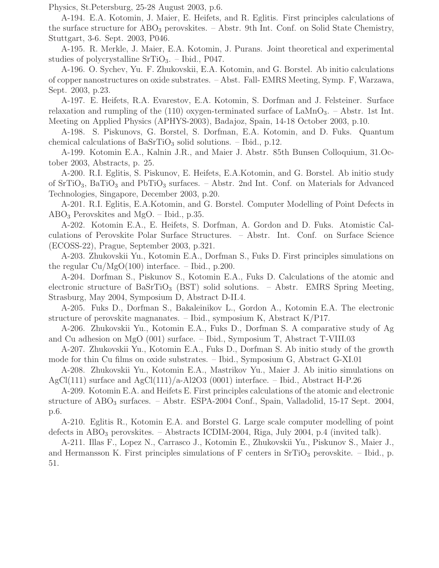Physics, St.Petersburg, 25-28 August 2003, p.6.

A-194. E.A. Kotomin, J. Maier, E. Heifets, and R. Eglitis. First principles calculations of the surface structure for  $ABO_3$  perovskites.  $-$  Abstr. 9th Int. Conf. on Solid State Chemistry, Stuttgart, 3-6. Sept. 2003, P046.

A-195. R. Merkle, J. Maier, E.A. Kotomin, J. Purans. Joint theoretical and experimental studies of polycrystalline  $SrTiO<sub>3</sub>$ . – Ibid., P047.

A-196. O. Sychev, Yu. F. Zhukovskii, E.A. Kotomin, and G. Borstel. Ab initio calculations of copper nanostructures on oxide substrates. – Abst. Fall- EMRS Meeting, Symp. F, Warzawa, Sept. 2003, p.23.

A-197. E. Heifets, R.A. Evarestov, E.A. Kotomin, S. Dorfman and J. Felsteiner. Surface relaxation and rumpling of the  $(110)$  oxygen-terminated surface of LaMnO<sub>3</sub>. – Abstr. 1st Int. Meeting on Applied Physics (APHYS-2003), Badajoz, Spain, 14-18 October 2003, p.10.

A-198. S. Piskunovs, G. Borstel, S. Dorfman, E.A. Kotomin, and D. Fuks. Quantum chemical calculations of  $BaSrTiO<sub>3</sub>$  solid solutions. – Ibid., p.12.

A-199. Kotomin E.A., Kalnin J.R., and Maier J. Abstr. 85th Bunsen Colloquium, 31.October 2003, Abstracts, p. 25.

A-200. R.I. Eglitis, S. Piskunov, E. Heifets, E.A.Kotomin, and G. Borstel. Ab initio study of  $SrTiO<sub>3</sub>$ , BaTiO<sub>3</sub> and PbTiO<sub>3</sub> surfaces. – Abstr. 2nd Int. Conf. on Materials for Advanced Technologies, Singapore, December 2003, p.20.

A-201. R.I. Eglitis, E.A.Kotomin, and G. Borstel. Computer Modelling of Point Defects in  $ABO<sub>3</sub>$  Perovskites and MgO. – Ibid., p.35.

A-202. Kotomin E.A., E. Heifets, S. Dorfman, A. Gordon and D. Fuks. Atomistic Calculations of Perovskite Polar Surface Structures. – Abstr. Int. Conf. on Surface Science (ECOSS-22), Prague, September 2003, p.321.

A-203. Zhukovskii Yu., Kotomin E.A., Dorfman S., Fuks D. First principles simulations on the regular  $Cu/MgO(100)$  interface.  $-$  Ibid., p.200.

A-204. Dorfman S., Piskunov S., Kotomin E.A., Fuks D. Calculations of the atomic and electronic structure of BaSrTiO<sub>3</sub> (BST) solid solutions.  $-$  Abstr. EMRS Spring Meeting, Strasburg, May 2004, Symposium D, Abstract D-II.4.

A-205. Fuks D., Dorfman S., Bakaleinikov L., Gordon A., Kotomin E.A. The electronic structure of perovskite magnanates. – Ibid., symposium K, Abstract K/P17.

A-206. Zhukovskii Yu., Kotomin E.A., Fuks D., Dorfman S. A comparative study of Ag and Cu adhesion on MgO (001) surface. – Ibid., Symposium T, Abstract T-VIII.03

A-207. Zhukovskii Yu., Kotomin E.A., Fuks D., Dorfman S. Ab initio study of the growth mode for thin Cu films on oxide substrates. – Ibid., Symposium G, Abstract G-XI.01

A-208. Zhukovskii Yu., Kotomin E.A., Mastrikov Yu., Maier J. Ab initio simulations on AgCl(111) surface and AgCl(111)/a-Al2O3 (0001) interface.  $-$  Ibid., Abstract H-P.26

A-209. Kotomin E.A. and Heifets E. First principles calculations of the atomic and electronic structure of  $\text{ABO}_3$  surfaces. – Abstr. ESPA-2004 Conf., Spain, Valladolid, 15-17 Sept. 2004, p.6.

A-210. Eglitis R., Kotomin E.A. and Borstel G. Large scale computer modelling of point defects in  $\text{ABO}_3$  perovskites. – Abstracts ICDIM-2004, Riga, July 2004, p.4 (invited talk).

A-211. Illas F., Lopez N., Carrasco J., Kotomin E., Zhukovskii Yu., Piskunov S., Maier J., and Hermansson K. First principles simulations of F centers in  $SrTiO<sub>3</sub>$  perovskite. – Ibid., p. 51.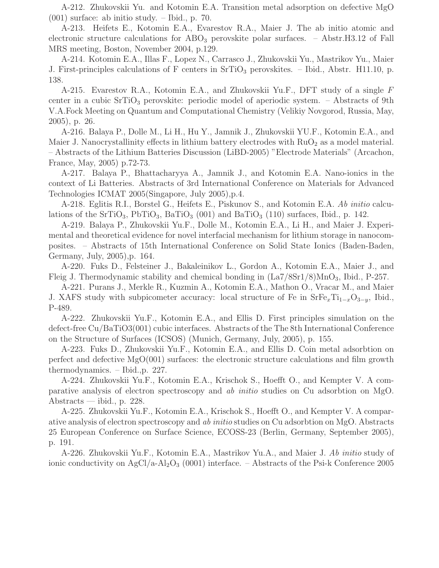A-212. Zhukovskii Yu. and Kotomin E.A. Transition metal adsorption on defective MgO (001) surface: ab initio study. – Ibid., p. 70.

A-213. Heifets E., Kotomin E.A., Evarestov R.A., Maier J. The ab initio atomic and electronic structure calculations for  $\text{ABO}_3$  perovskite polar surfaces.  $-$  Abstr.H3.12 of Fall MRS meeting, Boston, November 2004, p.129.

A-214. Kotomin E.A., Illas F., Lopez N., Carrasco J., Zhukovskii Yu., Mastrikov Yu., Maier J. First-principles calculations of F centers in  $\text{SrTiO}_3$  perovskites. – Ibid., Abstr. H11.10, p. 138.

A-215. Evarestov R.A., Kotomin E.A., and Zhukovskii Yu.F., DFT study of a single F center in a cubic  $SrTiO<sub>3</sub>$  perovskite: periodic model of aperiodic system. – Abstracts of 9th V.A.Fock Meeting on Quantum and Computational Chemistry (Velikiy Novgorod, Russia, May, 2005), p. 26.

A-216. Balaya P., Dolle M., Li H., Hu Y., Jamnik J., Zhukovskii YU.F., Kotomin E.A., and Maier J. Nanocrystallinity effects in lithium battery electrodes with  $RuO<sub>2</sub>$  as a model material. – Abstracts of the Lithium Batteries Discussion (LiBD-2005) "Electrode Materials" (Arcachon, France, May, 2005) p.72-73.

A-217. Balaya P., Bhattacharyya A., Jamnik J., and Kotomin E.A. Nano-ionics in the context of Li Batteries. Abstracts of 3rd International Conference on Materials for Advanced Technologies ICMAT 2005(Singapore, July 2005),p.4.

A-218. Eglitis R.I., Borstel G., Heifets E., Piskunov S., and Kotomin E.A. Ab initio calculations of the SrTiO<sub>3</sub>, PbTiO<sub>3</sub>, BaTiO<sub>3</sub> (001) and BaTiO<sub>3</sub> (110) surfaces, Ibid., p. 142.

A-219. Balaya P., Zhukovskii Yu.F., Dolle M., Kotomin E.A., Li H., and Maier J. Experimental and theoretical evidence for novel interfacial mechanism for lithium storage in nanocomposites. – Abstracts of 15th International Conference on Solid State Ionics (Baden-Baden, Germany, July, 2005),p. 164.

A-220. Fuks D., Felsteiner J., Bakaleinikov L., Gordon A., Kotomin E.A., Maier J., and Fleig J. Thermodynamic stability and chemical bonding in  $(La7/8Sr1/8)MnO<sub>3</sub>$ , Ibid., P-257.

A-221. Purans J., Merkle R., Kuzmin A., Kotomin E.A., Mathon O., Vracar M., and Maier J. XAFS study with subpicometer accuracy: local structure of Fe in  $SrFe<sub>x</sub>Ti<sub>1-x</sub>O<sub>3-y</sub>$ , Ibid., P-489.

A-222. Zhukovskii Yu.F., Kotomin E.A., and Ellis D. First principles simulation on the defect-free Cu/BaTiO3(001) cubic interfaces. Abstracts of the The 8th International Conference on the Structure of Surfaces (ICSOS) (Munich, Germany, July, 2005), p. 155.

A-223. Fuks D., Zhukovskii Yu.F., Kotomin E.A., and Ellis D. Coin metal adsorbtion on perfect and defective  $MgO(001)$  surfaces: the electronic structure calculations and film growth thermodynamics. – Ibid.,p. 227.

A-224. Zhukovskii Yu.F., Kotomin E.A., Krischok S., Hoefft O., and Kempter V. A comparative analysis of electron spectroscopy and ab initio studies on Cu adsorbtion on MgO. Abstracts — ibid., p. 228.

A-225. Zhukovskii Yu.F., Kotomin E.A., Krischok S., Hoefft O., and Kempter V. A comparative analysis of electron spectroscopy and ab initio studies on Cu adsorbtion on MgO. Abstracts 25 European Conference on Surface Science, ECOSS-23 (Berlin, Germany, September 2005), p. 191.

A-226. Zhukovskii Yu.F., Kotomin E.A., Mastrikov Yu.A., and Maier J. Ab initio study of ionic conductivity on  $AgCl/a-Al<sub>2</sub>O<sub>3</sub>$  (0001) interface. – Abstracts of the Psi-k Conference 2005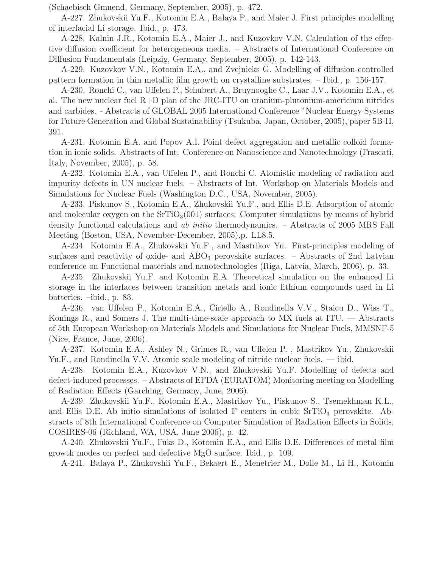(Schaebisch Gmuend, Germany, September, 2005), p. 472.

A-227. Zhukovskii Yu.F., Kotomin E.A., Balaya P., and Maier J. First principles modelling of interfacial Li storage. Ibid., p. 473.

A-228. Kalnin J.R., Kotomin E.A., Maier J., and Kuzovkov V.N. Calculation of the effective diffusion coefficient for heterogeneous media. – Abstracts of International Conference on Diffusion Fundamentals (Leipzig, Germany, September, 2005), p. 142-143.

A-229. Kuzovkov V.N., Kotomin E.A., and Zvejnieks G. Modelling of diffusion-controlled pattern formation in thin metallic film growth on crystalline substrates. – Ibid., p. 156-157.

A-230. Ronchi C., van Uffelen P., Schubert A., Bruynooghe C., Laar J.V., Kotomin E.A., et al. The new nuclear fuel R+D plan of the JRC-ITU on uranium-plutonium-americium nitrides and carbides. - Abstracts of GLOBAL 2005 International Conference "Nuclear Energy Systems for Future Generation and Global Sustainability (Tsukuba, Japan, October, 2005), paper 5B-II, 391.

A-231. Kotomin E.A. and Popov A.I. Point defect aggregation and metallic colloid formation in ionic solids. Abstracts of Int. Conference on Nanoscience and Nanotechnology (Frascati, Italy, November, 2005), p. 58.

A-232. Kotomin E.A., van Uffelen P., and Ronchi C. Atomistic modeling of radiation and impurity defects in UN nuclear fuels. – Abstracts of Int. Workshop on Materials Models and Simulations for Nuclear Fuels (Washington D.C., USA, November, 2005).

A-233. Piskunov S., Kotomin E.A., Zhukovskii Yu.F., and Ellis D.E. Adsorption of atomic and molecular oxygen on the  $SrTiO<sub>3</sub>(001)$  surfaces: Computer simulations by means of hybrid density functional calculations and ab initio thermodynamics. – Abstracts of 2005 MRS Fall Meeting (Boston, USA, November-December, 2005),p. LL8.5.

A-234. Kotomin E.A., Zhukovskii Yu.F., and Mastrikov Yu. First-principles modeling of surfaces and reactivity of oxide- and  $ABO<sub>3</sub>$  perovskite surfaces. – Abstracts of 2nd Latvian conference on Functional materials and nanotechnologies (Riga, Latvia, March, 2006), p. 33.

A-235. Zhukovskii Yu.F. and Kotomin E.A. Theoretical simulation on the enhanced Li storage in the interfaces between transition metals and ionic lithium compounds used in Li batteries. –ibid., p. 83.

A-236. van Uffelen P., Kotomin E.A., Ciriello A., Rondinella V.V., Staicu D., Wiss T., Konings R., and Somers J. The multi-time-scale approach to MX fuels at ITU. — Abstracts of 5th European Workshop on Materials Models and Simulations for Nuclear Fuels, MMSNF-5 (Nice, France, June, 2006).

A-237. Kotomin E.A., Ashley N., Grimes R., van Uffelen P. , Mastrikov Yu., Zhukovskii Yu.F., and Rondinella V.V. Atomic scale modeling of nitride nuclear fuels. — ibid.

A-238. Kotomin E.A., Kuzovkov V.N., and Zhukovskii Yu.F. Modelling of defects and defect-induced processes. – Abstracts of EFDA (EURATOM) Monitoring meeting on Modelling of Radiation Effects (Garching, Germany, June, 2006).

A-239. Zhukovskii Yu.F., Kotomin E.A., Mastrikov Yu., Piskunov S., Tsemekhman K.L., and Ellis D.E. Ab initio simulations of isolated F centers in cubic  $SrTiO<sub>3</sub>$  perovskite. Abstracts of 8th International Conference on Computer Simulation of Radiation Effects in Solids, COSIRES-06 (Richland, WA, USA, June 2006), p. 42.

A-240. Zhukovskii Yu.F., Fuks D., Kotomin E.A., and Ellis D.E. Differences of metal film growth modes on perfect and defective MgO surface. Ibid., p. 109.

A-241. Balaya P., Zhukovshii Yu.F., Bekaert E., Menetrier M., Dolle M., Li H., Kotomin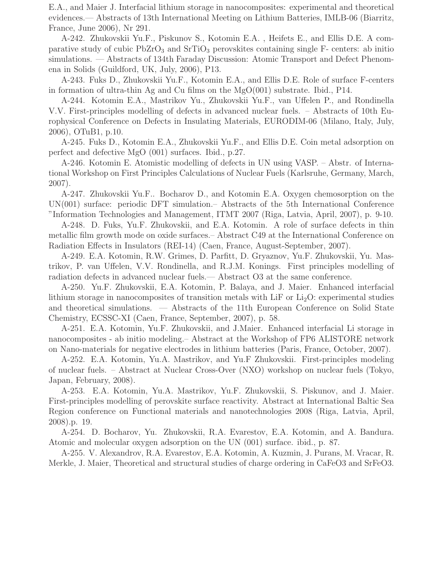E.A., and Maier J. Interfacial lithium storage in nanocomposites: experimental and theoretical evidences.— Abstracts of 13th International Meeting on Lithium Batteries, IMLB-06 (Biarritz, France, June 2006), Nr 291.

A-242. Zhukovskii Yu.F., Piskunov S., Kotomin E.A. , Heifets E., and Ellis D.E. A comparative study of cubic  $PbZrO<sub>3</sub>$  and  $SrTiO<sub>3</sub>$  perovskites containing single F- centers: ab initio simulations. — Abstracts of 134th Faraday Discussion: Atomic Transport and Defect Phenomena in Solids (Guildford, UK, July, 2006), P13.

A-243. Fuks D., Zhukovskii Yu.F., Kotomin E.A., and Ellis D.E. Role of surface F-centers in formation of ultra-thin Ag and Cu films on the MgO(001) substrate. Ibid., P14.

A-244. Kotomin E.A., Mastrikov Yu., Zhukovskii Yu.F., van Uffelen P., and Rondinella V.V. First-principles modelling of defects in advanced nuclear fuels. – Abstracts of 10th Europhysical Conference on Defects in Insulating Materials, EURODIM-06 (Milano, Italy, July, 2006), OTuB1, p.10.

A-245. Fuks D., Kotomin E.A., Zhukovskii Yu.F., and Ellis D.E. Coin metal adsorption on perfect and defective MgO (001) surfaces. Ibid., p.27.

A-246. Kotomin E. Atomistic modelling of defects in UN using VASP. – Abstr. of International Workshop on First Principles Calculations of Nuclear Fuels (Karlsruhe, Germany, March, 2007).

A-247. Zhukovskii Yu.F.. Bocharov D., and Kotomin E.A. Oxygen chemosorption on the UN(001) surface: periodic DFT simulation.– Abstracts of the 5th International Conference "Information Technologies and Management, ITMT 2007 (Riga, Latvia, April, 2007), p. 9-10.

A-248. D. Fuks, Yu.F. Zhukovskii, and E.A. Kotomin. A role of surface defects in thin metallic film growth mode on oxide surfaces.– Abstract C49 at the International Conference on Radiation Effects in Insulators (REI-14) (Caen, France, August-September, 2007).

A-249. E.A. Kotomin, R.W. Grimes, D. Parfitt, D. Gryaznov, Yu.F. Zhukovskii, Yu. Mastrikov, P. van Uffelen, V.V. Rondinella, and R.J.M. Konings. First principles modelling of radiation defects in advanced nuclear fuels.— Abstract O3 at the same conference.

A-250. Yu.F. Zhukovskii, E.A. Kotomin, P. Balaya, and J. Maier. Enhanced interfacial lithium storage in nanocomposites of transition metals with LiF or  $Li<sub>2</sub>O$ : experimental studies and theoretical simulations. — Abstracts of the 11th European Conference on Solid State Chemistry, ECSSC-XI (Caen, France, September, 2007), p. 58.

A-251. E.A. Kotomin, Yu.F. Zhukovskii, and J.Maier. Enhanced interfacial Li storage in nanocomposites - ab initio modeling.– Abstract at the Workshop of FP6 ALISTORE network on Nano-materials for negative electrodes in lithium batteries (Paris, France, October, 2007).

A-252. E.A. Kotomin, Yu.A. Mastrikov, and Yu.F Zhukovskii. First-principles modeling of nuclear fuels. – Abstract at Nuclear Cross-Over (NXO) workshop on nuclear fuels (Tokyo, Japan, February, 2008).

A-253. E.A. Kotomin, Yu.A. Mastrikov, Yu.F. Zhukovskii, S. Piskunov, and J. Maier. First-principles modelling of perovskite surface reactivity. Abstract at International Baltic Sea Region conference on Functional materials and nanotechnologies 2008 (Riga, Latvia, April, 2008).p. 19.

A-254. D. Bocharov, Yu. Zhukovskii, R.A. Evarestov, E.A. Kotomin, and A. Bandura. Atomic and molecular oxygen adsorption on the UN (001) surface. ibid., p. 87.

A-255. V. Alexandrov, R.A. Evarestov, E.A. Kotomin, A. Kuzmin, J. Purans, M. Vracar, R. Merkle, J. Maier, Theoretical and structural studies of charge ordering in CaFeO3 and SrFeO3.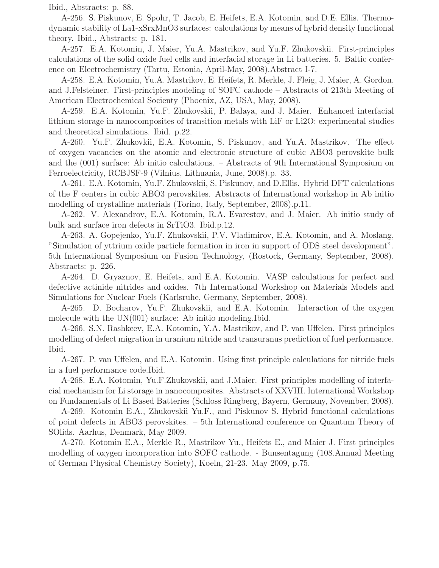Ibid., Abstracts: p. 88.

A-256. S. Piskunov, E. Spohr, T. Jacob, E. Heifets, E.A. Kotomin, and D.E. Ellis. Thermodynamic stability of La1-xSrxMnO3 surfaces: calculations by means of hybrid density functional theory. Ibid., Abstracts: p. 181.

A-257. E.A. Kotomin, J. Maier, Yu.A. Mastrikov, and Yu.F. Zhukovskii. First-principles calculations of the solid oxide fuel cells and interfacial storage in Li batteries. 5. Baltic conference on Electrochemistry (Tartu, Estonia, April-May, 2008).Abstract I-7.

A-258. E.A. Kotomin, Yu.A. Mastrikov, E. Heifets, R. Merkle, J. Fleig, J. Maier, A. Gordon, and J.Felsteiner. First-principles modeling of SOFC cathode – Abstracts of 213th Meeting of American Electrochemical Socienty (Phoenix, AZ, USA, May, 2008).

A-259. E.A. Kotomin, Yu.F. Zhukovskii, P. Balaya, and J. Maier. Enhanced interfacial lithium storage in nanocomposites of transition metals with LiF or Li2O: experimental studies and theoretical simulations. Ibid. p.22.

A-260. Yu.F. Zhukovkii, E.A. Kotomin, S. Piskunov, and Yu.A. Mastrikov. The effect of oxygen vacancies on the atomic and electronic structure of cubic ABO3 perovskite bulk and the (001) surface: Ab initio calculations. – Abstracts of 9th International Symposium on Ferroelectricity, RCBJSF-9 (Vilnius, Lithuania, June, 2008).p. 33.

A-261. E.A. Kotomin, Yu.F. Zhukovskii, S. Piskunov, and D.Ellis. Hybrid DFT calculations of the F centers in cubic ABO3 perovskites. Abstracts of International workshop in Ab initio modelling of crystalline materials (Torino, Italy, September, 2008).p.11.

A-262. V. Alexandrov, E.A. Kotomin, R.A. Evarestov, and J. Maier. Ab initio study of bulk and surface iron defects in SrTiO3. Ibid.p.12.

A-263. A. Gopejenko, Yu.F. Zhukovskii, P.V. Vladimirov, E.A. Kotomin, and A. Moslang, "Simulation of yttrium oxide particle formation in iron in support of ODS steel development". 5th International Symposium on Fusion Technology, (Rostock, Germany, September, 2008). Abstracts: p. 226.

A-264. D. Gryaznov, E. Heifets, and E.A. Kotomin. VASP calculations for perfect and defective actinide nitrides and oxides. 7th International Workshop on Materials Models and Simulations for Nuclear Fuels (Karlsruhe, Germany, September, 2008).

A-265. D. Bocharov, Yu.F. Zhukovskii, and E.A. Kotomin. Interaction of the oxygen molecule with the UN(001) surface: Ab initio modeling. Ibid.

A-266. S.N. Rashkeev, E.A. Kotomin, Y.A. Mastrikov, and P. van Uffelen. First principles modelling of defect migration in uranium nitride and transuranus prediction of fuel performance. Ibid.

A-267. P. van Uffelen, and E.A. Kotomin. Using first principle calculations for nitride fuels in a fuel performance code.Ibid.

A-268. E.A. Kotomin, Yu.F.Zhukovskii, and J.Maier. First principles modelling of interfacial mechanism for Li storage in nanocomposites. Abstracts of XXVIII. International Workshop on Fundamentals of Li Based Batteries (Schloss Ringberg, Bayern, Germany, November, 2008).

A-269. Kotomin E.A., Zhukovskii Yu.F., and Piskunov S. Hybrid functional calculations of point defects in ABO3 perovskites. – 5th International conference on Quantum Theory of SOlids. Aarhus, Denmark, May 2009.

A-270. Kotomin E.A., Merkle R., Mastrikov Yu., Heifets E., and Maier J. First principles modelling of oxygen incorporation into SOFC cathode. - Bunsentagung (108.Annual Meeting of German Physical Chemistry Society), Koeln, 21-23. May 2009, p.75.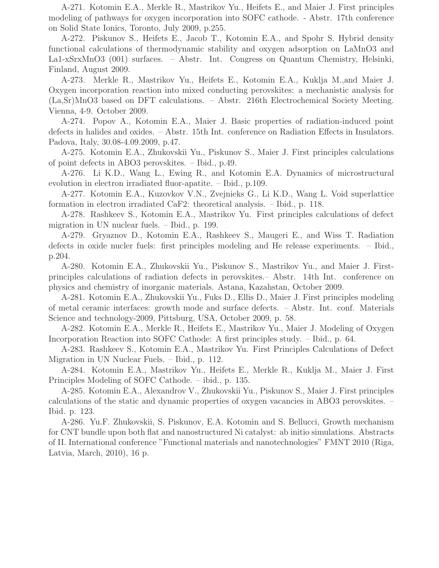A-271. Kotomin E.A., Merkle R., Mastrikov Yu., Heifets E., and Maier J. First principles modeling of pathways for oxygen incorporation into SOFC cathode. - Abstr. 17th conference on Solid State Ionics, Toronto, July 2009, p.255.

A-272. Piskunov S., Heifets E., Jacob T., Kotomin E.A., and Spohr S. Hybrid density functional calculations of thermodynamic stability and oxygen adsorption on LaMnO3 and La1-xSrxMnO3 (001) surfaces. – Abstr. Int. Congress on Quantum Chemistry, Helsinki, Finland, August 2009.

A-273. Merkle R., Mastrikov Yu., Heifets E., Kotomin E.A., Kuklja M.,and Maier J. Oxygen incorporation reaction into mixed conducting perovskites: a mechanistic analysis for (La,Sr)MnO3 based on DFT calculations. – Abstr. 216th Electrochemical Society Meeting. Vienna, 4-9. October 2009.

A-274. Popov A., Kotomin E.A., Maier J. Basic properties of radiation-induced point defects in halides and oxides. – Abstr. 15th Int. conference on Radiation Effects in Insulators. Padova, Italy, 30.08-4.09.2009, p.47.

A-275. Kotomin E.A., Zhukovskii Yu., Piskunov S., Maier J. First principles calculations of point defects in ABO3 perovskites. – Ibid., p.49.

A-276. Li K.D., Wang L., Ewing R., and Kotomin E.A. Dynamics of microstructural evolution in electron irradiated fluor-apatite. – Ibid., p.109.

A-277. Kotomin E.A., Kuzovkov V.N., Zvejnieks G., Li K.D., Wang L. Void superlattice formation in electron irradiated CaF2: theoretical analysis. – Ibid., p. 118.

A-278. Rashkeev S., Kotomin E.A., Mastrikov Yu. First principles calculations of defect migration in UN nuclear fuels. – Ibid., p. 199.

A-279. Gryaznov D., Kotomin E.A., Rashkeev S., Maugeri E., and Wiss T. Radiation defects in oxide nucler fuels: first principles modeling and He release experiments. – Ibid., p.204.

A-280. Kotomin E.A., Zhukovskii Yu., Piskunov S., Mastrikov Yu., and Maier J. Firstprinciples calculations of radiation defects in perovskites.– Abstr. 14th Int. conference on physics and chemistry of inorganic materials. Astana, Kazahstan, October 2009.

A-281. Kotomin E.A., Zhukovskii Yu., Fuks D., Ellis D., Maier J. First principles modeling of metal ceramic interfaces: growth mode and surface defects. – Abstr. Int. conf. Materials Science and technology-2009, Pittsburg, USA, October 2009, p. 58.

A-282. Kotomin E.A., Merkle R., Heifets E., Mastrikov Yu., Maier J. Modeling of Oxygen Incorporation Reaction into SOFC Cathode: A first principles study. – Ibid., p. 64.

A-283. Rashkeev S., Kotomin E.A., Mastrikov Yu. First Principles Calculations of Defect Migration in UN Nuclear Fuels. – Ibid., p. 112.

A-284. Kotomin E.A., Mastrikov Yu., Heifets E., Merkle R., Kuklja M., Maier J. First Principles Modeling of SOFC Cathode. – ibid., p. 135.

A-285. Kotomin E.A., Alexandrov V., Zhukovskii Yu., Piskunov S., Maier J. First principles calculations of the static and dynamic properties of oxygen vacancies in ABO3 perovskites. – Ibid. p. 123.

A-286. Yu.F. Zhukovskii, S. Piskunov, E.A. Kotomin and S. Bellucci, Growth mechanism for CNT bundle upon both flat and nanostructured Ni catalyst: ab initio simulations. Abstracts of II. International conference "Functional materials and nanotechnologies" FMNT 2010 (Riga, Latvia, March, 2010), 16 p.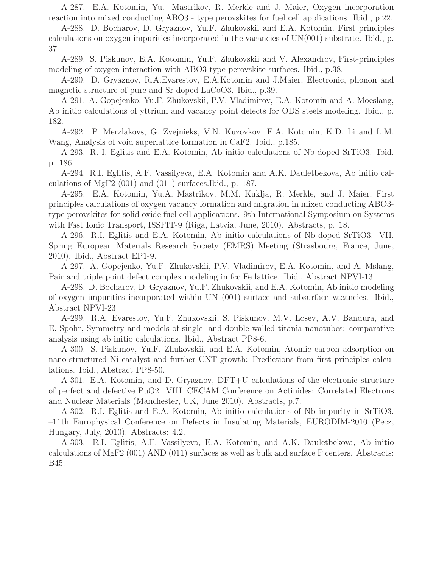A-287. E.A. Kotomin, Yu. Mastrikov, R. Merkle and J. Maier, Oxygen incorporation reaction into mixed conducting ABO3 - type perovskites for fuel cell applications. Ibid., p.22.

A-288. D. Bocharov, D. Gryaznov, Yu.F. Zhukovskii and E.A. Kotomin, First principles calculations on oxygen impurities incorporated in the vacancies of UN(001) substrate. Ibid., p. 37.

A-289. S. Piskunov, E.A. Kotomin, Yu.F. Zhukovskii and V. Alexandrov, First-principles modeling of oxygen interaction with ABO3 type perovskite surfaces. Ibid., p.38.

A-290. D. Gryaznov, R.A.Evarestov, E.A.Kotomin and J.Maier, Electronic, phonon and magnetic structure of pure and Sr-doped LaCoO3. Ibid., p.39.

A-291. A. Gopejenko, Yu.F. Zhukovskii, P.V. Vladimirov, E.A. Kotomin and A. Moeslang, Ab initio calculations of yttrium and vacancy point defects for ODS steels modeling. Ibid., p. 182.

A-292. P. Merzlakovs, G. Zvejnieks, V.N. Kuzovkov, E.A. Kotomin, K.D. Li and L.M. Wang, Analysis of void superlattice formation in CaF2. Ibid., p.185.

A-293. R. I. Eglitis and E.A. Kotomin, Ab initio calculations of Nb-doped SrTiO3. Ibid. p. 186.

A-294. R.I. Eglitis, A.F. Vassilyeva, E.A. Kotomin and A.K. Dauletbekova, Ab initio calculations of MgF2 (001) and (011) surfaces.Ibid., p. 187.

A-295. E.A. Kotomin, Yu.A. Mastrikov, M.M. Kuklja, R. Merkle, and J. Maier, First principles calculations of oxygen vacancy formation and migration in mixed conducting ABO3 type perovskites for solid oxide fuel cell applications. 9th International Symposium on Systems with Fast Ionic Transport, ISSFIT-9 (Riga, Latvia, June, 2010). Abstracts, p. 18.

A-296. R.I. Eglitis and E.A. Kotomin, Ab initio calculations of Nb-doped SrTiO3. VII. Spring European Materials Research Society (EMRS) Meeting (Strasbourg, France, June, 2010). Ibid., Abstract EP1-9.

A-297. A. Gopejenko, Yu.F. Zhukovskii, P.V. Vladimirov, E.A. Kotomin, and A. Mslang, Pair and triple point defect complex modeling in fcc Fe lattice. Ibid., Abstract NPVI-13.

A-298. D. Bocharov, D. Gryaznov, Yu.F. Zhukovskii, and E.A. Kotomin, Ab initio modeling of oxygen impurities incorporated within UN (001) surface and subsurface vacancies. Ibid., Abstract NPVI-23

A-299. R.A. Evarestov, Yu.F. Zhukovskii, S. Piskunov, M.V. Losev, A.V. Bandura, and E. Spohr, Symmetry and models of single- and double-walled titania nanotubes: comparative analysis using ab initio calculations. Ibid., Abstract PP8-6.

A-300. S. Piskunov, Yu.F. Zhukovskii, and E.A. Kotomin, Atomic carbon adsorption on nano-structured Ni catalyst and further CNT growth: Predictions from first principles calculations. Ibid., Abstract PP8-50.

A-301. E.A. Kotomin, and D. Gryaznov, DFT+U calculations of the electronic structure of perfect and defective PuO2. VIII. CECAM Conference on Actinides: Correlated Electrons and Nuclear Materials (Manchester, UK, June 2010). Abstracts, p.7.

A-302. R.I. Eglitis and E.A. Kotomin, Ab initio calculations of Nb impurity in SrTiO3. –11th Europhysical Conference on Defects in Insulating Materials, EURODIM-2010 (Pecz, Hungary, July, 2010). Abstracts: 4.2.

A-303. R.I. Eglitis, A.F. Vassilyeva, E.A. Kotomin, and A.K. Dauletbekova, Ab initio calculations of MgF2 (001) AND (011) surfaces as well as bulk and surface F centers. Abstracts: B45.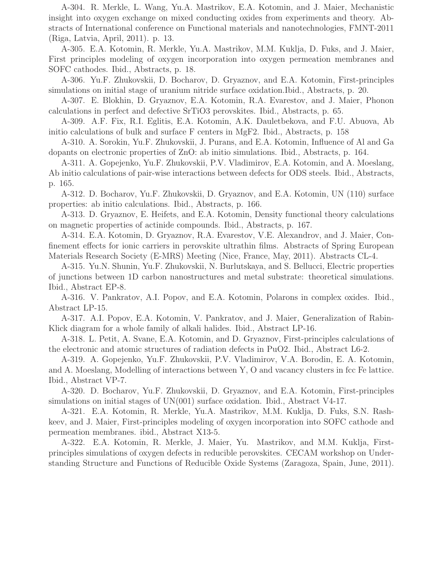A-304. R. Merkle, L. Wang, Yu.A. Mastrikov, E.A. Kotomin, and J. Maier, Mechanistic insight into oxygen exchange on mixed conducting oxides from experiments and theory. Abstracts of International conference on Functional materials and nanotechnologies, FMNT-2011 (Riga, Latvia, April, 2011). p. 13.

A-305. E.A. Kotomin, R. Merkle, Yu.A. Mastrikov, M.M. Kuklja, D. Fuks, and J. Maier, First principles modeling of oxygen incorporation into oxygen permeation membranes and SOFC cathodes. Ibid., Abstracts, p. 18.

A-306. Yu.F. Zhukovskii, D. Bocharov, D. Gryaznov, and E.A. Kotomin, First-principles simulations on initial stage of uranium nitride surface oxidation.Ibid., Abstracts, p. 20.

A-307. E. Blokhin, D. Gryaznov, E.A. Kotomin, R.A. Evarestov, and J. Maier, Phonon calculations in perfect and defective SrTiO3 perovskites. Ibid., Abstracts, p. 65.

A-309. A.F. Fix, R.I. Eglitis, E.A. Kotomin, A.K. Dauletbekova, and F.U. Abuova, Ab initio calculations of bulk and surface F centers in MgF2. Ibid., Abstracts, p. 158

A-310. A. Sorokin, Yu.F. Zhukovskii, J. Purans, and E.A. Kotomin, Influence of Al and Ga dopants on electronic properties of ZnO: ab initio simulations. Ibid., Abstracts, p. 164.

A-311. A. Gopejenko, Yu.F. Zhukovskii, P.V. Vladimirov, E.A. Kotomin, and A. Moeslang, Ab initio calculations of pair-wise interactions between defects for ODS steels. Ibid., Abstracts, p. 165.

A-312. D. Bocharov, Yu.F. Zhukovskii, D. Gryaznov, and E.A. Kotomin, UN (110) surface properties: ab initio calculations. Ibid., Abstracts, p. 166.

A-313. D. Gryaznov, E. Heifets, and E.A. Kotomin, Density functional theory calculations on magnetic properties of actinide compounds. Ibid., Abstracts, p. 167.

A-314. E.A. Kotomin, D. Gryaznov, R.A. Evarestov, V.E. Alexandrov, and J. Maier, Confinement effects for ionic carriers in perovskite ultrathin films. Abstracts of Spring European Materials Research Society (E-MRS) Meeting (Nice, France, May, 2011). Abstracts CL-4.

A-315. Yu.N. Shunin, Yu.F. Zhukovskii, N. Burlutskaya, and S. Bellucci, Electric properties of junctions between 1D carbon nanostructures and metal substrate: theoretical simulations. Ibid., Abstract EP-8.

A-316. V. Pankratov, A.I. Popov, and E.A. Kotomin, Polarons in complex oxides. Ibid., Abstract LP-15.

A-317. A.I. Popov, E.A. Kotomin, V. Pankratov, and J. Maier, Generalization of Rabin-Klick diagram for a whole family of alkali halides. Ibid., Abstract LP-16.

A-318. L. Petit, A. Svane, E.A. Kotomin, and D. Gryaznov, First-principles calculations of the electronic and atomic structures of radiation defects in PuO2. Ibid., Abstract L6-2.

A-319. A. Gopejenko, Yu.F. Zhukovskii, P.V. Vladimirov, V.A. Borodin, E. A. Kotomin, and A. Moeslang, Modelling of interactions between Y, O and vacancy clusters in fcc Fe lattice. Ibid., Abstract VP-7.

A-320. D. Bocharov, Yu.F. Zhukovskii, D. Gryaznov, and E.A. Kotomin, First-principles simulations on initial stages of UN(001) surface oxidation. Ibid., Abstract V4-17.

A-321. E.A. Kotomin, R. Merkle, Yu.A. Mastrikov, M.M. Kuklja, D. Fuks, S.N. Rashkeev, and J. Maier, First-principles modeling of oxygen incorporation into SOFC cathode and permeation membranes. ibid., Abstract X13-5.

A-322. E.A. Kotomin, R. Merkle, J. Maier, Yu. Mastrikov, and M.M. Kuklja, Firstprinciples simulations of oxygen defects in reducible perovskites. CECAM workshop on Understanding Structure and Functions of Reducible Oxide Systems (Zaragoza, Spain, June, 2011).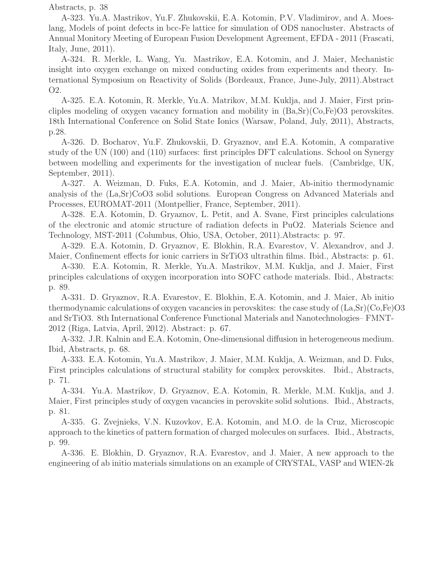Abstracts, p. 38

A-323. Yu.A. Mastrikov, Yu.F. Zhukovskii, E.A. Kotomin, P.V. Vladimirov, and A. Moeslang, Models of point defects in bcc-Fe lattice for simulation of ODS nanocluster. Abstracts of Annual Monitory Meeting of European Fusion Development Agreement, EFDA - 2011 (Frascati, Italy, June, 2011).

A-324. R. Merkle, L. Wang, Yu. Mastrikov, E.A. Kotomin, and J. Maier, Mechanistic insight into oxygen exchange on mixed conducting oxides from experiments and theory. International Symposium on Reactivity of Solids (Bordeaux, France, June-July, 2011).Abstract O2.

A-325. E.A. Kotomin, R. Merkle, Yu.A. Matrikov, M.M. Kuklja, and J. Maier, First princliples modeling of oxygen vacancy formation and mobility in  $(Ba, Sr)(Co, Fe)O3$  perovskites. 18th International Conference on Solid State Ionics (Warsaw, Poland, July, 2011), Abstracts, p.28.

A-326. D. Bocharov, Yu.F. Zhukovskii, D. Gryaznov, and E.A. Kotomin, A comparative study of the UN (100) and (110) surfaces: first principles DFT calculations. School on Synergy between modelling and experiments for the investigation of nuclear fuels. (Cambridge, UK, September, 2011).

A-327. A. Weizman, D. Fuks, E.A. Kotomin, and J. Maier, Ab-initio thermodynamic analysis of the (La,Sr)CoO3 solid solutions. European Congress on Advanced Materials and Processes, EUROMAT-2011 (Montpellier, France, September, 2011).

A-328. E.A. Kotomin, D. Gryaznov, L. Petit, and A. Svane, First principles calculations of the electronic and atomic structure of radiation defects in PuO2. Materials Science and Technology, MST-2011 (Columbus, Ohio, USA, October, 2011).Abstracts: p. 97.

A-329. E.A. Kotomin, D. Gryaznov, E. Blokhin, R.A. Evarestov, V. Alexandrov, and J. Maier, Confinement effects for ionic carriers in SrTiO3 ultrathin films. Ibid., Abstracts: p. 61.

A-330. E.A. Kotomin, R. Merkle, Yu.A. Mastrikov, M.M. Kuklja, and J. Maier, First principles calculations of oxygen incorporation into SOFC cathode materials. Ibid., Abstracts: p. 89.

A-331. D. Gryaznov, R.A. Evarestov, E. Blokhin, E.A. Kotomin, and J. Maier, Ab initio thermodynamic calculations of oxygen vacancies in perovskites: the case study of  $(La, Sr)(Co, Fe)O3$ and SrTiO3. 8th International Conference Functional Materials and Nanotechnologies– FMNT-2012 (Riga, Latvia, April, 2012). Abstract: p. 67.

A-332. J.R. Kalnin and E.A. Kotomin, One-dimensional diffusion in heterogeneous medium. Ibid, Abstracts, p. 68.

A-333. E.A. Kotomin, Yu.A. Mastrikov, J. Maier, M.M. Kuklja, A. Weizman, and D. Fuks, First principles calculations of structural stability for complex perovskites. Ibid., Abstracts, p. 71.

A-334. Yu.A. Mastrikov, D. Gryaznov, E.A. Kotomin, R. Merkle, M.M. Kuklja, and J. Maier, First principles study of oxygen vacancies in perovskite solid solutions. Ibid., Abstracts, p. 81.

A-335. G. Zvejnieks, V.N. Kuzovkov, E.A. Kotomin, and M.O. de la Cruz, Microscopic approach to the kinetics of pattern formation of charged molecules on surfaces. Ibid., Abstracts, p. 99.

A-336. E. Blokhin, D. Gryaznov, R.A. Evarestov, and J. Maier, A new approach to the engineering of ab initio materials simulations on an example of CRYSTAL, VASP and WIEN-2k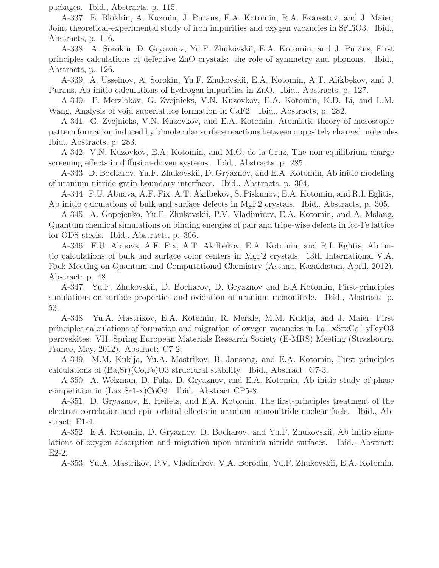packages. Ibid., Abstracts, p. 115.

A-337. E. Blokhin, A. Kuzmin, J. Purans, E.A. Kotomin, R.A. Evarestov, and J. Maier, Joint theoretical-experimental study of iron impurities and oxygen vacancies in SrTiO3. Ibid., Abstracts, p. 116.

A-338. A. Sorokin, D. Gryaznov, Yu.F. Zhukovskii, E.A. Kotomin, and J. Purans, First principles calculations of defective ZnO crystals: the role of symmetry and phonons. Ibid., Abstracts, p. 126.

A-339. A. Usseinov, A. Sorokin, Yu.F. Zhukovskii, E.A. Kotomin, A.T. Alikbekov, and J. Purans, Ab initio calculations of hydrogen impurities in ZnO. Ibid., Abstracts, p. 127.

A-340. P. Merzlakov, G. Zvejnieks, V.N. Kuzovkov, E.A. Kotomin, K.D. Li, and L.M. Wang, Analysis of void superlattice formation in CaF2. Ibid., Abstracts, p. 282.

A-341. G. Zvejnieks, V.N. Kuzovkov, and E.A. Kotomin, Atomistic theory of mesoscopic pattern formation induced by bimolecular surface reactions between oppositely charged molecules. Ibid., Abstracts, p. 283.

A-342. V.N. Kuzovkov, E.A. Kotomin, and M.O. de la Cruz, The non-equilibrium charge screening effects in diffusion-driven systems. Ibid., Abstracts, p. 285.

A-343. D. Bocharov, Yu.F. Zhukovskii, D. Gryaznov, and E.A. Kotomin, Ab initio modeling of uranium nitride grain boundary interfaces. Ibid., Abstracts, p. 304.

A-344. F.U. Abuova, A.F. Fix, A.T. Akilbekov, S. Piskunov, E.A. Kotomin, and R.I. Eglitis, Ab initio calculations of bulk and surface defects in MgF2 crystals. Ibid., Abstracts, p. 305.

A-345. A. Gopejenko, Yu.F. Zhukovskii, P.V. Vladimirov, E.A. Kotomin, and A. Mslang, Quantum chemical simulations on binding energies of pair and tripe-wise defects in fcc-Fe lattice for ODS steels. Ibid., Abstracts, p. 306.

A-346. F.U. Abuova, A.F. Fix, A.T. Akilbekov, E.A. Kotomin, and R.I. Eglitis, Ab initio calculations of bulk and surface color centers in MgF2 crystals. 13th International V.A. Fock Meeting on Quantum and Computational Chemistry (Astana, Kazakhstan, April, 2012). Abstract: p. 48.

A-347. Yu.F. Zhukovskii, D. Bocharov, D. Gryaznov and E.A.Kotomin, First-principles simulations on surface properties and oxidation of uranium mononitrde. Ibid., Abstract: p. 53.

A-348. Yu.A. Mastrikov, E.A. Kotomin, R. Merkle, M.M. Kuklja, and J. Maier, First principles calculations of formation and migration of oxygen vacancies in La1-xSrxCo1-yFeyO3 perovskites. VII. Spring European Materials Research Society (E-MRS) Meeting (Strasbourg, France, May, 2012). Abstract: C7-2.

A-349. M.M. Kuklja, Yu.A. Mastrikov, B. Jansang, and E.A. Kotomin, First principles calculations of  $(Ba, Sr)(Co, Fe)O3$  structural stability. Ibid., Abstract: C7-3.

A-350. A. Weizman, D. Fuks, D. Gryaznov, and E.A. Kotomin, Ab initio study of phase competition in (Lax,Sr1-x)CoO3. Ibid., Abstract CP5-8.

A-351. D. Gryaznov, E. Heifets, and E.A. Kotomin, The first-principles treatment of the electron-correlation and spin-orbital effects in uranium mononitride nuclear fuels. Ibid., Abstract: E1-4.

A-352. E.A. Kotomin, D. Gryaznov, D. Bocharov, and Yu.F. Zhukovskii, Ab initio simulations of oxygen adsorption and migration upon uranium nitride surfaces. Ibid., Abstract: E2-2.

A-353. Yu.A. Mastrikov, P.V. Vladimirov, V.A. Borodin, Yu.F. Zhukovskii, E.A. Kotomin,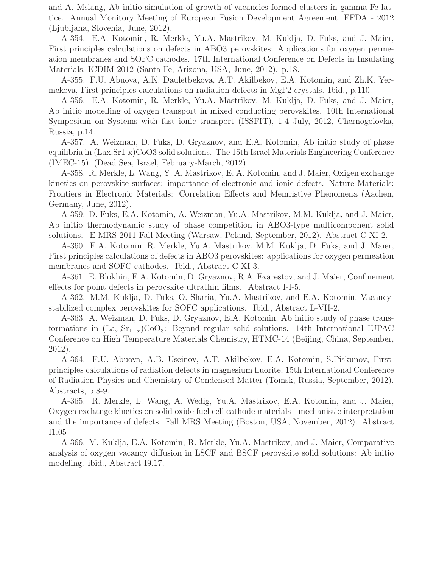and A. Mslang, Ab initio simulation of growth of vacancies formed clusters in gamma-Fe lattice. Annual Monitory Meeting of European Fusion Development Agreement, EFDA - 2012 (Ljubljana, Slovenia, June, 2012).

A-354. E.A. Kotomin, R. Merkle, Yu.A. Mastrikov, M. Kuklja, D. Fuks, and J. Maier, First principles calculations on defects in ABO3 perovskites: Applications for oxygen permeation membranes and SOFC cathodes. 17th International Conference on Defects in Insulating Materials, ICDIM-2012 (Santa Fe, Arizona, USA, June, 2012). p.18.

A-355. F.U. Abuova, A.K. Dauletbekova, A.T. Akilbekov, E.A. Kotomin, and Zh.K. Yermekova, First principles calculations on radiation defects in MgF2 crystals. Ibid., p.110.

A-356. E.A. Kotomin, R. Merkle, Yu.A. Mastrikov, M. Kuklja, D. Fuks, and J. Maier, Ab initio modelling of oxygen transport in mixed conducting perovskites. 10th International Symposium on Systems with fast ionic transport (ISSFIT), 1-4 July, 2012, Chernogolovka, Russia, p.14.

A-357. A. Weizman, D. Fuks, D. Gryaznov, and E.A. Kotomin, Ab initio study of phase equilibria in (Lax,Sr1-x)CoO3 solid solutions. The 15th Israel Materials Engineering Conference (IMEC-15), (Dead Sea, Israel, February-March, 2012).

A-358. R. Merkle, L. Wang, Y. A. Mastrikov, E. A. Kotomin, and J. Maier, Oxigen exchange kinetics on perovskite surfaces: importance of electronic and ionic defects. Nature Materials: Frontiers in Electronic Materials: Correlation Effects and Memristive Phenomena (Aachen, Germany, June, 2012).

A-359. D. Fuks, E.A. Kotomin, A. Weizman, Yu.A. Mastrikov, M.M. Kuklja, and J. Maier, Ab initio thermodynamic study of phase competition in ABO3-type multicomponent solid solutions. E-MRS 2011 Fall Meeting (Warsaw, Poland, September, 2012). Abstract C-XI-2.

A-360. E.A. Kotomin, R. Merkle, Yu.A. Mastrikov, M.M. Kuklja, D. Fuks, and J. Maier, First principles calculations of defects in ABO3 perovskites: applications for oxygen permeation membranes and SOFC cathodes. Ibid., Abstract C-XI-3.

A-361. E. Blokhin, E.A. Kotomin, D. Gryaznov, R.A. Evarestov, and J. Maier, Confinement effects for point defects in perovskite ultrathin films. Abstract I-I-5.

A-362. M.M. Kuklja, D. Fuks, O. Sharia, Yu.A. Mastrikov, and E.A. Kotomin, Vacancystabilized complex perovskites for SOFC applications. Ibid., Abstract L-VII-2.

A-363. A. Weizman, D. Fuks, D. Gryaznov, E.A. Kotomin, Ab initio study of phase transformations in  $(La_x, Sr_{1-x})CoO_3$ : Beyond regular solid solutions. 14th International IUPAC Conference on High Temperature Materials Chemistry, HTMC-14 (Beijing, China, September, 2012).

A-364. F.U. Abuova, A.B. Useinov, A.T. Akilbekov, E.A. Kotomin, S.Piskunov, Firstprinciples calculations of radiation defects in magnesium fluorite, 15th International Conference of Radiation Physics and Chemistry of Condensed Matter (Tomsk, Russia, September, 2012). Abstracts, p.8-9.

A-365. R. Merkle, L. Wang, A. Wedig, Yu.A. Mastrikov, E.A. Kotomin, and J. Maier, Oxygen exchange kinetics on solid oxide fuel cell cathode materials - mechanistic interpretation and the importance of defects. Fall MRS Meeting (Boston, USA, November, 2012). Abstract I1.05

A-366. M. Kuklja, E.A. Kotomin, R. Merkle, Yu.A. Mastrikov, and J. Maier, Comparative analysis of oxygen vacancy diffusion in LSCF and BSCF perovskite solid solutions: Ab initio modeling. ibid., Abstract I9.17.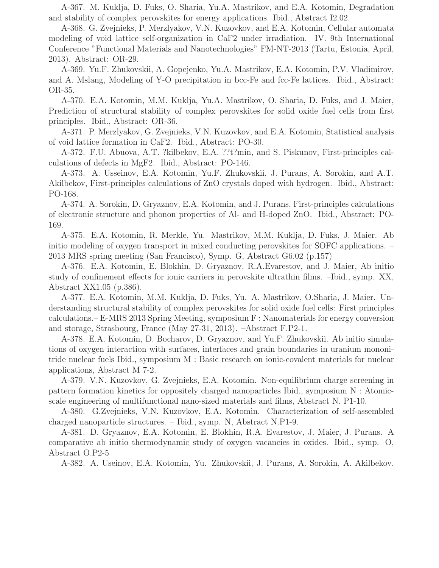A-367. M. Kuklja, D. Fuks, O. Sharia, Yu.A. Mastrikov, and E.A. Kotomin, Degradation and stability of complex perovskites for energy applications. Ibid., Abstract I2.02.

A-368. G. Zvejnieks, P. Merzlyakov, V.N. Kuzovkov, and E.A. Kotomin, Cellular automata modeling of void lattice self-organization in CaF2 under irradiation. IV. 9th International Conference "Functional Materials and Nanotechnologies" FM-NT-2013 (Tartu, Estonia, April, 2013). Abstract: OR-29.

A-369. Yu.F. Zhukovskii, A. Gopejenko, Yu.A. Mastrikov, E.A. Kotomin, P.V. Vladimirov, and A. Mslang, Modeling of Y-O precipitation in bcc-Fe and fcc-Fe lattices. Ibid., Abstract: OR-35.

A-370. E.A. Kotomin, M.M. Kuklja, Yu.A. Mastrikov, O. Sharia, D. Fuks, and J. Maier, Prediction of structural stability of complex perovskites for solid oxide fuel cells from first principles. Ibid., Abstract: OR-36.

A-371. P. Merzlyakov, G. Zvejnieks, V.N. Kuzovkov, and E.A. Kotomin, Statistical analysis of void lattice formation in CaF2. Ibid., Abstract: PO-30.

A-372. F.U. Abuova, A.T. ?kilbekov, E.A. ??t?min, and S. Piskunov, First-principles calculations of defects in MgF2. Ibid., Abstract: PO-146.

A-373. A. Usseinov, E.A. Kotomin, Yu.F. Zhukovskii, J. Purans, A. Sorokin, and A.T. Akilbekov, First-principles calculations of ZnO crystals doped with hydrogen. Ibid., Abstract: PO-168.

A-374. A. Sorokin, D. Gryaznov, E.A. Kotomin, and J. Purans, First-principles calculations of electronic structure and phonon properties of Al- and H-doped ZnO. Ibid., Abstract: PO-169.

A-375. E.A. Kotomin, R. Merkle, Yu. Mastrikov, M.M. Kuklja, D. Fuks, J. Maier. Ab initio modeling of oxygen transport in mixed conducting perovskites for SOFC applications. – 2013 MRS spring meeting (San Francisco), Symp. G, Abstract G6.02 (p.157)

A-376. E.A. Kotomin, E. Blokhin, D. Gryaznov, R.A.Evarestov, and J. Maier, Ab initio study of confinement effects for ionic carriers in perovskite ultrathin films. –Ibid., symp. XX, Abstract XX1.05 (p.386).

A-377. E.A. Kotomin, M.M. Kuklja, D. Fuks, Yu. A. Mastrikov, O.Sharia, J. Maier. Understanding structural stability of complex perovskites for solid oxide fuel cells: First principles calculations.– E-MRS 2013 Spring Meeting, symposium F : Nanomaterials for energy conversion and storage, Strasbourg, France (May 27-31, 2013). –Abstract F.P2-1.

A-378. E.A. Kotomin, D. Bocharov, D. Gryaznov, and Yu.F. Zhukovskii. Ab initio simulations of oxygen interaction with surfaces, interfaces and grain boundaries in uranium mononitride nuclear fuels Ibid., symposium M : Basic research on ionic-covalent materials for nuclear applications, Abstract M 7-2.

A-379. V.N. Kuzovkov, G. Zvejnieks, E.A. Kotomin. Non-equilibrium charge screening in pattern formation kinetics for oppositely charged nanoparticles Ibid., symposium N : Atomicscale engineering of multifunctional nano-sized materials and films, Abstract N. P1-10.

A-380. G.Zvejnieks, V.N. Kuzovkov, E.A. Kotomin. Characterization of self-assembled charged nanoparticle structures. – Ibid., symp. N, Abstract N.P1-9.

A-381. D. Gryaznov, E.A. Kotomin, E. Blokhin, R.A. Evarestov, J. Maier, J. Purans. A comparative ab initio thermodynamic study of oxygen vacancies in oxides. Ibid., symp. O, Abstract O.P2-5

A-382. A. Useinov, E.A. Kotomin, Yu. Zhukovskii, J. Purans, A. Sorokin, A. Akilbekov.